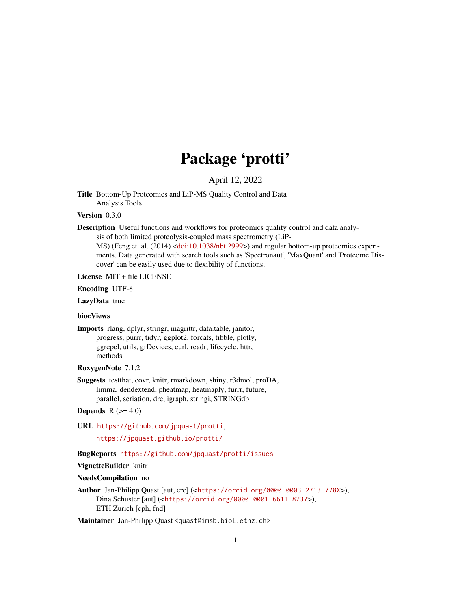# Package 'protti'

# April 12, 2022

Title Bottom-Up Proteomics and LiP-MS Quality Control and Data Analysis Tools

# Version 0.3.0

Description Useful functions and workflows for proteomics quality control and data analy-

sis of both limited proteolysis-coupled mass spectrometry (LiP-

MS) (Feng et. al. (2014) [<doi:10.1038/nbt.2999>](https://doi.org/10.1038/nbt.2999)) and regular bottom-up proteomics experiments. Data generated with search tools such as 'Spectronaut', 'MaxQuant' and 'Proteome Discover' can be easily used due to flexibility of functions.

License MIT + file LICENSE

Encoding UTF-8

LazyData true

# biocViews

Imports rlang, dplyr, stringr, magrittr, data.table, janitor, progress, purrr, tidyr, ggplot2, forcats, tibble, plotly, ggrepel, utils, grDevices, curl, readr, lifecycle, httr, methods

# RoxygenNote 7.1.2

Suggests testthat, covr, knitr, rmarkdown, shiny, r3dmol, proDA, limma, dendextend, pheatmap, heatmaply, furrr, future, parallel, seriation, drc, igraph, stringi, STRINGdb

# Depends  $R$  ( $>= 4.0$ )

URL <https://github.com/jpquast/protti>,

<https://jpquast.github.io/protti/>

# BugReports <https://github.com/jpquast/protti/issues>

#### VignetteBuilder knitr

# NeedsCompilation no

Author Jan-Philipp Quast [aut, cre] (<<https://orcid.org/0000-0003-2713-778X>>), Dina Schuster [aut] (<<https://orcid.org/0000-0001-6611-8237>>), ETH Zurich [cph, fnd]

Maintainer Jan-Philipp Quast <quast@imsb.biol.ethz.ch>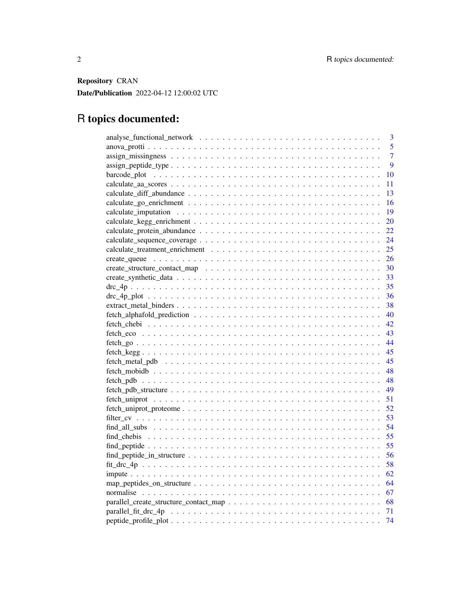Repository CRAN

Date/Publication 2022-04-12 12:00:02 UTC

# R topics documented:

| 3              |
|----------------|
| 5              |
| $\overline{7}$ |
| 9              |
| 10             |
| 11             |
| 13             |
| 16             |
| 19             |
| 20             |
| 22             |
| 24             |
| 25             |
| 26             |
| 30             |
| 33             |
| 35             |
| 36             |
| 38             |
| 40             |
| 42             |
| 43             |
| 44             |
| 45             |
| 45             |
| 48             |
| 48             |
| 49             |
| 51             |
| 52             |
| 53             |
| 54             |
| 55             |
| 55             |
| 56             |
| 58             |
| - 62           |
|                |
|                |
|                |
|                |
| 74             |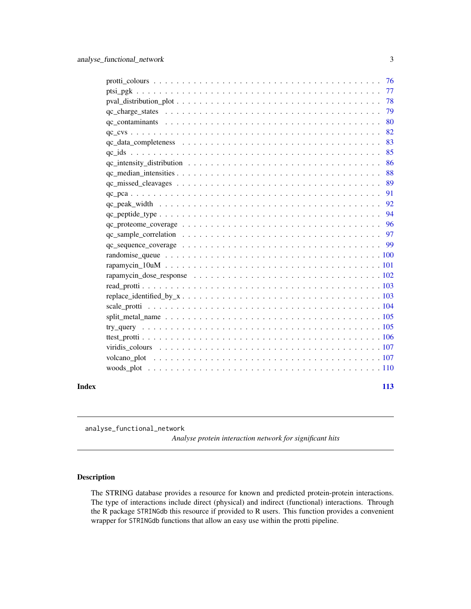<span id="page-2-0"></span>

|       | 78  |
|-------|-----|
|       | 79  |
|       | 80  |
|       | 82  |
|       | 83  |
|       | 85  |
|       | 86  |
|       | 88  |
|       | 89  |
|       | 91  |
|       | 92  |
|       | 94  |
|       | 96  |
|       |     |
|       |     |
|       |     |
|       |     |
|       |     |
|       |     |
|       |     |
|       |     |
|       |     |
|       |     |
|       |     |
|       |     |
|       |     |
|       |     |
| Index | 113 |
|       |     |

analyse\_functional\_network

*Analyse protein interaction network for significant hits*

# Description

The STRING database provides a resource for known and predicted protein-protein interactions. The type of interactions include direct (physical) and indirect (functional) interactions. Through the R package STRINGdb this resource if provided to R users. This function provides a convenient wrapper for STRINGdb functions that allow an easy use within the protti pipeline.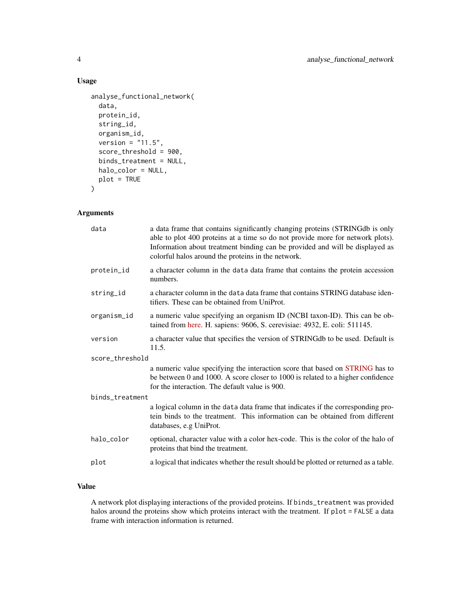# Usage

```
analyse_functional_network(
  data,
 protein_id,
 string_id,
  organism_id,
  version = "11.5",score_threshold = 900,
 binds_treatment = NULL,
 halo_color = NULL,
 plot = TRUE
\mathcal{L}
```
# Arguments

| data            | a data frame that contains significantly changing proteins (STRINGdb is only<br>able to plot 400 proteins at a time so do not provide more for network plots).<br>Information about treatment binding can be provided and will be displayed as<br>colorful halos around the proteins in the network. |
|-----------------|------------------------------------------------------------------------------------------------------------------------------------------------------------------------------------------------------------------------------------------------------------------------------------------------------|
| protein_id      | a character column in the data data frame that contains the protein accession<br>numbers.                                                                                                                                                                                                            |
| string_id       | a character column in the data data frame that contains STRING database iden-<br>tifiers. These can be obtained from UniProt.                                                                                                                                                                        |
| organism_id     | a numeric value specifying an organism ID (NCBI taxon-ID). This can be ob-<br>tained from here. H. sapiens: 9606, S. cerevisiae: 4932, E. coli: 511145.                                                                                                                                              |
| version         | a character value that specifies the version of STRINGdb to be used. Default is<br>11.5.                                                                                                                                                                                                             |
| score_threshold |                                                                                                                                                                                                                                                                                                      |
|                 | a numeric value specifying the interaction score that based on STRING has to<br>be between 0 and 1000. A score closer to 1000 is related to a higher confidence<br>for the interaction. The default value is 900.                                                                                    |
| binds_treatment |                                                                                                                                                                                                                                                                                                      |
|                 | a logical column in the data data frame that indicates if the corresponding pro-<br>tein binds to the treatment. This information can be obtained from different<br>databases, e.g UniProt.                                                                                                          |
| halo_color      | optional, character value with a color hex-code. This is the color of the halo of<br>proteins that bind the treatment.                                                                                                                                                                               |
| plot            | a logical that indicates whether the result should be plotted or returned as a table.                                                                                                                                                                                                                |

# Value

A network plot displaying interactions of the provided proteins. If binds\_treatment was provided halos around the proteins show which proteins interact with the treatment. If plot = FALSE a data frame with interaction information is returned.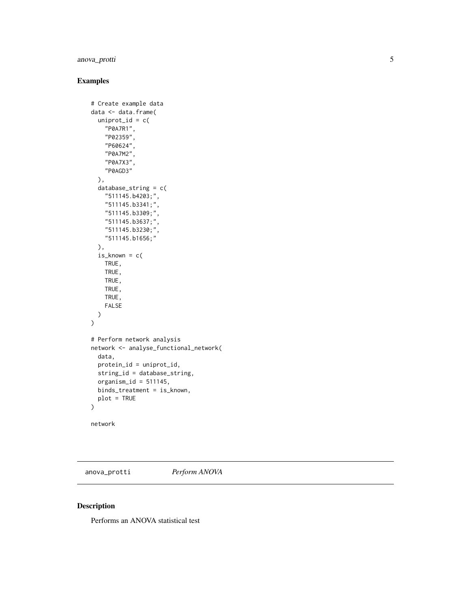# <span id="page-4-0"></span>anova\_protti

# Examples

```
# Create example data
data <- data.frame(
  uniprot_id = c("P0A7R1",
    "P02359",
    "P60624",
    "P0A7M2",
    "P0A7X3",
    "P0AGD3"
  ),
  database_string = c(
    "511145.b4203;",
    "511145.b3341;",
    "511145.b3309;",
    "511145.b3637;",
    "511145.b3230;",
    "511145.b1656;"
  ),
  is_{\text{known}} = c(TRUE,
    TRUE,
    TRUE,
    TRUE,
    TRUE,
    FALSE
  )
\lambda# Perform network analysis
network <- analyse_functional_network(
  data,
  protein_id = uniprot_id,
  string_id = database_string,
  organism_id = 511145,binds_treatment = is_known,
  plot = TRUE
\overline{\phantom{a}}network
```
anova\_protti *Perform ANOVA*

# Description

Performs an ANOVA statistical test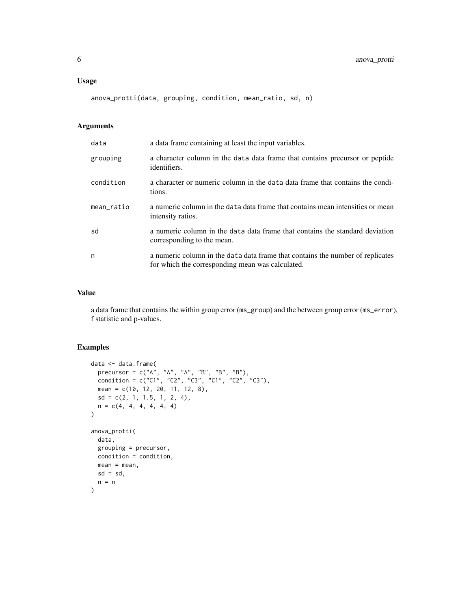anova\_protti(data, grouping, condition, mean\_ratio, sd, n)

# Arguments

| data       | a data frame containing at least the input variables.                                                                              |
|------------|------------------------------------------------------------------------------------------------------------------------------------|
| grouping   | a character column in the data data frame that contains precursor or peptide<br>identifiers.                                       |
| condition  | a character or numeric column in the data data frame that contains the condi-<br>tions.                                            |
| mean_ratio | a numeric column in the data data frame that contains mean intensities or mean<br>intensity ratios.                                |
| sd         | a numeric column in the data data frame that contains the standard deviation<br>corresponding to the mean.                         |
| n          | a numeric column in the data data frame that contains the number of replicates<br>for which the corresponding mean was calculated. |

# Value

a data frame that contains the within group error (ms\_group) and the between group error (ms\_error), f statistic and p-values.

```
data <- data.frame(
  precursor = c("A", "A", "A", "B", "B", "B"),
  condition = c("C1", "C2", "C3", "C1", "C2", "C3"),
  mean = c(10, 12, 20, 11, 12, 8),
 sd = c(2, 1, 1.5, 1, 2, 4),n = c(4, 4, 4, 4, 4, 4)\overline{)}anova_protti(
 data,
 grouping = precursor,
 condition = condition,
 mean = mean,
 sd = sd,n = n\mathcal{L}
```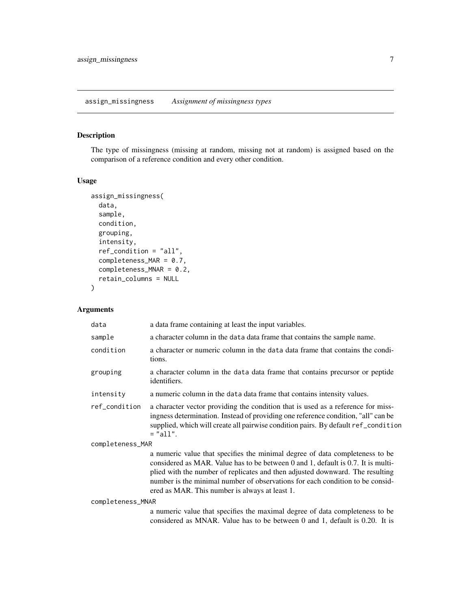# <span id="page-6-0"></span>Description

The type of missingness (missing at random, missing not at random) is assigned based on the comparison of a reference condition and every other condition.

#### Usage

```
assign_missingness(
  data,
  sample,
  condition,
  grouping,
  intensity,
  ref_condition = "all",
  completeness_MAR = 0.7,
  completeness_MNAR = 0.2,
  retain_columns = NULL
\overline{\phantom{0}}
```

| data              | a data frame containing at least the input variables.                                                                                                                                                                                                                                                                                                                                |
|-------------------|--------------------------------------------------------------------------------------------------------------------------------------------------------------------------------------------------------------------------------------------------------------------------------------------------------------------------------------------------------------------------------------|
| sample            | a character column in the data data frame that contains the sample name.                                                                                                                                                                                                                                                                                                             |
| condition         | a character or numeric column in the data data frame that contains the condi-<br>tions.                                                                                                                                                                                                                                                                                              |
| grouping          | a character column in the data data frame that contains precursor or peptide<br>identifiers.                                                                                                                                                                                                                                                                                         |
| intensity         | a numeric column in the data data frame that contains intensity values.                                                                                                                                                                                                                                                                                                              |
| ref_condition     | a character vector providing the condition that is used as a reference for miss-<br>ingness determination. Instead of providing one reference condition, "all" can be<br>supplied, which will create all pairwise condition pairs. By default ref_condition<br>$=$ "all".                                                                                                            |
| completeness_MAR  |                                                                                                                                                                                                                                                                                                                                                                                      |
|                   | a numeric value that specifies the minimal degree of data completeness to be<br>considered as MAR. Value has to be between 0 and 1, default is 0.7. It is multi-<br>plied with the number of replicates and then adjusted downward. The resulting<br>number is the minimal number of observations for each condition to be consid-<br>ered as MAR. This number is always at least 1. |
| completeness_MNAR |                                                                                                                                                                                                                                                                                                                                                                                      |
|                   | a numeric value that specifies the maximal degree of data completeness to be<br>considered as MNAR. Value has to be between 0 and 1, default is 0.20. It is                                                                                                                                                                                                                          |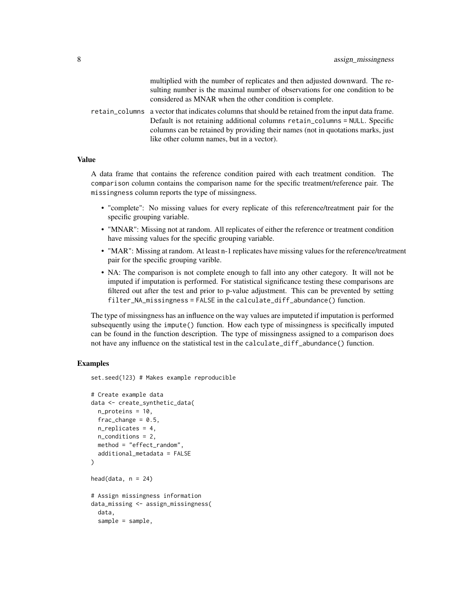multiplied with the number of replicates and then adjusted downward. The resulting number is the maximal number of observations for one condition to be considered as MNAR when the other condition is complete.

retain\_columns a vector that indicates columns that should be retained from the input data frame. Default is not retaining additional columns retain\_columns = NULL. Specific columns can be retained by providing their names (not in quotations marks, just like other column names, but in a vector).

#### Value

A data frame that contains the reference condition paired with each treatment condition. The comparison column contains the comparison name for the specific treatment/reference pair. The missingness column reports the type of missingness.

- "complete": No missing values for every replicate of this reference/treatment pair for the specific grouping variable.
- "MNAR": Missing not at random. All replicates of either the reference or treatment condition have missing values for the specific grouping variable.
- "MAR": Missing at random. At least n-1 replicates have missing values for the reference/treatment pair for the specific grouping varible.
- NA: The comparison is not complete enough to fall into any other category. It will not be imputed if imputation is performed. For statistical significance testing these comparisons are filtered out after the test and prior to p-value adjustment. This can be prevented by setting filter\_NA\_missingness = FALSE in the calculate\_diff\_abundance() function.

The type of missingness has an influence on the way values are imputeted if imputation is performed subsequently using the impute() function. How each type of missingness is specifically imputed can be found in the function description. The type of missingness assigned to a comparison does not have any influence on the statistical test in the calculate\_diff\_abundance() function.

#### Examples

set.seed(123) # Makes example reproducible

```
# Create example data
data <- create_synthetic_data(
 n_proteins = 10,
 frac_cchar = 0.5,
 n_replicates = 4,
 n_conditions = 2,
 method = "effect_random",
 additional_metadata = FALSE
)
head(data, n = 24)
# Assign missingness information
data_missing <- assign_missingness(
 data,
 sample = sample,
```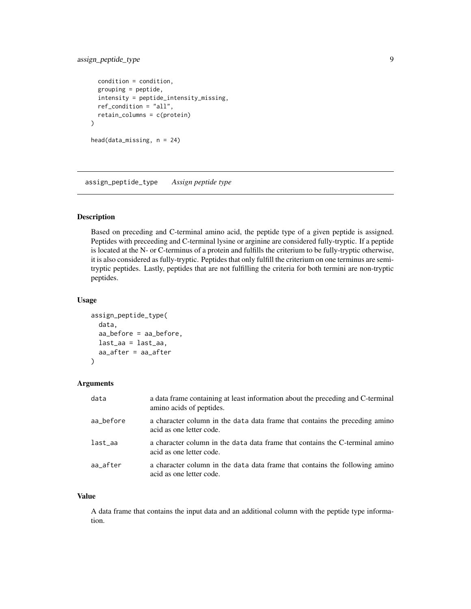# <span id="page-8-0"></span>assign\_peptide\_type 9

```
condition = condition,
 grouping = peptide,
 intensity = peptide_intensity_missing,
 ref_condition = "all",
 retain_columns = c(protein)
\mathcal{L}head(data_missing, n = 24)
```
assign\_peptide\_type *Assign peptide type*

# Description

Based on preceding and C-terminal amino acid, the peptide type of a given peptide is assigned. Peptides with preceeding and C-terminal lysine or arginine are considered fully-tryptic. If a peptide is located at the N- or C-terminus of a protein and fulfills the criterium to be fully-tryptic otherwise, it is also considered as fully-tryptic. Peptides that only fulfill the criterium on one terminus are semitryptic peptides. Lastly, peptides that are not fulfilling the criteria for both termini are non-tryptic peptides.

# Usage

```
assign_peptide_type(
  data,
  aa_before = aa_before,
  last_aa = last_aa,
  aa_after = aa_after
)
```
#### Arguments

| data      | a data frame containing at least information about the preceding and C-terminal<br>amino acids of peptides. |
|-----------|-------------------------------------------------------------------------------------------------------------|
| aa_before | a character column in the data data frame that contains the preceding amino<br>acid as one letter code.     |
| last_aa   | a character column in the data data frame that contains the C-terminal amino<br>acid as one letter code.    |
| aa_after  | a character column in the data data frame that contains the following amino<br>acid as one letter code.     |

#### Value

A data frame that contains the input data and an additional column with the peptide type information.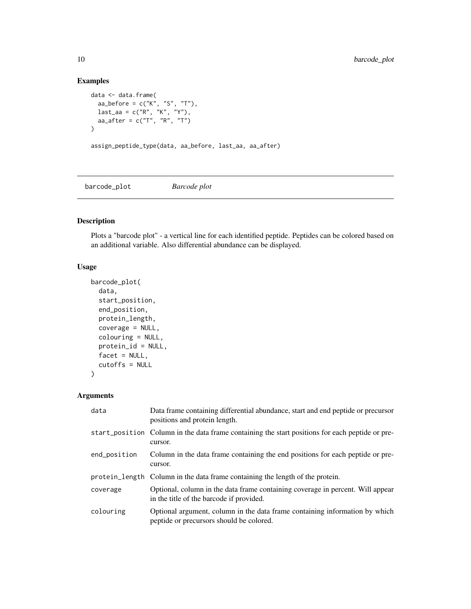# Examples

```
data <- data.frame(
  aa_before = c("K", "S", "T"),
  last\_aa = c("R", "K", "Y"),
  aa_{a}fter = c("T", "R", "T")
\overline{)}assign_peptide_type(data, aa_before, last_aa, aa_after)
```
barcode\_plot *Barcode plot*

# Description

Plots a "barcode plot" - a vertical line for each identified peptide. Peptides can be colored based on an additional variable. Also differential abundance can be displayed.

# Usage

```
barcode_plot(
  data,
  start_position,
  end_position,
 protein_length,
  coverage = NULL,
  colouring = NULL,
 protein_id = NULL,
 facet = NULL,cutoffs = NULL
)
```

| data         | Data frame containing differential abundance, start and end peptide or precursor<br>positions and protein length.          |
|--------------|----------------------------------------------------------------------------------------------------------------------------|
|              | start_position Column in the data frame containing the start positions for each peptide or pre-<br>cursor.                 |
| end_position | Column in the data frame containing the end positions for each peptide or pre-<br>cursor.                                  |
|              | protein_length Column in the data frame containing the length of the protein.                                              |
| coverage     | Optional, column in the data frame containing coverage in percent. Will appear<br>in the title of the barcode if provided. |
| colouring    | Optional argument, column in the data frame containing information by which<br>peptide or precursors should be colored.    |

<span id="page-9-0"></span>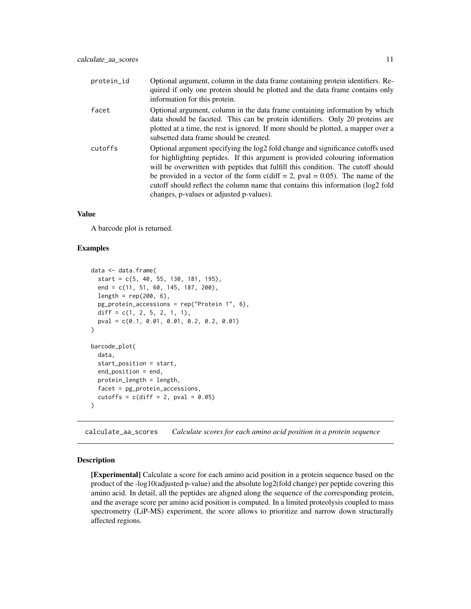<span id="page-10-0"></span>

| protein_id | Optional argument, column in the data frame containing protein identifiers. Re-<br>quired if only one protein should be plotted and the data frame contains only<br>information for this protein.                                                                                                                                                                                                                                                                       |
|------------|-------------------------------------------------------------------------------------------------------------------------------------------------------------------------------------------------------------------------------------------------------------------------------------------------------------------------------------------------------------------------------------------------------------------------------------------------------------------------|
| facet      | Optional argument, column in the data frame containing information by which<br>data should be faceted. This can be protein identifiers. Only 20 proteins are<br>plotted at a time, the rest is ignored. If more should be plotted, a mapper over a<br>subsetted data frame should be created.                                                                                                                                                                           |
| cutoffs    | Optional argument specifying the log2 fold change and significance cutoffs used<br>for highlighting peptides. If this argument is provided colouring information<br>will be overwritten with peptides that fulfill this condition. The cutoff should<br>be provided in a vector of the form $c$ (diff = 2, pval = 0.05). The name of the<br>cutoff should reflect the column name that contains this information (log2 fold<br>changes, p-values or adjusted p-values). |

A barcode plot is returned.

#### Examples

```
data <- data.frame(
  start = c(5, 40, 55, 130, 181, 195),
  end = c(11, 51, 60, 145, 187, 200),
  length = rep(200, 6),
  pg_protein_accessions = rep("Protein 1", 6),
  diff = c(1, 2, 5, 2, 1, 1),
  pval = c(0.1, 0.01, 0.01, 0.2, 0.2, 0.01)
\mathcal{L}barcode_plot(
  data,
  start_position = start,
  end_position = end,
  protein_length = length,
  facet = pg_protein_accessions,
  cutoffs = c(diff = 2, pval = 0.05)
)
```
calculate\_aa\_scores *Calculate scores for each amino acid position in a protein sequence*

#### Description

[Experimental] Calculate a score for each amino acid position in a protein sequence based on the product of the -log10(adjusted p-value) and the absolute log2(fold change) per peptide covering this amino acid. In detail, all the peptides are aligned along the sequence of the corresponding protein, and the average score per amino acid position is computed. In a limited proteolysis coupled to mass spectrometry (LiP-MS) experiment, the score allows to prioritize and narrow down structurally affected regions.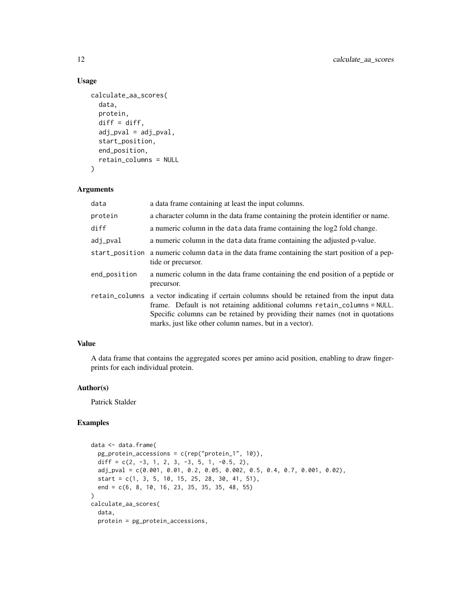# Usage

```
calculate_aa_scores(
  data,
  protein,
  diff = diff,adj\_pval = adj\_pval,start_position,
  end_position,
  retain_columns = NULL
)
```
#### Arguments

| data           | a data frame containing at least the input columns.                                                                                                                                                                                                                                                  |
|----------------|------------------------------------------------------------------------------------------------------------------------------------------------------------------------------------------------------------------------------------------------------------------------------------------------------|
| protein        | a character column in the data frame containing the protein identifier or name.                                                                                                                                                                                                                      |
| diff           | a numeric column in the data data frame containing the log2 fold change.                                                                                                                                                                                                                             |
| adj_pval       | a numeric column in the data data frame containing the adjusted p-value.                                                                                                                                                                                                                             |
|                | start_position a numeric column data in the data frame containing the start position of a pep-<br>tide or precursor.                                                                                                                                                                                 |
| end_position   | a numeric column in the data frame containing the end position of a peptide or<br>precursor.                                                                                                                                                                                                         |
| retain_columns | a vector indicating if certain columns should be retained from the input data<br>frame. Default is not retaining additional columns retain_columns = NULL.<br>Specific columns can be retained by providing their names (not in quotations<br>marks, just like other column names, but in a vector). |

# Value

A data frame that contains the aggregated scores per amino acid position, enabling to draw fingerprints for each individual protein.

#### Author(s)

Patrick Stalder

```
data <- data.frame(
  pg_protein_accessions = c(rep("protein_1", 10)),
  diff = c(2, -3, 1, 2, 3, -3, 5, 1, -0.5, 2),
  adj\_pval = c(0.001, 0.01, 0.2, 0.05, 0.002, 0.5, 0.4, 0.7, 0.001, 0.02),start = c(1, 3, 5, 10, 15, 25, 28, 30, 41, 51),
  end = c(6, 8, 10, 16, 23, 35, 35, 35, 48, 55)
\mathcal{L}calculate_aa_scores(
  data,
  protein = pg_protein_accessions,
```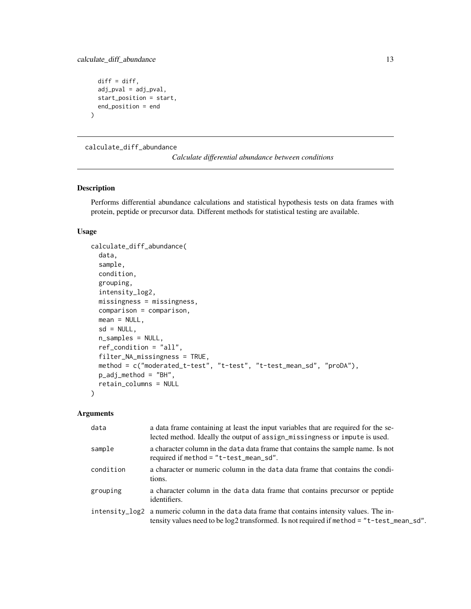```
diff = diff,adj_pval = adj_pval,
 start_position = start,
 end_position = end
)
```
calculate\_diff\_abundance

```
Calculate differential abundance between conditions
```
# Description

Performs differential abundance calculations and statistical hypothesis tests on data frames with protein, peptide or precursor data. Different methods for statistical testing are available.

#### Usage

```
calculate_diff_abundance(
  data,
  sample,
  condition,
  grouping,
  intensity_log2,
  missingness = missingness,
  comparison = comparison,
  mean = NULL,sd = NULL,n_samples = NULL,
  ref_condition = "all",
  filter_NA_missingness = TRUE,
  method = c("moderated_t-test", "t-test", "t-test_mean_sd", "proDA"),
  p_adj_method = "BH",
  retain_columns = NULL
\mathcal{E}
```

| data      | a data frame containing at least the input variables that are required for the se-<br>lected method. Ideally the output of assign_missingness or impute is used.                            |
|-----------|---------------------------------------------------------------------------------------------------------------------------------------------------------------------------------------------|
| sample    | a character column in the data data frame that contains the sample name. Is not<br>required if method = $"t-test_mean_s d".$                                                                |
| condition | a character or numeric column in the data data frame that contains the condi-<br>tions.                                                                                                     |
| grouping  | a character column in the data data frame that contains precursor or peptide<br>identifiers.                                                                                                |
|           | intensity_log2 a numeric column in the data data frame that contains intensity values. The in-<br>tensity values need to be log2 transformed. Is not required if method = "t-test_mean_sd". |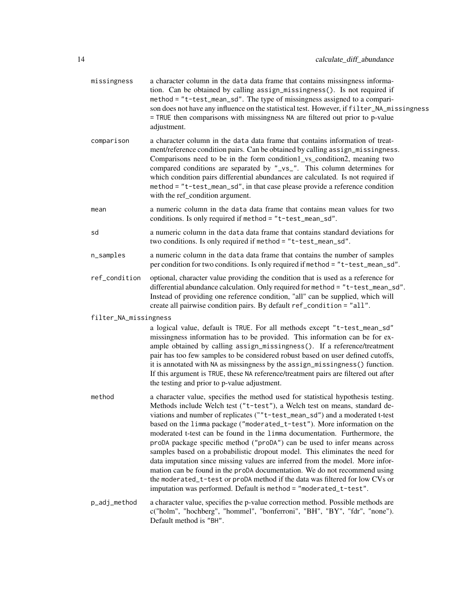| missingness           | a character column in the data data frame that contains missingness informa-<br>tion. Can be obtained by calling assign_missingness(). Is not required if<br>method = "t-test_mean_sd". The type of missingness assigned to a compari-<br>son does not have any influence on the statistical test. However, if filter_NA_missingness<br>= TRUE then comparisons with missingness NA are filtered out prior to p-value<br>adjustment.                                                                                                                                                                                                                                                                                                                                                                                                                                                     |
|-----------------------|------------------------------------------------------------------------------------------------------------------------------------------------------------------------------------------------------------------------------------------------------------------------------------------------------------------------------------------------------------------------------------------------------------------------------------------------------------------------------------------------------------------------------------------------------------------------------------------------------------------------------------------------------------------------------------------------------------------------------------------------------------------------------------------------------------------------------------------------------------------------------------------|
| comparison            | a character column in the data data frame that contains information of treat-<br>ment/reference condition pairs. Can be obtained by calling assign_missingness.<br>Comparisons need to be in the form condition1_vs_condition2, meaning two<br>compared conditions are separated by "_vs_". This column determines for<br>which condition pairs differential abundances are calculated. Is not required if<br>method = "t-test_mean_sd", in that case please provide a reference condition<br>with the ref_condition argument.                                                                                                                                                                                                                                                                                                                                                           |
| mean                  | a numeric column in the data data frame that contains mean values for two<br>conditions. Is only required if method = "t-test_mean_sd".                                                                                                                                                                                                                                                                                                                                                                                                                                                                                                                                                                                                                                                                                                                                                  |
| sd                    | a numeric column in the data data frame that contains standard deviations for<br>two conditions. Is only required if method = "t-test_mean_sd".                                                                                                                                                                                                                                                                                                                                                                                                                                                                                                                                                                                                                                                                                                                                          |
| n_samples             | a numeric column in the data data frame that contains the number of samples<br>per condition for two conditions. Is only required if method = "t-test_mean_sd".                                                                                                                                                                                                                                                                                                                                                                                                                                                                                                                                                                                                                                                                                                                          |
| ref_condition         | optional, character value providing the condition that is used as a reference for<br>differential abundance calculation. Only required for method = "t-test_mean_sd".<br>Instead of providing one reference condition, "all" can be supplied, which will<br>create all pairwise condition pairs. By default ref_condition = "all".                                                                                                                                                                                                                                                                                                                                                                                                                                                                                                                                                       |
| filter_NA_missingness |                                                                                                                                                                                                                                                                                                                                                                                                                                                                                                                                                                                                                                                                                                                                                                                                                                                                                          |
|                       | a logical value, default is TRUE. For all methods except "t-test_mean_sd"<br>missingness information has to be provided. This information can be for ex-<br>ample obtained by calling assign_missingness(). If a reference/treatment<br>pair has too few samples to be considered robust based on user defined cutoffs,<br>it is annotated with NA as missingness by the assign_missingness() function.<br>If this argument is TRUE, these NA reference/treatment pairs are filtered out after<br>the testing and prior to p-value adjustment.                                                                                                                                                                                                                                                                                                                                           |
| method                | a character value, specifies the method used for statistical hypothesis testing.<br>Methods include Welch test ("t-test"), a Welch test on means, standard de-<br>viations and number of replicates (""t-test_mean_sd") and a moderated t-test<br>based on the limma package ("moderated_t-test"). More information on the<br>moderated t-test can be found in the 1imma documentation. Furthermore, the<br>proDA package specific method ("proDA") can be used to infer means across<br>samples based on a probabilistic dropout model. This eliminates the need for<br>data imputation since missing values are inferred from the model. More infor-<br>mation can be found in the proDA documentation. We do not recommend using<br>the moderated_t-test or proDA method if the data was filtered for low CVs or<br>imputation was performed. Default is method = "moderated_t-test". |
| p_adj_method          | a character value, specifies the p-value correction method. Possible methods are<br>c("holm", "hochberg", "hommel", "bonferroni", "BH", "BY", "fdr", "none").<br>Default method is "BH".                                                                                                                                                                                                                                                                                                                                                                                                                                                                                                                                                                                                                                                                                                 |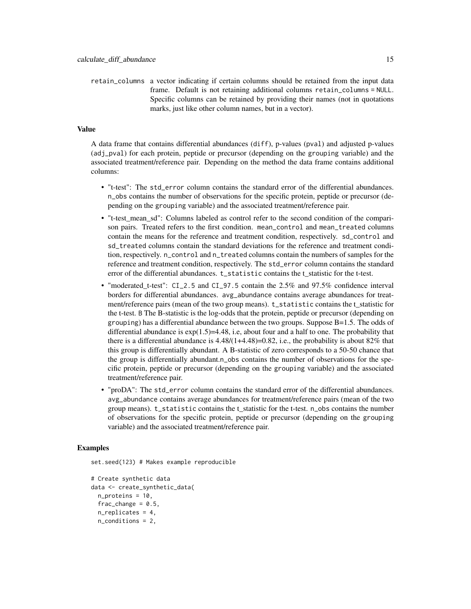retain\_columns a vector indicating if certain columns should be retained from the input data frame. Default is not retaining additional columns retain\_columns = NULL. Specific columns can be retained by providing their names (not in quotations marks, just like other column names, but in a vector).

#### Value

A data frame that contains differential abundances (diff), p-values (pval) and adjusted p-values (adj\_pval) for each protein, peptide or precursor (depending on the grouping variable) and the associated treatment/reference pair. Depending on the method the data frame contains additional columns:

- "t-test": The std\_error column contains the standard error of the differential abundances. n\_obs contains the number of observations for the specific protein, peptide or precursor (depending on the grouping variable) and the associated treatment/reference pair.
- "t-test mean sd": Columns labeled as control refer to the second condition of the comparison pairs. Treated refers to the first condition. mean\_control and mean\_treated columns contain the means for the reference and treatment condition, respectively. sd\_control and sd\_treated columns contain the standard deviations for the reference and treatment condition, respectively. n\_control and n\_treated columns contain the numbers of samples for the reference and treatment condition, respectively. The std\_error column contains the standard error of the differential abundances. t\_statistic contains the t\_statistic for the t-test.
- "moderated\_t-test": CI\_2.5 and CI\_97.5 contain the 2.5% and 97.5% confidence interval borders for differential abundances. avg\_abundance contains average abundances for treatment/reference pairs (mean of the two group means). t\_statistic contains the t\_statistic for the t-test. B The B-statistic is the log-odds that the protein, peptide or precursor (depending on grouping) has a differential abundance between the two groups. Suppose B=1.5. The odds of differential abundance is  $exp(1.5)=4.48$ , i.e, about four and a half to one. The probability that there is a differential abundance is  $4.48/(1+4.48)=0.82$ , i.e., the probability is about  $82\%$  that this group is differentially abundant. A B-statistic of zero corresponds to a 50-50 chance that the group is differentially abundant.n\_obs contains the number of observations for the specific protein, peptide or precursor (depending on the grouping variable) and the associated treatment/reference pair.
- "proDA": The std\_error column contains the standard error of the differential abundances. avg\_abundance contains average abundances for treatment/reference pairs (mean of the two group means). t\_statistic contains the t\_statistic for the t-test. n\_obs contains the number of observations for the specific protein, peptide or precursor (depending on the grouping variable) and the associated treatment/reference pair.

#### Examples

set.seed(123) # Makes example reproducible

```
# Create synthetic data
data <- create_synthetic_data(
 n_proteins = 10,
 frac_{change = 0.5}n_replicates = 4,
 n_conditions = 2,
```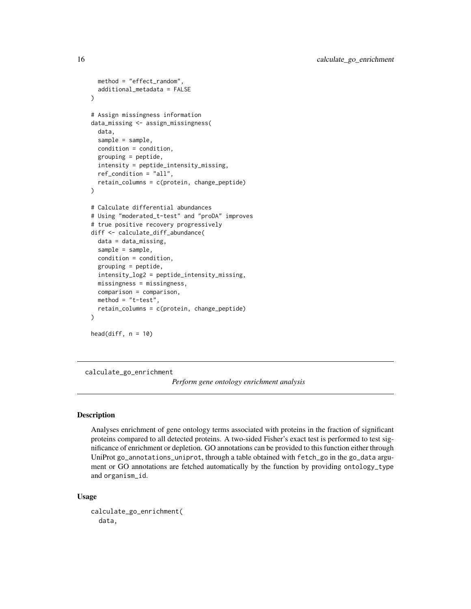```
method = "effect_random",
 additional_metadata = FALSE
)
# Assign missingness information
data_missing <- assign_missingness(
 data,
 sample = sample,
 condition = condition,
 grouping = peptide,
 intensity = peptide_intensity_missing,
 ref_condition = "all",
 retain_columns = c(protein, change_peptide)
)
# Calculate differential abundances
# Using "moderated_t-test" and "proDA" improves
# true positive recovery progressively
diff <- calculate_diff_abundance(
 data = data_missing,
 sample = sample,
 condition = condition,
 grouping = peptide,
 intensity_log2 = peptide_intensity_missing,
 missingness = missingness,
 comparison = comparison,
 method = "t-test",retain_columns = c(protein, change_peptide)
)
head(diff, n = 10)
```
calculate\_go\_enrichment

*Perform gene ontology enrichment analysis*

# Description

Analyses enrichment of gene ontology terms associated with proteins in the fraction of significant proteins compared to all detected proteins. A two-sided Fisher's exact test is performed to test significance of enrichment or depletion. GO annotations can be provided to this function either through UniProt go\_annotations\_uniprot, through a table obtained with fetch\_go in the go\_data argument or GO annotations are fetched automatically by the function by providing ontology\_type and organism\_id.

#### Usage

```
calculate_go_enrichment(
  data,
```
<span id="page-15-0"></span>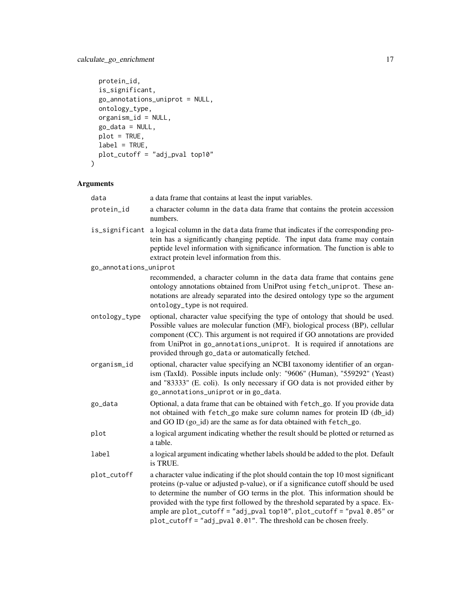```
protein_id,
 is_significant,
 go_annotations_uniprot = NULL,
 ontology_type,
 organism_id = NULL,
 go_data = NULL,
 plot = TRUE,
 label = TRUE,plot_cutoff = "adj_pval top10"
\mathcal{L}
```

| data                   | a data frame that contains at least the input variables.                                                                                                                                                                                                                                                                                                                                                                                                                                     |
|------------------------|----------------------------------------------------------------------------------------------------------------------------------------------------------------------------------------------------------------------------------------------------------------------------------------------------------------------------------------------------------------------------------------------------------------------------------------------------------------------------------------------|
| protein_id             | a character column in the data data frame that contains the protein accession<br>numbers.                                                                                                                                                                                                                                                                                                                                                                                                    |
| is_significant         | a logical column in the data data frame that indicates if the corresponding pro-<br>tein has a significantly changing peptide. The input data frame may contain<br>peptide level information with significance information. The function is able to<br>extract protein level information from this.                                                                                                                                                                                          |
| go_annotations_uniprot |                                                                                                                                                                                                                                                                                                                                                                                                                                                                                              |
|                        | recommended, a character column in the data data frame that contains gene<br>ontology annotations obtained from UniProt using fetch_uniprot. These an-<br>notations are already separated into the desired ontology type so the argument<br>ontology_type is not required.                                                                                                                                                                                                                   |
| ontology_type          | optional, character value specifying the type of ontology that should be used.<br>Possible values are molecular function (MF), biological process (BP), cellular<br>component (CC). This argument is not required if GO annotations are provided<br>from UniProt in go_annotations_uniprot. It is required if annotations are<br>provided through go_data or automatically fetched.                                                                                                          |
| organism_id            | optional, character value specifying an NCBI taxonomy identifier of an organ-<br>ism (TaxId). Possible inputs include only: "9606" (Human), "559292" (Yeast)<br>and "83333" (E. coli). Is only necessary if GO data is not provided either by<br>go_annotations_uniprot or in go_data.                                                                                                                                                                                                       |
| go_data                | Optional, a data frame that can be obtained with fetch_go. If you provide data<br>not obtained with fetch_go make sure column names for protein ID (db_id)<br>and GO ID (go_id) are the same as for data obtained with fetch_go.                                                                                                                                                                                                                                                             |
| plot                   | a logical argument indicating whether the result should be plotted or returned as<br>a table.                                                                                                                                                                                                                                                                                                                                                                                                |
| label                  | a logical argument indicating whether labels should be added to the plot. Default<br>is TRUE.                                                                                                                                                                                                                                                                                                                                                                                                |
| plot_cutoff            | a character value indicating if the plot should contain the top 10 most significant<br>proteins (p-value or adjusted p-value), or if a significance cutoff should be used<br>to determine the number of GO terms in the plot. This information should be<br>provided with the type first followed by the threshold separated by a space. Ex-<br>ample are plot_cutoff = "adj_pval top10", plot_cutoff = "pval 0.05" or<br>plot_cutoff = "adj_pval 0.01". The threshold can be chosen freely. |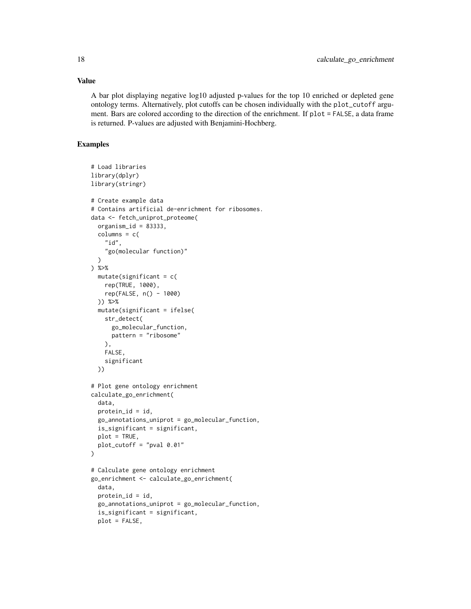A bar plot displaying negative log10 adjusted p-values for the top 10 enriched or depleted gene ontology terms. Alternatively, plot cutoffs can be chosen individually with the plot\_cutoff argument. Bars are colored according to the direction of the enrichment. If plot = FALSE, a data frame is returned. P-values are adjusted with Benjamini-Hochberg.

```
# Load libraries
library(dplyr)
library(stringr)
# Create example data
# Contains artificial de-enrichment for ribosomes.
data <- fetch_uniprot_proteome(
  organism_id = 83333,
  columns = c("id",
    "go(molecular function)"
  \lambda) %>%
 mutate(significant = c()rep(TRUE, 1000),
   rep(FALSE, n() - 1000)
  )) %>%
  mutate(significant = ifelse(
   str_detect(
      go_molecular_function,
     pattern = "ribosome"
   ),
   FALSE,
   significant
  ))
# Plot gene ontology enrichment
calculate_go_enrichment(
  data,
  protein_id = id,
  go_annotations_uniprot = go_molecular_function,
  is_significant = significant,
  plot = TRUE,
  plot_cutoff = "pval 0.01"
\mathcal{L}# Calculate gene ontology enrichment
go_enrichment <- calculate_go_enrichment(
  data,
  protein_id = id,
  go_annotations_uniprot = go_molecular_function,
  is_significant = significant,
  plot = FALSE,
```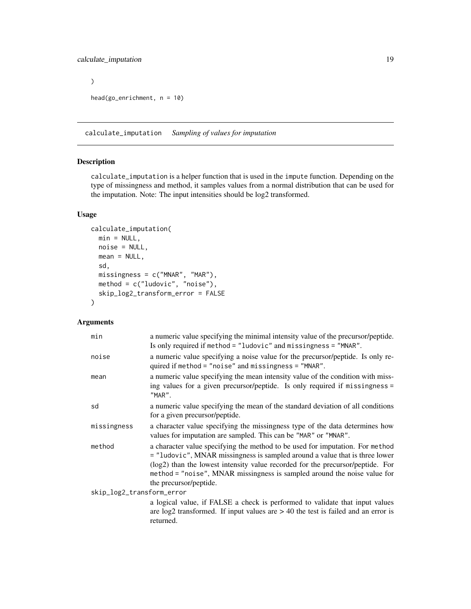```
\mathcal{L}head(go_enrichment, n = 10)
```
calculate\_imputation *Sampling of values for imputation*

#### Description

calculate\_imputation is a helper function that is used in the impute function. Depending on the type of missingness and method, it samples values from a normal distribution that can be used for the imputation. Note: The input intensities should be log2 transformed.

#### Usage

```
calculate_imputation(
 min = NULL,noise = NULL,
 mean = NULL,sd,
 missingness = c("MNAR", "MAR"),
 method = c("ludovic", "noise"),
  skip_log2_transform_error = FALSE
\mathcal{L}
```

| min                       | a numeric value specifying the minimal intensity value of the precursor/peptide.<br>Is only required if method = "ludovic" and missingness = "MNAR".                                                                                                                                                                                                 |
|---------------------------|------------------------------------------------------------------------------------------------------------------------------------------------------------------------------------------------------------------------------------------------------------------------------------------------------------------------------------------------------|
| noise                     | a numeric value specifying a noise value for the precursor/peptide. Is only re-<br>quired if method = "noise" and missingness = "MNAR".                                                                                                                                                                                                              |
| mean                      | a numeric value specifying the mean intensity value of the condition with miss-<br>ing values for a given precursor/peptide. Is only required if missingness =<br>"MAR".                                                                                                                                                                             |
| sd                        | a numeric value specifying the mean of the standard deviation of all conditions<br>for a given precursor/peptide.                                                                                                                                                                                                                                    |
| missingness               | a character value specifying the missingness type of the data determines how<br>values for imputation are sampled. This can be "MAR" or "MNAR".                                                                                                                                                                                                      |
| method                    | a character value specifying the method to be used for imputation. For method<br>= "ludovic", MNAR missingness is sampled around a value that is three lower<br>(log2) than the lowest intensity value recorded for the precursor/peptide. For<br>method = "noise", MNAR missingness is sampled around the noise value for<br>the precursor/peptide. |
| skip_log2_transform_error |                                                                                                                                                                                                                                                                                                                                                      |
|                           | a logical value, if FALSE a check is performed to validate that input values<br>are $log2$ transformed. If input values are $> 40$ the test is failed and an error is<br>returned.                                                                                                                                                                   |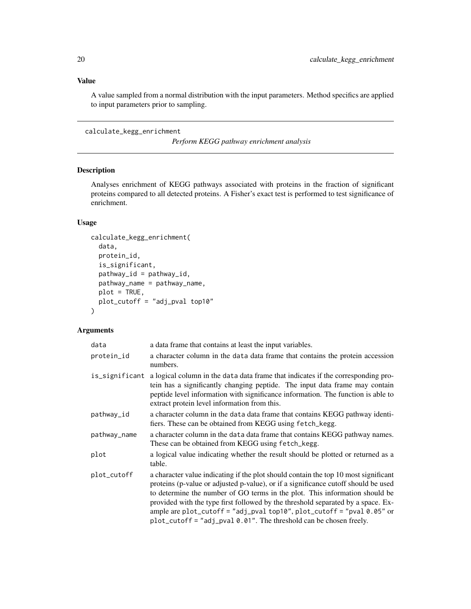<span id="page-19-0"></span>A value sampled from a normal distribution with the input parameters. Method specifics are applied to input parameters prior to sampling.

calculate\_kegg\_enrichment

*Perform KEGG pathway enrichment analysis*

# Description

Analyses enrichment of KEGG pathways associated with proteins in the fraction of significant proteins compared to all detected proteins. A Fisher's exact test is performed to test significance of enrichment.

#### Usage

```
calculate_kegg_enrichment(
  data,
  protein_id,
  is_significant,
  pathway_id = pathway_id,
 pathway_name = pathway_name,
 plot = TRUE,
 plot_cutoff = "adj_pval top10"
\lambda
```

| data           | a data frame that contains at least the input variables.                                                                                                                                                                                                                                                                                                                                                                                                                                       |
|----------------|------------------------------------------------------------------------------------------------------------------------------------------------------------------------------------------------------------------------------------------------------------------------------------------------------------------------------------------------------------------------------------------------------------------------------------------------------------------------------------------------|
| protein_id     | a character column in the data data frame that contains the protein accession<br>numbers.                                                                                                                                                                                                                                                                                                                                                                                                      |
| is_significant | a logical column in the data data frame that indicates if the corresponding pro-<br>tein has a significantly changing peptide. The input data frame may contain<br>peptide level information with significance information. The function is able to<br>extract protein level information from this.                                                                                                                                                                                            |
| pathway_id     | a character column in the data data frame that contains KEGG pathway identi-<br>fiers. These can be obtained from KEGG using fetch_kegg.                                                                                                                                                                                                                                                                                                                                                       |
| pathway_name   | a character column in the data data frame that contains KEGG pathway names.<br>These can be obtained from KEGG using fetch_kegg.                                                                                                                                                                                                                                                                                                                                                               |
| plot           | a logical value indicating whether the result should be plotted or returned as a<br>table.                                                                                                                                                                                                                                                                                                                                                                                                     |
| plot_cutoff    | a character value indicating if the plot should contain the top 10 most significant<br>proteins (p-value or adjusted p-value), or if a significance cutoff should be used<br>to determine the number of GO terms in the plot. This information should be<br>provided with the type first followed by the threshold separated by a space. Ex-<br>ample are plot_cutoff = "adj_pval top10", plot_cutoff = "pval 0.05" or<br>$plot_cutoff = "adj_pval 0.01".$ The threshold can be chosen freely. |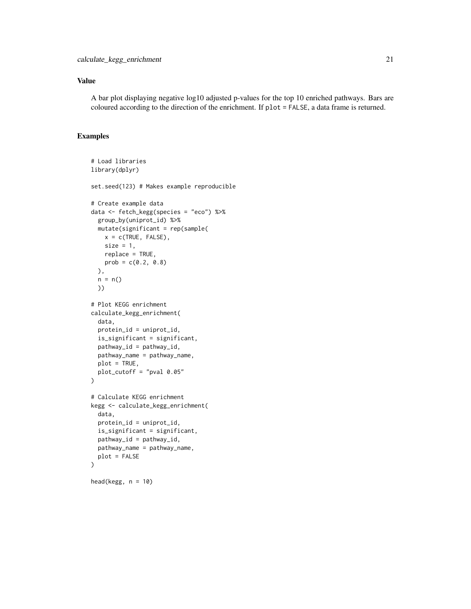A bar plot displaying negative log10 adjusted p-values for the top 10 enriched pathways. Bars are coloured according to the direction of the enrichment. If plot = FALSE, a data frame is returned.

```
# Load libraries
library(dplyr)
set.seed(123) # Makes example reproducible
# Create example data
data <- fetch_kegg(species = "eco") %>%
  group_by(uniprot_id) %>%
  mutate(significant = rep(sample(
   x = c(TRUE, FALSE),
    size = 1,
   replace = TRUE,
    prob = c(0.2, 0.8)),
  n = n()))
# Plot KEGG enrichment
calculate_kegg_enrichment(
  data,
  protein_id = uniprot_id,
  is_significant = significant,
  pathway_id = pathway_id,
  pathway_name = pathway_name,
  plot = TRUE,
  plot_cutoff = "pval 0.05"
\overline{)}# Calculate KEGG enrichment
kegg <- calculate_kegg_enrichment(
  data,
  protein_id = uniprot_id,
  is_significant = significant,
  pathway_id = pathway_id,
  pathway_name = pathway_name,
  plot = FALSE
\mathcal{L}head(kegg, n = 10)
```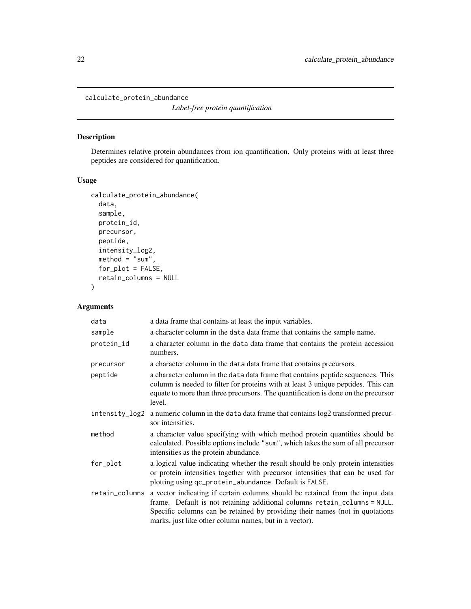<span id="page-21-0"></span>calculate\_protein\_abundance

*Label-free protein quantification*

# Description

Determines relative protein abundances from ion quantification. Only proteins with at least three peptides are considered for quantification.

#### Usage

```
calculate_protein_abundance(
  data,
  sample,
 protein_id,
 precursor,
 peptide,
  intensity_log2,
 \text{method} = "sum",for_plot = FALSE,
  retain_columns = NULL
)
```

| data           | a data frame that contains at least the input variables.                                                                                                                                                                                                                                             |
|----------------|------------------------------------------------------------------------------------------------------------------------------------------------------------------------------------------------------------------------------------------------------------------------------------------------------|
| sample         | a character column in the data data frame that contains the sample name.                                                                                                                                                                                                                             |
| protein_id     | a character column in the data data frame that contains the protein accession<br>numbers.                                                                                                                                                                                                            |
| precursor      | a character column in the data data frame that contains precursors.                                                                                                                                                                                                                                  |
| peptide        | a character column in the data data frame that contains peptide sequences. This<br>column is needed to filter for proteins with at least 3 unique peptides. This can<br>equate to more than three precursors. The quantification is done on the precursor<br>level.                                  |
| intensity_log2 | a numeric column in the data data frame that contains $log2$ transformed precur-<br>sor intensities.                                                                                                                                                                                                 |
| method         | a character value specifying with which method protein quantities should be<br>calculated. Possible options include "sum", which takes the sum of all precursor<br>intensities as the protein abundance.                                                                                             |
| for_plot       | a logical value indicating whether the result should be only protein intensities<br>or protein intensities together with precursor intensities that can be used for<br>plotting using qc_protein_abundance. Default is FALSE.                                                                        |
| retain_columns | a vector indicating if certain columns should be retained from the input data<br>frame. Default is not retaining additional columns retain_columns = NULL.<br>Specific columns can be retained by providing their names (not in quotations<br>marks, just like other column names, but in a vector). |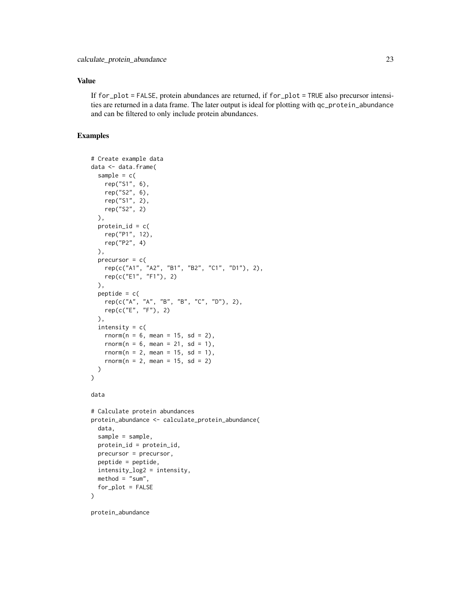If for\_plot = FALSE, protein abundances are returned, if for\_plot = TRUE also precursor intensities are returned in a data frame. The later output is ideal for plotting with qc\_protein\_abundance and can be filtered to only include protein abundances.

#### Examples

```
# Create example data
data <- data.frame(
  sample = c(rep("S1", 6),
   rep("S2", 6),
   rep("S1", 2),
   rep("S2", 2)
  ),
  protein_id = c(
   rep("P1", 12),
   rep("P2", 4)
  ),
  precursor = c(
    rep(c("A1", "A2", "B1", "B2", "C1", "D1"), 2),
    rep(c("E1", "F1"), 2)
  ),
  peptide = c(rep(c("A", "A", "B", "B", "C", "D"), 2),
   rep(c("E", "F"), 2)
  ),
  intensity = c(rnorm(n = 6, mean = 15, sd = 2),rnorm(n = 6, mean = 21, sd = 1),rnorm(n = 2, mean = 15, sd = 1),rnorm(n = 2, mean = 15, sd = 2)
 )
)
data
# Calculate protein abundances
protein_abundance <- calculate_protein_abundance(
  data,
  sample = sample,
  protein_id = protein_id,
  precursor = precursor,
  peptide = peptide,
  intensity_log2 = intensity,
  method = "sum",for_plot = FALSE
)
```
protein\_abundance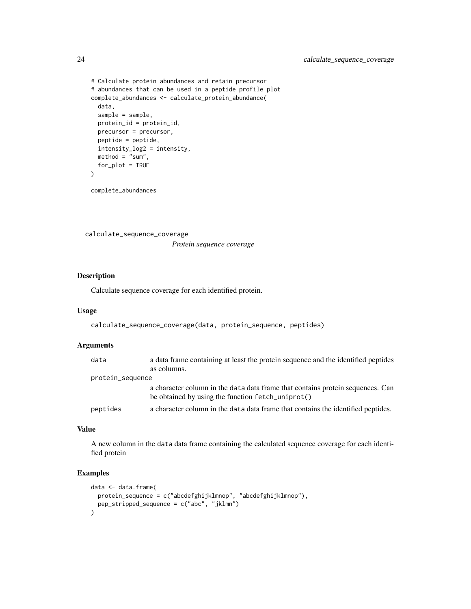```
# Calculate protein abundances and retain precursor
# abundances that can be used in a peptide profile plot
complete_abundances <- calculate_protein_abundance(
  data,
  sample = sample,
  protein_id = protein_id,
  precursor = precursor,
  peptide = peptide,
  intensity_log2 = intensity,
  method = "sum",for_plot = TRUE
\overline{\phantom{a}}
```
complete\_abundances

calculate\_sequence\_coverage

*Protein sequence coverage*

# Description

Calculate sequence coverage for each identified protein.

#### Usage

```
calculate_sequence_coverage(data, protein_sequence, peptides)
```
#### Arguments

| data             | a data frame containing at least the protein sequence and the identified peptides                                                   |
|------------------|-------------------------------------------------------------------------------------------------------------------------------------|
|                  | as columns.                                                                                                                         |
| protein_sequence |                                                                                                                                     |
|                  | a character column in the data data frame that contains protein sequences. Can<br>be obtained by using the function fetch_uniprot() |
| peptides         | a character column in the data data frame that contains the identified peptides.                                                    |

# Value

A new column in the data data frame containing the calculated sequence coverage for each identified protein

```
data <- data.frame(
  protein_sequence = c("abcdefghijklmnop", "abcdefghijklmnop"),
  pep_stripped_sequence = c("abc", "jklmn")
\mathcal{L}
```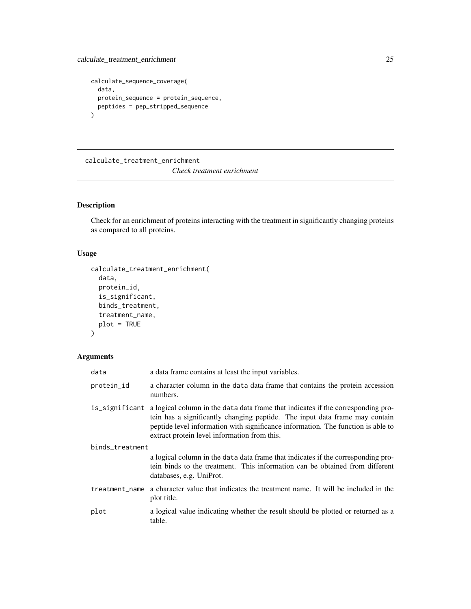```
calculate_sequence_coverage(
  data,
  protein_sequence = protein_sequence,
  peptides = pep_stripped_sequence
)
```
calculate\_treatment\_enrichment

*Check treatment enrichment*

# Description

Check for an enrichment of proteins interacting with the treatment in significantly changing proteins as compared to all proteins.

# Usage

```
calculate_treatment_enrichment(
  data,
  protein_id,
  is_significant,
  binds_treatment,
  treatment_name,
  plot = TRUE
)
```

| data            | a data frame contains at least the input variables.                                                                                                                                                                                                                                                                |  |
|-----------------|--------------------------------------------------------------------------------------------------------------------------------------------------------------------------------------------------------------------------------------------------------------------------------------------------------------------|--|
| protein_id      | a character column in the data data frame that contains the protein accession<br>numbers.                                                                                                                                                                                                                          |  |
|                 | is_significant a logical column in the data data frame that indicates if the corresponding pro-<br>tein has a significantly changing peptide. The input data frame may contain<br>peptide level information with significance information. The function is able to<br>extract protein level information from this. |  |
| binds_treatment |                                                                                                                                                                                                                                                                                                                    |  |
|                 | a logical column in the data data frame that indicates if the corresponding pro-<br>tein binds to the treatment. This information can be obtained from different<br>databases, e.g. UniProt.                                                                                                                       |  |
| treatment_name  | a character value that indicates the treatment name. It will be included in the<br>plot title.                                                                                                                                                                                                                     |  |
| plot            | a logical value indicating whether the result should be plotted or returned as a<br>table.                                                                                                                                                                                                                         |  |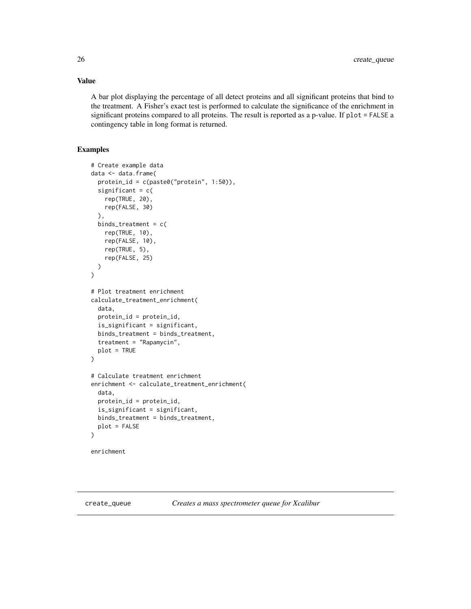<span id="page-25-0"></span>A bar plot displaying the percentage of all detect proteins and all significant proteins that bind to the treatment. A Fisher's exact test is performed to calculate the significance of the enrichment in significant proteins compared to all proteins. The result is reported as a p-value. If plot = FALSE a contingency table in long format is returned.

# Examples

```
# Create example data
data <- data.frame(
 protein_id = c(paste0("protein", 1:50)),
 significant = c(rep(TRUE, 20),
   rep(FALSE, 30)
 ),
 binds_treatment = c(
   rep(TRUE, 10),
    rep(FALSE, 10),
    rep(TRUE, 5),
    rep(FALSE, 25)
 )
)
# Plot treatment enrichment
calculate_treatment_enrichment(
 data,
 protein_id = protein_id,
 is_significant = significant,
 binds_treatment = binds_treatment,
 treatment = "Rapamycin",
 plot = TRUE
\mathcal{L}# Calculate treatment enrichment
enrichment <- calculate_treatment_enrichment(
 data,
 protein_id = protein_id,
 is_significant = significant,
 binds_treatment = binds_treatment,
 plot = FALSE
\mathcal{L}
```
enrichment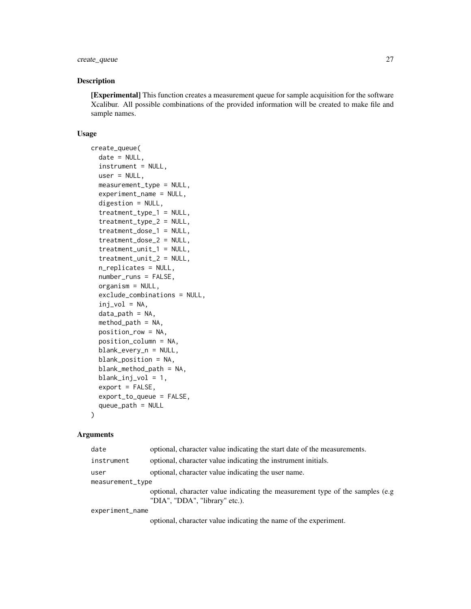# create\_queue 27

#### Description

[Experimental] This function creates a measurement queue for sample acquisition for the software Xcalibur. All possible combinations of the provided information will be created to make file and sample names.

#### Usage

```
create_queue(
  date = NULL,
  instrument = NULL,
  user = NULL,
  measurement_type = NULL,
  experiment_name = NULL,
  digestion = NULL,
  treatment_type_1 = NULL,
  treatment_type_2 = NULL,
  treatment_dose_1 = NULL,
  treatment_dose_2 = NULL,
  treatment_unit_1 = NULL,
  treatment_unit_2 = NULL,
  n_replicates = NULL,
  number_runs = FALSE,
  organism = NULL,
  exclude_combinations = NULL,
  inj_vol = NA,
  data<sub>path</sub> = NA,
  method<sub>-path</sub> = NA,
  position_row = NA,
  position_column = NA,
  blank_every_n = NULL,
  blank_position = NA,
  blank_method_path = NA,
  blank_inj_vol = 1,
  export = FALSE,export_to_queue = FALSE,
  queue_path = NULL
)
```
#### Arguments

| date             | optional, character value indicating the start date of the measurements.                                                                                                                                                                                                                                          |  |
|------------------|-------------------------------------------------------------------------------------------------------------------------------------------------------------------------------------------------------------------------------------------------------------------------------------------------------------------|--|
| instrument       | optional, character value indicating the instrument initials.                                                                                                                                                                                                                                                     |  |
| user             | optional, character value indicating the user name.                                                                                                                                                                                                                                                               |  |
| measurement_type |                                                                                                                                                                                                                                                                                                                   |  |
|                  | optional, character value indicating the measurement type of the samples (e.g.<br>"DIA", "DDA", "library" etc.).                                                                                                                                                                                                  |  |
| experiment_name  |                                                                                                                                                                                                                                                                                                                   |  |
|                  | $\mathcal{L}$ and $\mathcal{L}$ and $\mathcal{L}$ and $\mathcal{L}$ and $\mathcal{L}$ and $\mathcal{L}$ and $\mathcal{L}$ and $\mathcal{L}$ and $\mathcal{L}$ and $\mathcal{L}$ and $\mathcal{L}$ and $\mathcal{L}$ and $\mathcal{L}$ and $\mathcal{L}$ and $\mathcal{L}$ and $\mathcal{L}$ and $\mathcal{L}$ and |  |

optional, character value indicating the name of the experiment.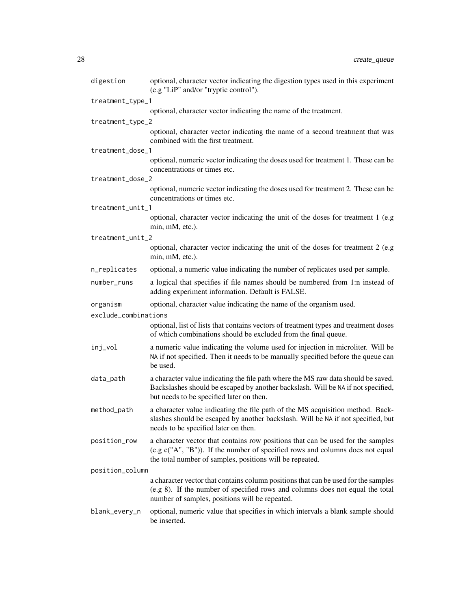| digestion            | optional, character vector indicating the digestion types used in this experiment<br>(e.g "LiP" and/or "tryptic control").                                                                                                   |
|----------------------|------------------------------------------------------------------------------------------------------------------------------------------------------------------------------------------------------------------------------|
| treatment_type_1     |                                                                                                                                                                                                                              |
|                      | optional, character vector indicating the name of the treatment.                                                                                                                                                             |
| treatment_type_2     |                                                                                                                                                                                                                              |
|                      | optional, character vector indicating the name of a second treatment that was<br>combined with the first treatment.                                                                                                          |
| treatment_dose_1     |                                                                                                                                                                                                                              |
|                      | optional, numeric vector indicating the doses used for treatment 1. These can be<br>concentrations or times etc.                                                                                                             |
| treatment_dose_2     |                                                                                                                                                                                                                              |
|                      | optional, numeric vector indicating the doses used for treatment 2. These can be<br>concentrations or times etc.                                                                                                             |
| treatment_unit_1     |                                                                                                                                                                                                                              |
|                      | optional, character vector indicating the unit of the doses for treatment 1 (e.g<br>min, mM, etc.).                                                                                                                          |
| treatment_unit_2     |                                                                                                                                                                                                                              |
|                      | optional, character vector indicating the unit of the doses for treatment 2 (e.g<br>min, mM, etc.).                                                                                                                          |
| n_replicates         | optional, a numeric value indicating the number of replicates used per sample.                                                                                                                                               |
| number_runs          | a logical that specifies if file names should be numbered from 1:n instead of<br>adding experiment information. Default is FALSE.                                                                                            |
| organism             | optional, character value indicating the name of the organism used.                                                                                                                                                          |
| exclude_combinations |                                                                                                                                                                                                                              |
|                      | optional, list of lists that contains vectors of treatment types and treatment doses<br>of which combinations should be excluded from the final queue.                                                                       |
| inj_vol              | a numeric value indicating the volume used for injection in microliter. Will be<br>NA if not specified. Then it needs to be manually specified before the queue can<br>be used.                                              |
| data_path            | a character value indicating the file path where the MS raw data should be saved.<br>Backslashes should be escaped by another backslash. Will be NA if not specified,<br>but needs to be specified later on then.            |
| method_path          | a character value indicating the file path of the MS acquisition method. Back-<br>slashes should be escaped by another backslash. Will be NA if not specified, but<br>needs to be specified later on then.                   |
| position_row         | a character vector that contains row positions that can be used for the samples<br>(e.g c("A", "B")). If the number of specified rows and columns does not equal<br>the total number of samples, positions will be repeated. |
| position_column      |                                                                                                                                                                                                                              |
|                      | a character vector that contains column positions that can be used for the samples<br>(e.g 8). If the number of specified rows and columns does not equal the total<br>number of samples, positions will be repeated.        |
| blank_every_n        | optional, numeric value that specifies in which intervals a blank sample should<br>be inserted.                                                                                                                              |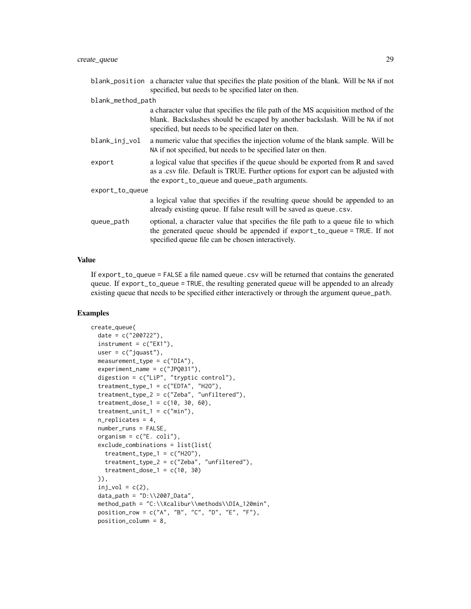|                   | blank_position a character value that specifies the plate position of the blank. Will be NA if not<br>specified, but needs to be specified later on then.                                                                 |  |
|-------------------|---------------------------------------------------------------------------------------------------------------------------------------------------------------------------------------------------------------------------|--|
| blank_method_path |                                                                                                                                                                                                                           |  |
|                   | a character value that specifies the file path of the MS acquisition method of the<br>blank. Backslashes should be escaped by another backslash. Will be NA if not<br>specified, but needs to be specified later on then. |  |
| blank_inj_vol     | a numeric value that specifies the injection volume of the blank sample. Will be<br>NA if not specified, but needs to be specified later on then.                                                                         |  |
| export            | a logical value that specifies if the queue should be exported from R and saved<br>as a .csv file. Default is TRUE. Further options for export can be adjusted with<br>the export_to_queue and queue_path arguments.      |  |
| export_to_queue   |                                                                                                                                                                                                                           |  |
|                   | a logical value that specifies if the resulting queue should be appended to an<br>already existing queue. If false result will be saved as queue.csv.                                                                     |  |
| queue_path        | optional, a character value that specifies the file path to a queue file to which<br>the generated queue should be appended if export_to_queue = TRUE. If not<br>specified queue file can be chosen interactively.        |  |

If export\_to\_queue = FALSE a file named queue.csv will be returned that contains the generated queue. If export\_to\_queue = TRUE, the resulting generated queue will be appended to an already existing queue that needs to be specified either interactively or through the argument queue\_path.

```
create_queue(
  date = c("200722"),
  instrument = c("EX1"),
  user = c("jquast"),measurement_type = c("DIA"),
  experiment_name = c("JPQ031"),
  digestion = c("LiP", "tryptic control"),
  treatment_type_1 = c("EDTA", "H2O"),
  treatment_type_2 = c("Zeba", "unfiltered"),
  treatment\_dose_1 = c(10, 30, 60),
  treatment\_unit_1 = c("min"),n_replicates = 4,
  number_runs = FALSE,
  organism = c("E. coli"),
  exclude_combinations = list(list(
    treatment_type_1 = c("H2O"),
    treatment_type_2 = c("Zeba", "unfiltered"),
    treatment_dose_1 = c(10, 30))),
  inj_vol = c(2),
  data_path = "D:\12007_Data",method_path = "C:\\Xcalibur\\methods\\DIA_120min",
  position_row = c("A", "B", "C", "D", "E", "F"),position_column = 8,
```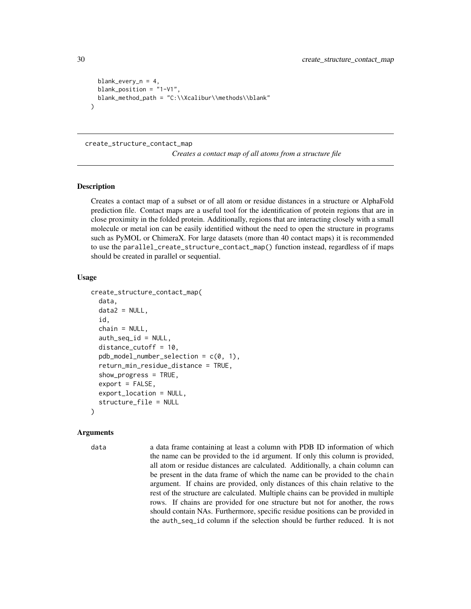```
blank_every_n = 4,
 blank_position = "1-V1",
 blank_method_path = "C:\\Xcalibur\\methods\\blank"
)
```
#### create\_structure\_contact\_map

*Creates a contact map of all atoms from a structure file*

#### Description

Creates a contact map of a subset or of all atom or residue distances in a structure or AlphaFold prediction file. Contact maps are a useful tool for the identification of protein regions that are in close proximity in the folded protein. Additionally, regions that are interacting closely with a small molecule or metal ion can be easily identified without the need to open the structure in programs such as PyMOL or ChimeraX. For large datasets (more than 40 contact maps) it is recommended to use the parallel\_create\_structure\_contact\_map() function instead, regardless of if maps should be created in parallel or sequential.

#### Usage

```
create_structure_contact_map(
  data,
  data2 = NULL,
  id,
  chain = NULL,
  auth\_seq\_id = NULL,distance_cutoff = 10,
  pdb_model_number\_selection = c(0, 1),return_min_residue_distance = TRUE,
  show_progress = TRUE,
  export = FALSE,export_location = NULL,
  structure_file = NULL
)
```
#### Arguments

data a data frame containing at least a column with PDB ID information of which the name can be provided to the id argument. If only this column is provided, all atom or residue distances are calculated. Additionally, a chain column can be present in the data frame of which the name can be provided to the chain argument. If chains are provided, only distances of this chain relative to the rest of the structure are calculated. Multiple chains can be provided in multiple rows. If chains are provided for one structure but not for another, the rows should contain NAs. Furthermore, specific residue positions can be provided in the auth\_seq\_id column if the selection should be further reduced. It is not

<span id="page-29-0"></span>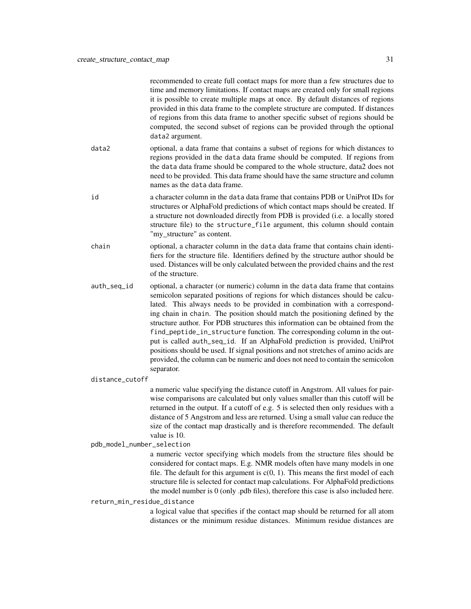| recommended to create full contact maps for more than a few structures due to<br>time and memory limitations. If contact maps are created only for small regions<br>it is possible to create multiple maps at once. By default distances of regions<br>provided in this data frame to the complete structure are computed. If distances<br>of regions from this data frame to another specific subset of regions should be<br>computed, the second subset of regions can be provided through the optional<br>data2 argument.                                                                                                                                                                                                                                   |
|----------------------------------------------------------------------------------------------------------------------------------------------------------------------------------------------------------------------------------------------------------------------------------------------------------------------------------------------------------------------------------------------------------------------------------------------------------------------------------------------------------------------------------------------------------------------------------------------------------------------------------------------------------------------------------------------------------------------------------------------------------------|
| optional, a data frame that contains a subset of regions for which distances to<br>regions provided in the data data frame should be computed. If regions from<br>the data data frame should be compared to the whole structure, data2 does not<br>need to be provided. This data frame should have the same structure and column<br>names as the data data frame.                                                                                                                                                                                                                                                                                                                                                                                             |
| a character column in the data data frame that contains PDB or UniProt IDs for<br>structures or AlphaFold predictions of which contact maps should be created. If<br>a structure not downloaded directly from PDB is provided (i.e. a locally stored<br>structure file) to the structure_file argument, this column should contain<br>"my_structure" as content.                                                                                                                                                                                                                                                                                                                                                                                               |
| optional, a character column in the data data frame that contains chain identi-<br>fiers for the structure file. Identifiers defined by the structure author should be<br>used. Distances will be only calculated between the provided chains and the rest<br>of the structure.                                                                                                                                                                                                                                                                                                                                                                                                                                                                                |
| optional, a character (or numeric) column in the data data frame that contains<br>semicolon separated positions of regions for which distances should be calcu-<br>lated. This always needs to be provided in combination with a correspond-<br>ing chain in chain. The position should match the positioning defined by the<br>structure author. For PDB structures this information can be obtained from the<br>find_peptide_in_structure function. The corresponding column in the out-<br>put is called auth_seq_id. If an AlphaFold prediction is provided, UniProt<br>positions should be used. If signal positions and not stretches of amino acids are<br>provided, the column can be numeric and does not need to contain the semicolon<br>separator. |
| distance_cutoff                                                                                                                                                                                                                                                                                                                                                                                                                                                                                                                                                                                                                                                                                                                                                |
| a numeric value specifying the distance cutoff in Angstrom. All values for pair-<br>wise comparisons are calculated but only values smaller than this cutoff will be<br>returned in the output. If a cutoff of e.g. 5 is selected then only residues with a<br>distance of 5 Angstrom and less are returned. Using a small value can reduce the<br>size of the contact map drastically and is therefore recommended. The default<br>value is 10.                                                                                                                                                                                                                                                                                                               |
| pdb_model_number_selection                                                                                                                                                                                                                                                                                                                                                                                                                                                                                                                                                                                                                                                                                                                                     |
| a numeric vector specifying which models from the structure files should be<br>considered for contact maps. E.g. NMR models often have many models in one<br>file. The default for this argument is $c(0, 1)$ . This means the first model of each<br>structure file is selected for contact map calculations. For AlphaFold predictions<br>the model number is $0$ (only .pdb files), therefore this case is also included here.                                                                                                                                                                                                                                                                                                                              |
| return_min_residue_distance<br>a logical value that specifies if the contact map should be returned for all atom<br>distances or the minimum residue distances. Minimum residue distances are                                                                                                                                                                                                                                                                                                                                                                                                                                                                                                                                                                  |
|                                                                                                                                                                                                                                                                                                                                                                                                                                                                                                                                                                                                                                                                                                                                                                |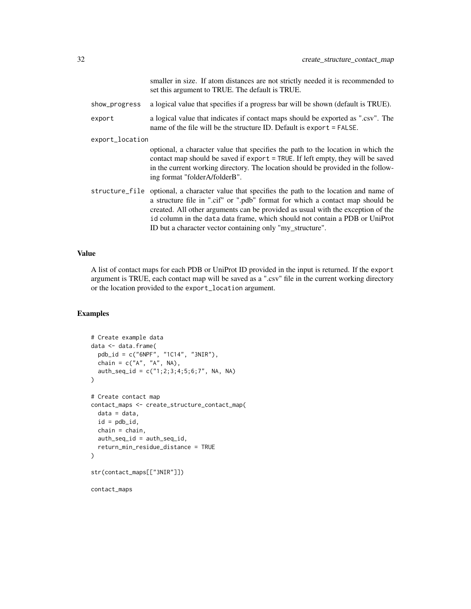smaller in size. If atom distances are not strictly needed it is recommended to set this argument to TRUE. The default is TRUE.

- show\_progress a logical value that specifies if a progress bar will be shown (default is TRUE).
- export a logical value that indicates if contact maps should be exported as ".csv". The name of the file will be the structure ID. Default is export = FALSE.

export\_location

optional, a character value that specifies the path to the location in which the contact map should be saved if export = TRUE. If left empty, they will be saved in the current working directory. The location should be provided in the following format "folderA/folderB".

structure\_file optional, a character value that specifies the path to the location and name of a structure file in ".cif" or ".pdb" format for which a contact map should be created. All other arguments can be provided as usual with the exception of the id column in the data data frame, which should not contain a PDB or UniProt ID but a character vector containing only "my\_structure".

#### Value

A list of contact maps for each PDB or UniProt ID provided in the input is returned. If the export argument is TRUE, each contact map will be saved as a ".csv" file in the current working directory or the location provided to the export\_location argument.

```
# Create example data
data <- data.frame(
 pdb_id = c("6NPF", "1C14", "3NIR"),
 chain = c("A", "A", NA),
 auth_seq_id = c("1;2;3;4;5;6;7", NA, NA)
\mathcal{L}# Create contact map
contact_maps <- create_structure_contact_map(
 data = data,id = pdb_id,chain = chain,
 auth_seq_id = auth_seq_id,
 return_min_residue_distance = TRUE
)
str(contact_maps[["3NIR"]])
contact_maps
```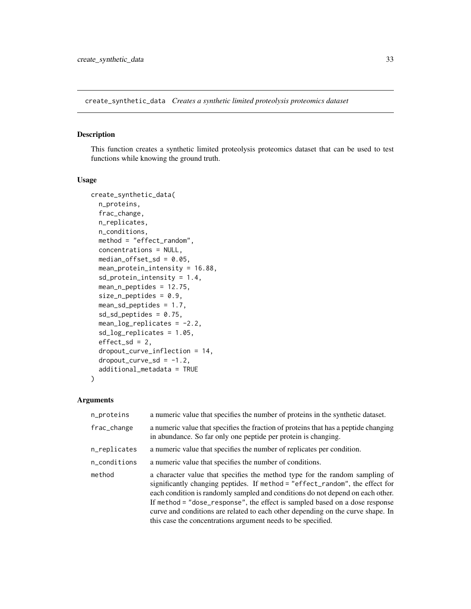<span id="page-32-0"></span>create\_synthetic\_data *Creates a synthetic limited proteolysis proteomics dataset*

# Description

This function creates a synthetic limited proteolysis proteomics dataset that can be used to test functions while knowing the ground truth.

#### Usage

```
create_synthetic_data(
  n_proteins,
  frac_change,
  n_replicates,
  n_conditions,
 method = "effect_random",
  concentrations = NULL,
  median_offset_sd = 0.05,
 mean_protein_intensity = 16.88,
  sd_protein_intensity = 1.4,
  mean_n_peptides = 12.75,
  size_n_peptides = 0.9,
  mean_sd_peptides = 1.7,
  sd\_sd\_peptides = 0.75,
  mean_log_replicates = -2.2,
  sd_log_replicates = 1.05,
  effect_s d = 2,
  dropout_curve_inflection = 14,
  droput\_curve\_sd = -1.2,
  additional_metadata = TRUE
)
```

| n_proteins   | a numeric value that specifies the number of proteins in the synthetic dataset.                                                                                                                                                                                                                                                                                                                                                                                                 |
|--------------|---------------------------------------------------------------------------------------------------------------------------------------------------------------------------------------------------------------------------------------------------------------------------------------------------------------------------------------------------------------------------------------------------------------------------------------------------------------------------------|
| frac_change  | a numeric value that specifies the fraction of proteins that has a peptide changing<br>in abundance. So far only one peptide per protein is changing.                                                                                                                                                                                                                                                                                                                           |
| n_replicates | a numeric value that specifies the number of replicates per condition.                                                                                                                                                                                                                                                                                                                                                                                                          |
| n_conditions | a numeric value that specifies the number of conditions.                                                                                                                                                                                                                                                                                                                                                                                                                        |
| method       | a character value that specifies the method type for the random sampling of<br>significantly changing peptides. If method = "effect_random", the effect for<br>each condition is randomly sampled and conditions do not depend on each other.<br>If method = "dose_response", the effect is sampled based on a dose response<br>curve and conditions are related to each other depending on the curve shape. In<br>this case the concentrations argument needs to be specified. |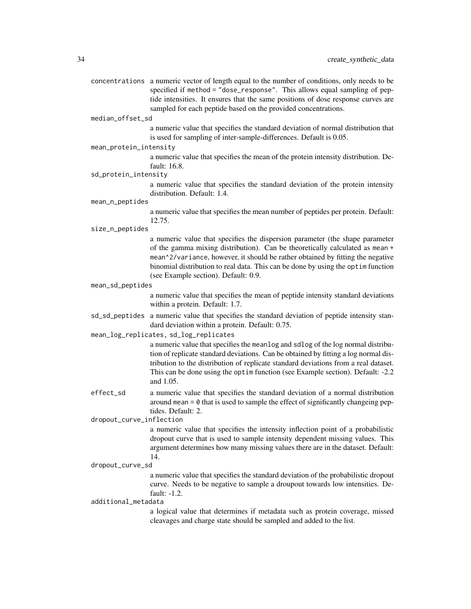| concentrations a numeric vector of length equal to the number of conditions, only needs to be |
|-----------------------------------------------------------------------------------------------|
| specified if method = "dose_response". This allows equal sampling of pep-                     |
| tide intensities. It ensures that the same positions of dose response curves are              |
| sampled for each peptide based on the provided concentrations.                                |
|                                                                                               |

#### median\_offset\_sd

a numeric value that specifies the standard deviation of normal distribution that is used for sampling of inter-sample-differences. Default is 0.05.

mean\_protein\_intensity

a numeric value that specifies the mean of the protein intensity distribution. Default: 16.8.

sd\_protein\_intensity

a numeric value that specifies the standard deviation of the protein intensity distribution. Default: 1.4.

mean\_n\_peptides

a numeric value that specifies the mean number of peptides per protein. Default: 12.75.

#### size\_n\_peptides

a numeric value that specifies the dispersion parameter (the shape parameter of the gamma mixing distribution). Can be theoretically calculated as mean + mean^2/variance, however, it should be rather obtained by fitting the negative binomial distribution to real data. This can be done by using the optim function (see Example section). Default: 0.9.

#### mean\_sd\_peptides

a numeric value that specifies the mean of peptide intensity standard deviations within a protein. Default: 1.7.

sd\_sd\_peptides a numeric value that specifies the standard deviation of peptide intensity standard deviation within a protein. Default: 0.75.

#### mean\_log\_replicates, sd\_log\_replicates

a numeric value that specifies the meanlog and sdlog of the log normal distribution of replicate standard deviations. Can be obtained by fitting a log normal distribution to the distribution of replicate standard deviations from a real dataset. This can be done using the optim function (see Example section). Default: -2.2 and 1.05.

effect\_sd a numeric value that specifies the standard deviation of a normal distribution around mean  $= 0$  that is used to sample the effect of significantly changeing peptides. Default: 2.

dropout\_curve\_inflection

a numeric value that specifies the intensity inflection point of a probabilistic dropout curve that is used to sample intensity dependent missing values. This argument determines how many missing values there are in the dataset. Default: 14.

#### dropout\_curve\_sd

a numeric value that specifies the standard deviation of the probabilistic dropout curve. Needs to be negative to sample a droupout towards low intensities. Default: -1.2.

additional\_metadata

a logical value that determines if metadata such as protein coverage, missed cleavages and charge state should be sampled and added to the list.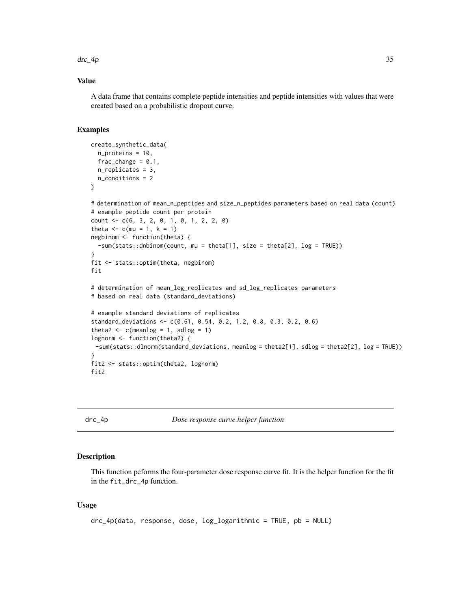#### <span id="page-34-0"></span> $\text{d}r - 4p$  35

# Value

A data frame that contains complete peptide intensities and peptide intensities with values that were created based on a probabilistic dropout curve.

#### Examples

```
create_synthetic_data(
  n_proteins = 10,
  frac_{change = 0.1}n_replicates = 3,
  n_conditions = 2
)
# determination of mean_n_peptides and size_n_peptides parameters based on real data (count)
# example peptide count per protein
count \leq -c(6, 3, 2, 0, 1, 0, 1, 2, 2, 0)theta <-c (mu = 1, k = 1)
negbinom <- function(theta) {
  -sum(stats::dnbinom(count, mu = theta[1], size = theta[2], log = TRUE))
}
fit <- stats::optim(theta, negbinom)
fit
# determination of mean_log_replicates and sd_log_replicates parameters
# based on real data (standard_deviations)
# example standard deviations of replicates
standard_deviations <- c(0.61, 0.54, 0.2, 1.2, 0.8, 0.3, 0.2, 0.6)
theta2 \leftarrow c(meanlog = 1, sdlog = 1)
lognorm <- function(theta2) {
 -sum(stats::dlnorm(standard_deviations, meanlog = theta2[1], sdlog = theta2[2], log = TRUE))
}
fit2 <- stats::optim(theta2, lognorm)
fit2
```
drc\_4p *Dose response curve helper function*

#### Description

This function peforms the four-parameter dose response curve fit. It is the helper function for the fit in the fit\_drc\_4p function.

#### Usage

```
drc_4p(data, response, dose, log_logarithmic = TRUE, pb = NULL)
```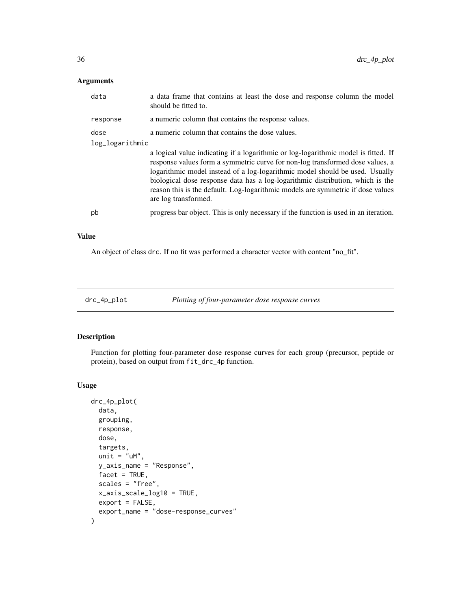# <span id="page-35-0"></span>Arguments

| data            | a data frame that contains at least the dose and response column the model<br>should be fitted to.                                                                                                                                                                                                                                                                                                                                               |
|-----------------|--------------------------------------------------------------------------------------------------------------------------------------------------------------------------------------------------------------------------------------------------------------------------------------------------------------------------------------------------------------------------------------------------------------------------------------------------|
| response        | a numeric column that contains the response values.                                                                                                                                                                                                                                                                                                                                                                                              |
| dose            | a numeric column that contains the dose values.                                                                                                                                                                                                                                                                                                                                                                                                  |
| log_logarithmic |                                                                                                                                                                                                                                                                                                                                                                                                                                                  |
|                 | a logical value indicating if a logarithmic or log-logarithmic model is fitted. If<br>response values form a symmetric curve for non-log transformed dose values, a<br>logarithmic model instead of a log-logarithmic model should be used. Usually<br>biological dose response data has a log-logarithmic distribution, which is the<br>reason this is the default. Log-logarithmic models are symmetric if dose values<br>are log transformed. |
| pb              | progress bar object. This is only necessary if the function is used in an iteration.                                                                                                                                                                                                                                                                                                                                                             |

#### Value

An object of class drc. If no fit was performed a character vector with content "no\_fit".

drc\_4p\_plot *Plotting of four-parameter dose response curves*

#### Description

Function for plotting four-parameter dose response curves for each group (precursor, peptide or protein), based on output from fit\_drc\_4p function.

#### Usage

```
drc_4p_plot(
 data,
 grouping,
 response,
 dose,
 targets,
 unit = "uM",y_axis_name = "Response",
 facet = TRUE,scales = "free",
 x_axis_scale_log10 = TRUE,
 export = FALSE,export_name = "dose-response_curves"
\mathcal{E}
```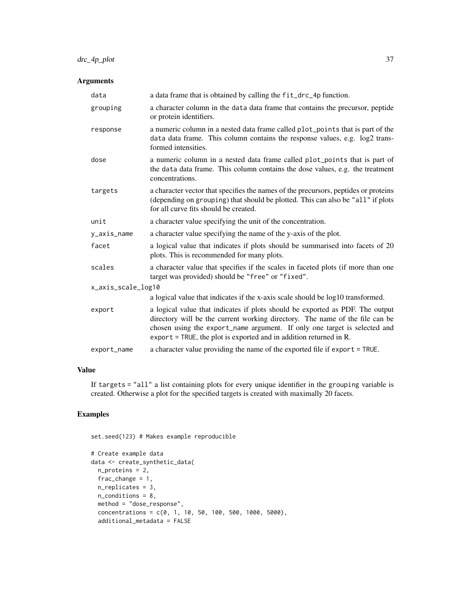# drc\_4p\_plot 37

# Arguments

| data               | a data frame that is obtained by calling the fit_drc_4p function.                                                                                                                                                                                                                                                           |  |
|--------------------|-----------------------------------------------------------------------------------------------------------------------------------------------------------------------------------------------------------------------------------------------------------------------------------------------------------------------------|--|
| grouping           | a character column in the data data frame that contains the precursor, peptide<br>or protein identifiers.                                                                                                                                                                                                                   |  |
| response           | a numeric column in a nested data frame called plot_points that is part of the<br>data data frame. This column contains the response values, e.g. log2 trans-<br>formed intensities.                                                                                                                                        |  |
| dose               | a numeric column in a nested data frame called plot_points that is part of<br>the data data frame. This column contains the dose values, e.g. the treatment<br>concentrations.                                                                                                                                              |  |
| targets            | a character vector that specifies the names of the precursors, peptides or proteins<br>(depending on grouping) that should be plotted. This can also be "all" if plots<br>for all curve fits should be created.                                                                                                             |  |
| unit               | a character value specifying the unit of the concentration.                                                                                                                                                                                                                                                                 |  |
| y_axis_name        | a character value specifying the name of the y-axis of the plot.                                                                                                                                                                                                                                                            |  |
| facet              | a logical value that indicates if plots should be summarised into facets of 20<br>plots. This is recommended for many plots.                                                                                                                                                                                                |  |
| scales             | a character value that specifies if the scales in faceted plots (if more than one<br>target was provided) should be "free" or "fixed".                                                                                                                                                                                      |  |
| x_axis_scale_log10 |                                                                                                                                                                                                                                                                                                                             |  |
|                    | a logical value that indicates if the x-axis scale should be log10 transformed.                                                                                                                                                                                                                                             |  |
| export             | a logical value that indicates if plots should be exported as PDF. The output<br>directory will be the current working directory. The name of the file can be<br>chosen using the export_name argument. If only one target is selected and<br>$\epsilon$ export = TRUE, the plot is exported and in addition returned in R. |  |
| export_name        | a character value providing the name of the exported file if export = TRUE.                                                                                                                                                                                                                                                 |  |

# Value

If targets = "all" a list containing plots for every unique identifier in the grouping variable is created. Otherwise a plot for the specified targets is created with maximally 20 facets.

# Examples

set.seed(123) # Makes example reproducible

```
# Create example data
data <- create_synthetic_data(
 n_proteins = 2,
 frac_change = 1,
 n_replicates = 3,
 n_conditions = 8,
  method = "dose_response",
  concentrations = c(0, 1, 10, 50, 100, 500, 1000, 5000),
  additional_metadata = FALSE
```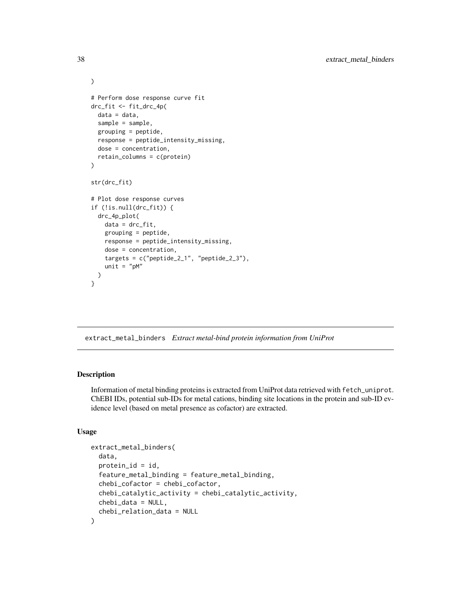```
)
# Perform dose response curve fit
drc_fit <- fit_drc_4p(
  data = data,sample = sample,
  grouping = peptide,
  response = peptide_intensity_missing,
  dose = concentration,
  retain_columns = c(protein)
)
str(drc_fit)
# Plot dose response curves
if (!is.null(drc_fit)) {
  drc_4p_plot(
   data = drc_fit,
    grouping = peptide,
   response = peptide_intensity_missing,
   dose = concentration,
   targets = c("peptide_2_1", "peptide_2_3"),unit = "pM")
}
```
extract\_metal\_binders *Extract metal-bind protein information from UniProt*

# Description

Information of metal binding proteins is extracted from UniProt data retrieved with fetch\_uniprot. ChEBI IDs, potential sub-IDs for metal cations, binding site locations in the protein and sub-ID evidence level (based on metal presence as cofactor) are extracted.

```
extract_metal_binders(
  data,
 protein_id = id,feature_metal_binding = feature_metal_binding,
  chebi_cofactor = chebi_cofactor,
  chebi_catalytic_activity = chebi_catalytic_activity,
  chebi_data = NULL,
  chebi_relation_data = NULL
)
```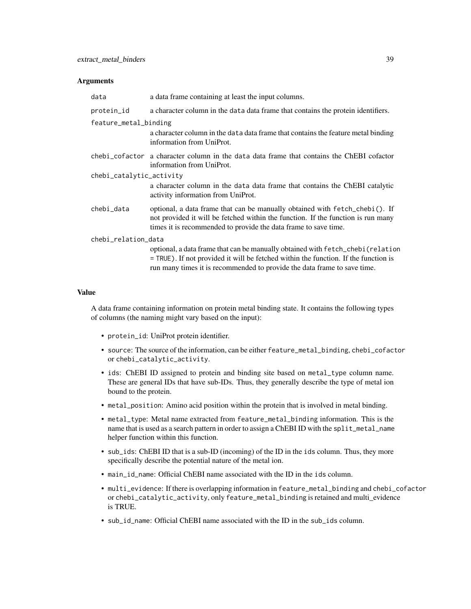| data                     | a data frame containing at least the input columns.                                                                                                                                                                                                  |  |
|--------------------------|------------------------------------------------------------------------------------------------------------------------------------------------------------------------------------------------------------------------------------------------------|--|
| protein_id               | a character column in the data data frame that contains the protein identifiers.                                                                                                                                                                     |  |
| feature_metal_binding    | a character column in the data data frame that contains the feature metal binding<br>information from UniProt.                                                                                                                                       |  |
|                          | chebi_cofactor a character column in the data data frame that contains the ChEBI cofactor<br>information from UniProt.                                                                                                                               |  |
| chebi_catalytic_activity |                                                                                                                                                                                                                                                      |  |
|                          | a character column in the data data frame that contains the ChEBI catalytic<br>activity information from UniProt.                                                                                                                                    |  |
| chebi_data               | optional, a data frame that can be manually obtained with fetch_chebi(). If<br>not provided it will be fetched within the function. If the function is run many<br>times it is recommended to provide the data frame to save time.                   |  |
| chebi_relation_data      |                                                                                                                                                                                                                                                      |  |
|                          | optional, a data frame that can be manually obtained with fetch_chebi (relation<br>$=$ TRUE). If not provided it will be fetched within the function. If the function is<br>run many times it is recommended to provide the data frame to save time. |  |

#### Value

A data frame containing information on protein metal binding state. It contains the following types of columns (the naming might vary based on the input):

- protein\_id: UniProt protein identifier.
- source: The source of the information, can be either feature\_metal\_binding, chebi\_cofactor or chebi\_catalytic\_activity.
- ids: ChEBI ID assigned to protein and binding site based on metal\_type column name. These are general IDs that have sub-IDs. Thus, they generally describe the type of metal ion bound to the protein.
- metal\_position: Amino acid position within the protein that is involved in metal binding.
- metal\_type: Metal name extracted from feature\_metal\_binding information. This is the name that is used as a search pattern in order to assign a ChEBI ID with the split\_metal\_name helper function within this function.
- sub\_ids: ChEBI ID that is a sub-ID (incoming) of the ID in the ids column. Thus, they more specifically describe the potential nature of the metal ion.
- main\_id\_name: Official ChEBI name associated with the ID in the ids column.
- multi\_evidence: If there is overlapping information in feature\_metal\_binding and chebi\_cofactor or chebi\_catalytic\_activity, only feature\_metal\_binding is retained and multi\_evidence is TRUE.
- sub\_id\_name: Official ChEBI name associated with the ID in the sub\_ids column.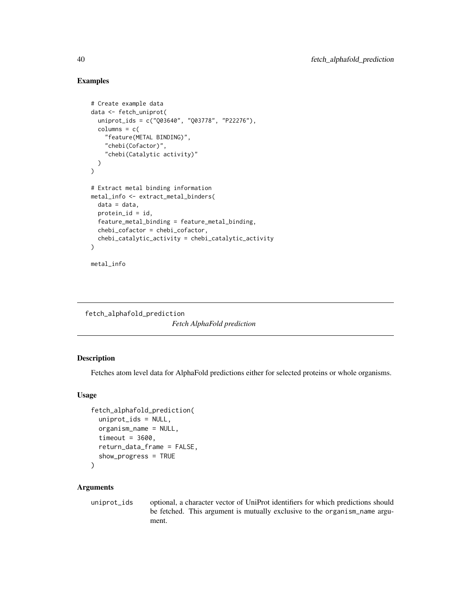# Examples

```
# Create example data
data <- fetch_uniprot(
  uniprot_ids = c("Q03640", "Q03778", "P22276"),
  columns = c("feature(METAL BINDING)",
    "chebi(Cofactor)",
    "chebi(Catalytic activity)"
  )
)
# Extract metal binding information
metal_info <- extract_metal_binders(
  data = data,
  protein_id = id,
  feature_metal_binding = feature_metal_binding,
  chebi_cofactor = chebi_cofactor,
  chebi_catalytic_activity = chebi_catalytic_activity
\mathcal{L}metal_info
```

```
fetch_alphafold_prediction
```
*Fetch AlphaFold prediction*

## Description

Fetches atom level data for AlphaFold predictions either for selected proteins or whole organisms.

# Usage

```
fetch_alphafold_prediction(
  uniprot_ids = NULL,
  organism_name = NULL,
  timeout = 3600,
  return_data_frame = FALSE,
  show_progress = TRUE
\mathcal{L}
```
#### Arguments

uniprot\_ids optional, a character vector of UniProt identifiers for which predictions should be fetched. This argument is mutually exclusive to the organism\_name argument.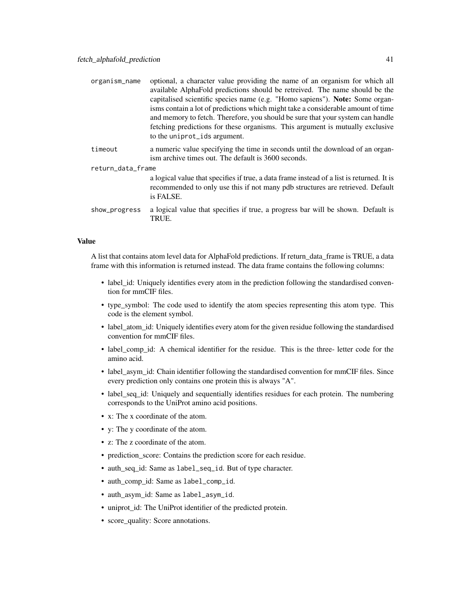| organism_name     | optional, a character value providing the name of an organism for which all<br>available AlphaFold predictions should be retreived. The name should be the<br>capitalised scientific species name (e.g. "Homo sapiens"). Note: Some organ-<br>isms contain a lot of predictions which might take a considerable amount of time<br>and memory to fetch. Therefore, you should be sure that your system can handle<br>fetching predictions for these organisms. This argument is mutually exclusive<br>to the uniprot_ids argument. |
|-------------------|-----------------------------------------------------------------------------------------------------------------------------------------------------------------------------------------------------------------------------------------------------------------------------------------------------------------------------------------------------------------------------------------------------------------------------------------------------------------------------------------------------------------------------------|
| timeout           | a numeric value specifying the time in seconds until the download of an organ-<br>ism archive times out. The default is 3600 seconds.                                                                                                                                                                                                                                                                                                                                                                                             |
| return_data_frame |                                                                                                                                                                                                                                                                                                                                                                                                                                                                                                                                   |
|                   | a logical value that specifies if true, a data frame instead of a list is returned. It is<br>recommended to only use this if not many pdb structures are retrieved. Default<br>is FALSE.                                                                                                                                                                                                                                                                                                                                          |
| show_progress     | a logical value that specifies if true, a progress bar will be shown. Default is<br>TRUE.                                                                                                                                                                                                                                                                                                                                                                                                                                         |

#### Value

A list that contains atom level data for AlphaFold predictions. If return\_data\_frame is TRUE, a data frame with this information is returned instead. The data frame contains the following columns:

- label\_id: Uniquely identifies every atom in the prediction following the standardised convention for mmCIF files.
- type\_symbol: The code used to identify the atom species representing this atom type. This code is the element symbol.
- label\_atom\_id: Uniquely identifies every atom for the given residue following the standardised convention for mmCIF files.
- label\_comp\_id: A chemical identifier for the residue. This is the three- letter code for the amino acid.
- label\_asym\_id: Chain identifier following the standardised convention for mmCIF files. Since every prediction only contains one protein this is always "A".
- label\_seq\_id: Uniquely and sequentially identifies residues for each protein. The numbering corresponds to the UniProt amino acid positions.
- x: The x coordinate of the atom.
- y: The y coordinate of the atom.
- z: The z coordinate of the atom.
- prediction\_score: Contains the prediction score for each residue.
- auth\_seq\_id: Same as label\_seq\_id. But of type character.
- auth\_comp\_id: Same as label\_comp\_id.
- auth\_asym\_id: Same as label\_asym\_id.
- uniprot\_id: The UniProt identifier of the predicted protein.
- score\_quality: Score annotations.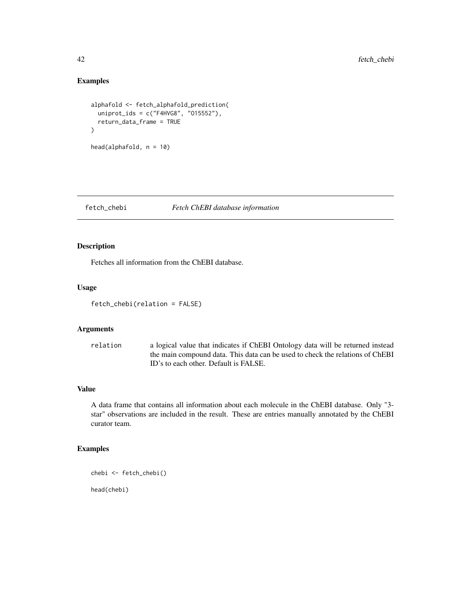# Examples

```
alphafold <- fetch_alphafold_prediction(
  uniprot_ids = c("F4HVG8", "015552"),
  return_data_frame = TRUE
\mathcal{L}head(alphafold, n = 10)
```
# fetch\_chebi *Fetch ChEBI database information*

# Description

Fetches all information from the ChEBI database.

## Usage

```
fetch_chebi(relation = FALSE)
```
# Arguments

| relation | a logical value that indicates if ChEBI Ontology data will be returned instead |
|----------|--------------------------------------------------------------------------------|
|          | the main compound data. This data can be used to check the relations of ChEBI  |
|          | ID's to each other. Default is FALSE.                                          |

# Value

A data frame that contains all information about each molecule in the ChEBI database. Only "3 star" observations are included in the result. These are entries manually annotated by the ChEBI curator team.

# Examples

```
chebi <- fetch_chebi()
```
head(chebi)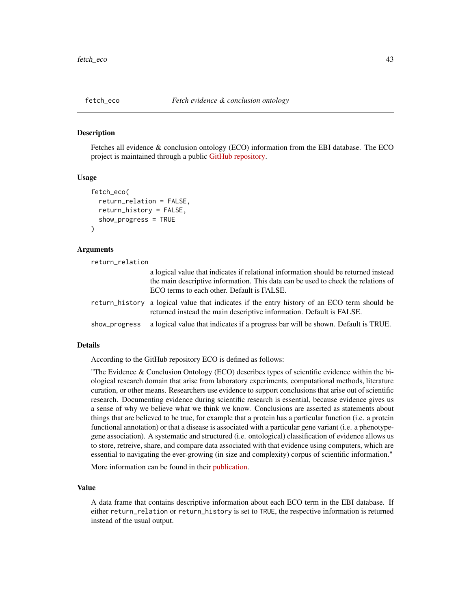#### Description

Fetches all evidence & conclusion ontology (ECO) information from the EBI database. The ECO project is maintained through a public [GitHub repository.](https://github.com/evidenceontology/evidenceontology)

# Usage

```
fetch_eco(
  return_relation = FALSE,
  return_history = FALSE,
  show_progress = TRUE
)
```
## Arguments

return\_relation

| a logical value that indicates if relational information should be returned instead<br>the main descriptive information. This data can be used to check the relations of<br>ECO terms to each other. Default is FALSE. |
|------------------------------------------------------------------------------------------------------------------------------------------------------------------------------------------------------------------------|
| return_history a logical value that indicates if the entry history of an ECO term should be<br>returned instead the main descriptive information. Default is FALSE.                                                    |
| show_progress a logical value that indicates if a progress bar will be shown. Default is TRUE.                                                                                                                         |

#### Details

According to the GitHub repository ECO is defined as follows:

"The Evidence & Conclusion Ontology (ECO) describes types of scientific evidence within the biological research domain that arise from laboratory experiments, computational methods, literature curation, or other means. Researchers use evidence to support conclusions that arise out of scientific research. Documenting evidence during scientific research is essential, because evidence gives us a sense of why we believe what we think we know. Conclusions are asserted as statements about things that are believed to be true, for example that a protein has a particular function (i.e. a protein functional annotation) or that a disease is associated with a particular gene variant (i.e. a phenotypegene association). A systematic and structured (i.e. ontological) classification of evidence allows us to store, retreive, share, and compare data associated with that evidence using computers, which are essential to navigating the ever-growing (in size and complexity) corpus of scientific information."

More information can be found in their [publication.](https://academic.oup.com/nar/article/47/D1/D1186/5165344?login=true)

## Value

A data frame that contains descriptive information about each ECO term in the EBI database. If either return\_relation or return\_history is set to TRUE, the respective information is returned instead of the usual output.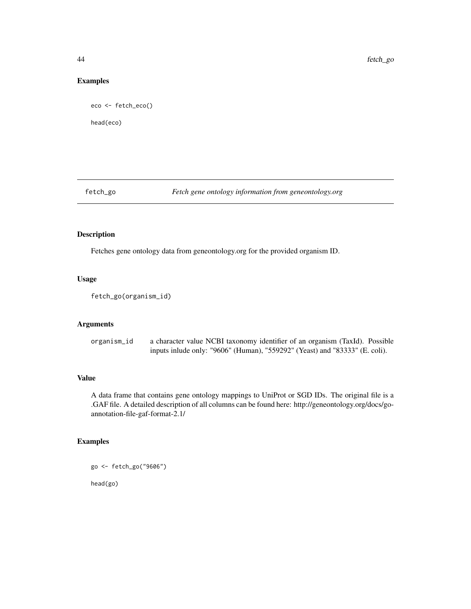# Examples

```
eco <- fetch_eco()
head(eco)
```
# fetch\_go *Fetch gene ontology information from geneontology.org*

# Description

Fetches gene ontology data from geneontology.org for the provided organism ID.

# Usage

fetch\_go(organism\_id)

# Arguments

| organism_id | a character value NCBI taxonomy identifier of an organism (TaxId). Possible  |
|-------------|------------------------------------------------------------------------------|
|             | inputs in lude only: "9606" (Human), "559292" (Yeast) and "83333" (E. coli). |

## Value

A data frame that contains gene ontology mappings to UniProt or SGD IDs. The original file is a .GAF file. A detailed description of all columns can be found here: http://geneontology.org/docs/goannotation-file-gaf-format-2.1/

# Examples

go <- fetch\_go("9606") head(go)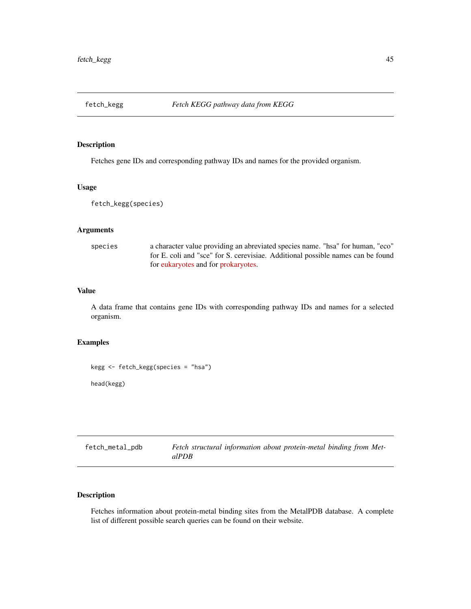## Description

Fetches gene IDs and corresponding pathway IDs and names for the provided organism.

## Usage

fetch\_kegg(species)

#### Arguments

species a character value providing an abreviated species name. "hsa" for human, "eco" for E. coli and "sce" for S. cerevisiae. Additional possible names can be found for [eukaryotes](https://www.genome.jp/kegg-bin/show_organism?category=Eukaryotes) and for [prokaryotes.](https://www.genome.jp/kegg-bin/show_organism?category=Prokaryotes)

# Value

A data frame that contains gene IDs with corresponding pathway IDs and names for a selected organism.

# Examples

```
kegg <- fetch_kegg(species = "hsa")
head(kegg)
```

| fetch_metal_pdb | Fetch structural information about protein-metal binding from Met- |
|-----------------|--------------------------------------------------------------------|
|                 | alPDB                                                              |

# Description

Fetches information about protein-metal binding sites from the MetalPDB database. A complete list of different possible search queries can be found on their website.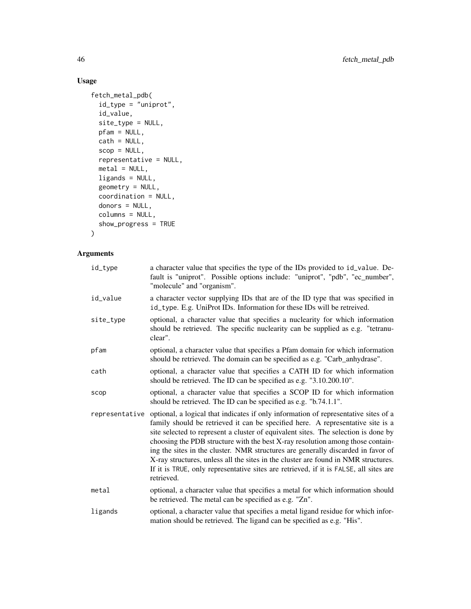# Usage

```
fetch_metal_pdb(
  id_type = "uniprot",
  id_value,
  site_type = NULL,
 pfam = NULL,
 \text{cath} = \text{NULL},
  scop = NULL,representative = NULL,
 metal = NULL,ligands = NULL,
 geometry = NULL,
 coordination = NULL,
 donors = NULL,
 columns = NULL,
  show_progress = TRUE
\mathcal{L}
```

| id_type        | a character value that specifies the type of the IDs provided to id_value. De-<br>fault is "uniprot". Possible options include: "uniprot", "pdb", "ec_number",<br>"molecule" and "organism".                                                                                                                                                                                                                                                                                                                                                                                                                                    |
|----------------|---------------------------------------------------------------------------------------------------------------------------------------------------------------------------------------------------------------------------------------------------------------------------------------------------------------------------------------------------------------------------------------------------------------------------------------------------------------------------------------------------------------------------------------------------------------------------------------------------------------------------------|
| id_value       | a character vector supplying IDs that are of the ID type that was specified in<br>id_type. E.g. UniProt IDs. Information for these IDs will be retreived.                                                                                                                                                                                                                                                                                                                                                                                                                                                                       |
| site_type      | optional, a character value that specifies a nuclearity for which information<br>should be retrieved. The specific nuclearity can be supplied as e.g. "tetranu-<br>clear".                                                                                                                                                                                                                                                                                                                                                                                                                                                      |
| pfam           | optional, a character value that specifies a Pfam domain for which information<br>should be retrieved. The domain can be specified as e.g. "Carb_anhydrase".                                                                                                                                                                                                                                                                                                                                                                                                                                                                    |
| cath           | optional, a character value that specifies a CATH ID for which information<br>should be retrieved. The ID can be specified as e.g. "3.10.200.10".                                                                                                                                                                                                                                                                                                                                                                                                                                                                               |
| scop           | optional, a character value that specifies a SCOP ID for which information<br>should be retrieved. The ID can be specified as e.g. "b.74.1.1".                                                                                                                                                                                                                                                                                                                                                                                                                                                                                  |
| representative | optional, a logical that indicates if only information of representative sites of a<br>family should be retrieved it can be specified here. A representative site is a<br>site selected to represent a cluster of equivalent sites. The selection is done by<br>choosing the PDB structure with the best X-ray resolution among those contain-<br>ing the sites in the cluster. NMR structures are generally discarded in favor of<br>X-ray structures, unless all the sites in the cluster are found in NMR structures.<br>If it is TRUE, only representative sites are retrieved, if it is FALSE, all sites are<br>retrieved. |
| metal          | optional, a character value that specifies a metal for which information should<br>be retrieved. The metal can be specified as e.g. "Zn".                                                                                                                                                                                                                                                                                                                                                                                                                                                                                       |
| ligands        | optional, a character value that specifies a metal ligand residue for which infor-<br>mation should be retrieved. The ligand can be specified as e.g. "His".                                                                                                                                                                                                                                                                                                                                                                                                                                                                    |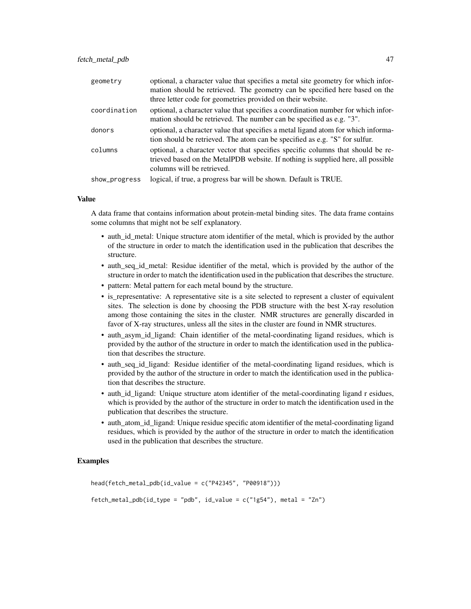| geometry      | optional, a character value that specifies a metal site geometry for which infor-<br>mation should be retrieved. The geometry can be specified here based on the                                  |
|---------------|---------------------------------------------------------------------------------------------------------------------------------------------------------------------------------------------------|
|               | three letter code for geometries provided on their website.                                                                                                                                       |
| coordination  | optional, a character value that specifies a coordination number for which infor-<br>mation should be retrieved. The number can be specified as e.g. "3".                                         |
| donors        | optional, a character value that specifies a metal ligand atom for which informa-<br>tion should be retrieved. The atom can be specified as e.g. "S" for sulfur.                                  |
| columns       | optional, a character vector that specifies specific columns that should be re-<br>trieved based on the MetalPDB website. If nothing is supplied here, all possible<br>columns will be retrieved. |
| show_progress | logical, if true, a progress bar will be shown. Default is TRUE.                                                                                                                                  |

#### Value

A data frame that contains information about protein-metal binding sites. The data frame contains some columns that might not be self explanatory.

- auth\_id\_metal: Unique structure atom identifier of the metal, which is provided by the author of the structure in order to match the identification used in the publication that describes the structure.
- auth seq id metal: Residue identifier of the metal, which is provided by the author of the structure in order to match the identification used in the publication that describes the structure.
- pattern: Metal pattern for each metal bound by the structure.
- is\_representative: A representative site is a site selected to represent a cluster of equivalent sites. The selection is done by choosing the PDB structure with the best X-ray resolution among those containing the sites in the cluster. NMR structures are generally discarded in favor of X-ray structures, unless all the sites in the cluster are found in NMR structures.
- auth asym id ligand: Chain identifier of the metal-coordinating ligand residues, which is provided by the author of the structure in order to match the identification used in the publication that describes the structure.
- auth seq id ligand: Residue identifier of the metal-coordinating ligand residues, which is provided by the author of the structure in order to match the identification used in the publication that describes the structure.
- auth\_id\_ligand: Unique structure atom identifier of the metal-coordinating ligand r esidues, which is provided by the author of the structure in order to match the identification used in the publication that describes the structure.
- auth\_atom\_id\_ligand: Unique residue specific atom identifier of the metal-coordinating ligand residues, which is provided by the author of the structure in order to match the identification used in the publication that describes the structure.

## Examples

```
head(fetch_metal_pdb(id_value = c("P42345", "P00918")))
fetch_metal_pdb(id_type = "pdb", id_value = c("1g54"), metal = "Zn")
```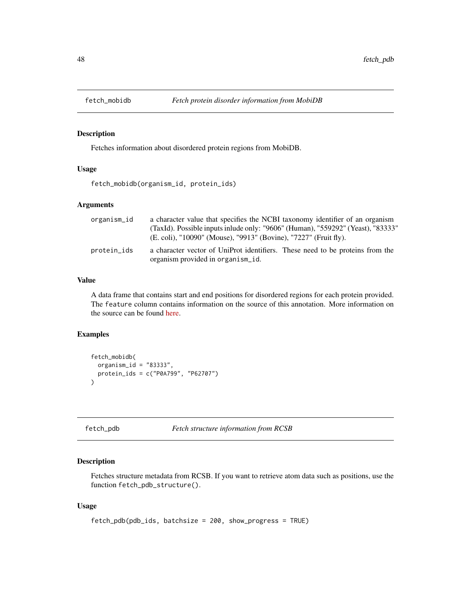## Description

Fetches information about disordered protein regions from MobiDB.

## Usage

fetch\_mobidb(organism\_id, protein\_ids)

# Arguments

| organism_id | a character value that specifies the NCBI taxonomy identifier of an organism                                       |
|-------------|--------------------------------------------------------------------------------------------------------------------|
|             | (TaxId). Possible inputs inlude only: "9606" (Human), "559292" (Yeast), "83333"                                    |
|             | (E. coli), "10090" (Mouse), "9913" (Bovine), "7227" (Fruit fly).                                                   |
| protein_ids | a character vector of UniProt identifiers. These need to be proteins from the<br>organism provided in organism id. |

# Value

A data frame that contains start and end positions for disordered regions for each protein provided. The feature column contains information on the source of this annotation. More information on the source can be found [here.](https://mobidb.bio.unipd.it/about/mobidb)

# Examples

```
fetch_mobidb(
  organism_id = "83333",protein_ids = c("P0A799", "P62707")
\lambda
```
fetch\_pdb *Fetch structure information from RCSB*

## Description

Fetches structure metadata from RCSB. If you want to retrieve atom data such as positions, use the function fetch\_pdb\_structure().

```
fetch_pdb(pdb_ids, batchsize = 200, show_progress = TRUE)
```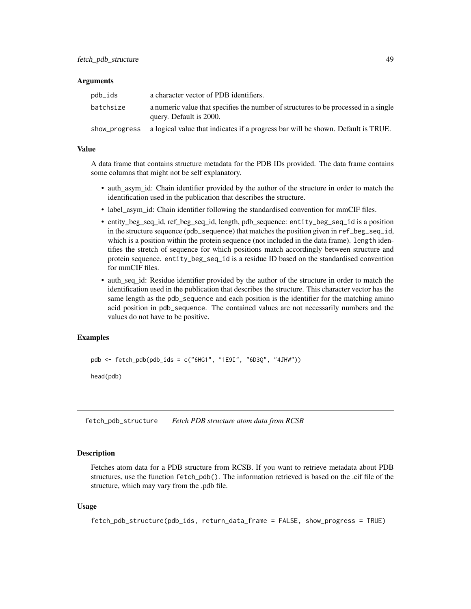| pdb_ids       | a character vector of PDB identifiers.                                                                         |
|---------------|----------------------------------------------------------------------------------------------------------------|
| batchsize     | a numeric value that specifies the number of structures to be processed in a single<br>query. Default is 2000. |
| show_progress | a logical value that indicates if a progress bar will be shown. Default is TRUE.                               |

#### Value

A data frame that contains structure metadata for the PDB IDs provided. The data frame contains some columns that might not be self explanatory.

- auth\_asym\_id: Chain identifier provided by the author of the structure in order to match the identification used in the publication that describes the structure.
- label\_asym\_id: Chain identifier following the standardised convention for mmCIF files.
- entity\_beg\_seq\_id, ref\_beg\_seq\_id, length, pdb\_sequence: entity\_beg\_seq\_id is a position in the structure sequence (pdb\_sequence) that matches the position given in ref\_beg\_seq\_id, which is a position within the protein sequence (not included in the data frame). length identifies the stretch of sequence for which positions match accordingly between structure and protein sequence. entity\_beg\_seq\_id is a residue ID based on the standardised convention for mmCIF files.
- auth seq id: Residue identifier provided by the author of the structure in order to match the identification used in the publication that describes the structure. This character vector has the same length as the pdb\_sequence and each position is the identifier for the matching amino acid position in pdb\_sequence. The contained values are not necessarily numbers and the values do not have to be positive.

## Examples

pdb <- fetch\_pdb(pdb\_ids = c("6HG1", "1E9I", "6D3Q", "4JHW"))

head(pdb)

fetch\_pdb\_structure *Fetch PDB structure atom data from RCSB*

## Description

Fetches atom data for a PDB structure from RCSB. If you want to retrieve metadata about PDB structures, use the function fetch\_pdb(). The information retrieved is based on the .cif file of the structure, which may vary from the .pdb file.

```
fetch_pdb_structure(pdb_ids, return_data_frame = FALSE, show_progress = TRUE)
```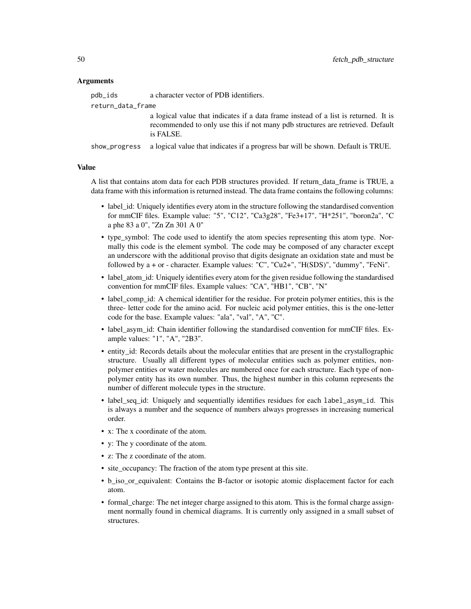| pdb_ids           | a character vector of PDB identifiers.                                                                                                                                             |
|-------------------|------------------------------------------------------------------------------------------------------------------------------------------------------------------------------------|
| return_data_frame |                                                                                                                                                                                    |
|                   | a logical value that indicates if a data frame instead of a list is returned. It is<br>recommended to only use this if not many pdb structures are retrieved. Default<br>is FALSE. |
|                   | show_progress a logical value that indicates if a progress bar will be shown. Default is TRUE.                                                                                     |

#### Value

A list that contains atom data for each PDB structures provided. If return\_data\_frame is TRUE, a data frame with this information is returned instead. The data frame contains the following columns:

- label\_id: Uniquely identifies every atom in the structure following the standardised convention for mmCIF files. Example value: "5", "C12", "Ca3g28", "Fe3+17", "H\*251", "boron2a", "C a phe 83 a 0", "Zn Zn 301 A 0"
- type\_symbol: The code used to identify the atom species representing this atom type. Normally this code is the element symbol. The code may be composed of any character except an underscore with the additional proviso that digits designate an oxidation state and must be followed by a + or - character. Example values: "C", "Cu2+", "H(SDS)", "dummy", "FeNi".
- label\_atom\_id: Uniquely identifies every atom for the given residue following the standardised convention for mmCIF files. Example values: "CA", "HB1", "CB", "N"
- label comp id: A chemical identifier for the residue. For protein polymer entities, this is the three- letter code for the amino acid. For nucleic acid polymer entities, this is the one-letter code for the base. Example values: "ala", "val", "A", "C".
- label\_asym\_id: Chain identifier following the standardised convention for mmCIF files. Example values: "1", "A", "2B3".
- entity\_id: Records details about the molecular entities that are present in the crystallographic structure. Usually all different types of molecular entities such as polymer entities, nonpolymer entities or water molecules are numbered once for each structure. Each type of nonpolymer entity has its own number. Thus, the highest number in this column represents the number of different molecule types in the structure.
- label\_seq\_id: Uniquely and sequentially identifies residues for each label\_asym\_id. This is always a number and the sequence of numbers always progresses in increasing numerical order.
- x: The x coordinate of the atom.
- y: The y coordinate of the atom.
- z: The z coordinate of the atom.
- site\_occupancy: The fraction of the atom type present at this site.
- b iso or equivalent: Contains the B-factor or isotopic atomic displacement factor for each atom.
- formal\_charge: The net integer charge assigned to this atom. This is the formal charge assignment normally found in chemical diagrams. It is currently only assigned in a small subset of structures.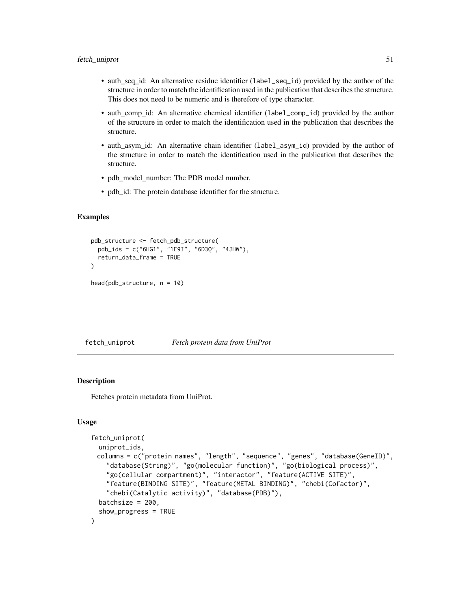- auth\_seq\_id: An alternative residue identifier (label\_seq\_id) provided by the author of the structure in order to match the identification used in the publication that describes the structure. This does not need to be numeric and is therefore of type character.
- auth\_comp\_id: An alternative chemical identifier (label\_comp\_id) provided by the author of the structure in order to match the identification used in the publication that describes the structure.
- auth\_asym\_id: An alternative chain identifier (label\_asym\_id) provided by the author of the structure in order to match the identification used in the publication that describes the structure.
- pdb\_model\_number: The PDB model number.
- pdb\_id: The protein database identifier for the structure.

#### Examples

```
pdb_structure <- fetch_pdb_structure(
 pdb_ids = c("6HG1", "1E9I", "6D3Q", "4JHW"),
 return_data_frame = TRUE
\mathcal{L}head(pdb_structure, n = 10)
```
fetch\_uniprot *Fetch protein data from UniProt*

## Description

Fetches protein metadata from UniProt.

```
fetch_uniprot(
  uniprot_ids,
 columns = c("protein names", "length", "sequence", "genes", "database(GeneID)",
    "database(String)", "go(molecular function)", "go(biological process)",
    "go(cellular compartment)", "interactor", "feature(ACTIVE SITE)",
    "feature(BINDING SITE)", "feature(METAL BINDING)", "chebi(Cofactor)",
    "chebi(Catalytic activity)", "database(PDB)"),
  batchsize = 200,
  show_progress = TRUE
)
```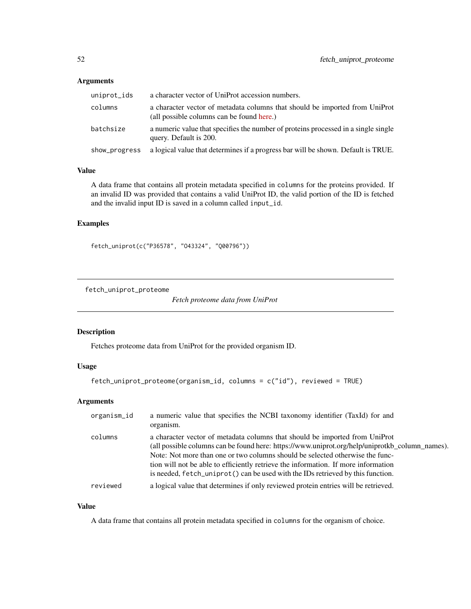| uniprot_ids   | a character vector of UniProt accession numbers.                                                                         |
|---------------|--------------------------------------------------------------------------------------------------------------------------|
| columns       | a character vector of metadata columns that should be imported from UniProt<br>(all possible columns can be found here.) |
| batchsize     | a numeric value that specifies the number of proteins processed in a single single<br>query. Default is 200.             |
| show_progress | a logical value that determines if a progress bar will be shown. Default is TRUE.                                        |

# Value

A data frame that contains all protein metadata specified in columns for the proteins provided. If an invalid ID was provided that contains a valid UniProt ID, the valid portion of the ID is fetched and the invalid input ID is saved in a column called input\_id.

# Examples

fetch\_uniprot(c("P36578", "O43324", "Q00796"))

fetch\_uniprot\_proteome

*Fetch proteome data from UniProt*

## Description

Fetches proteome data from UniProt for the provided organism ID.

### Usage

```
fetch_uniprot_proteome(organism_id, columns = c("id"), reviewed = TRUE)
```
# Arguments

| organism_id | a numeric value that specifies the NCBI taxonomy identifier (TaxId) for and<br>organism.                                                                                                                                                                                                                                                                                                                                                |
|-------------|-----------------------------------------------------------------------------------------------------------------------------------------------------------------------------------------------------------------------------------------------------------------------------------------------------------------------------------------------------------------------------------------------------------------------------------------|
| columns     | a character vector of metadata columns that should be imported from UniProt<br>(all possible columns can be found here: https://www.uniprot.org/help/uniprotkb_column_names).<br>Note: Not more than one or two columns should be selected otherwise the func-<br>tion will not be able to efficiently retrieve the information. If more information<br>is needed, fetch_uniprot() can be used with the IDs retrieved by this function. |
| reviewed    | a logical value that determines if only reviewed protein entries will be retrieved.                                                                                                                                                                                                                                                                                                                                                     |

## Value

A data frame that contains all protein metadata specified in columns for the organism of choice.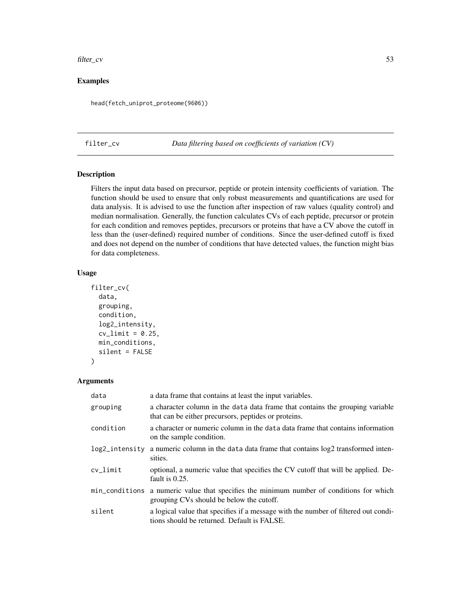#### filter\_cv 53

# Examples

head(fetch\_uniprot\_proteome(9606))

filter\_cv *Data filtering based on coefficients of variation (CV)*

# Description

Filters the input data based on precursor, peptide or protein intensity coefficients of variation. The function should be used to ensure that only robust measurements and quantifications are used for data analysis. It is advised to use the function after inspection of raw values (quality control) and median normalisation. Generally, the function calculates CVs of each peptide, precursor or protein for each condition and removes peptides, precursors or proteins that have a CV above the cutoff in less than the (user-defined) required number of conditions. Since the user-defined cutoff is fixed and does not depend on the number of conditions that have detected values, the function might bias for data completeness.

#### Usage

```
filter_cv(
  data,
  grouping,
  condition,
  log2_intensity,
  cv_limit = 0.25,
 min_conditions,
  silent = FALSE
)
```

| data           | a data frame that contains at least the input variables.                                                                              |
|----------------|---------------------------------------------------------------------------------------------------------------------------------------|
| grouping       | a character column in the data data frame that contains the grouping variable<br>that can be either precursors, peptides or proteins. |
| condition      | a character or numeric column in the data data frame that contains information<br>on the sample condition.                            |
| log2_intensity | a numeric column in the data data frame that contains $log2$ transformed inten-<br>sities.                                            |
| $cv$ _limit    | optional, a numeric value that specifies the CV cutoff that will be applied. De-<br>fault is $0.25$ .                                 |
|                | min_conditions a numeric value that specifies the minimum number of conditions for which<br>grouping CVs should be below the cutoff.  |
| silent         | a logical value that specifies if a message with the number of filtered out condi-<br>tions should be returned. Default is FALSE.     |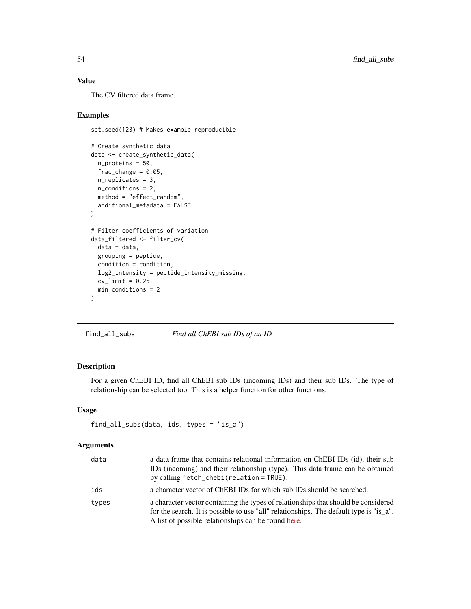# Value

The CV filtered data frame.

## Examples

```
set.seed(123) # Makes example reproducible
# Create synthetic data
data <- create_synthetic_data(
 n_proteins = 50,
 frac_{change = 0.05},
 n_replicates = 3,
 n_conditions = 2,
 method = "effect_random",
  additional_metadata = FALSE
\lambda# Filter coefficients of variation
data_filtered <- filter_cv(
  data = data,
  grouping = peptide,
 condition = condition,
  log2_intensity = peptide_intensity_missing,
  cv_limit = 0.25,
  min_conditions = 2
)
```
find\_all\_subs *Find all ChEBI sub IDs of an ID*

# Description

For a given ChEBI ID, find all ChEBI sub IDs (incoming IDs) and their sub IDs. The type of relationship can be selected too. This is a helper function for other functions.

# Usage

```
find_all_subs(data, ids, types = "is_a")
```

| data  | a data frame that contains relational information on ChEBI IDs (id), their sub<br>IDs (incoming) and their relationship (type). This data frame can be obtained<br>by calling fetch_chebi(relation = TRUE).                         |
|-------|-------------------------------------------------------------------------------------------------------------------------------------------------------------------------------------------------------------------------------------|
| ids   | a character vector of ChEBI IDs for which sub IDs should be searched.                                                                                                                                                               |
| types | a character vector containing the types of relationships that should be considered<br>for the search. It is possible to use "all" relationships. The default type is "is_a".<br>A list of possible relationships can be found here. |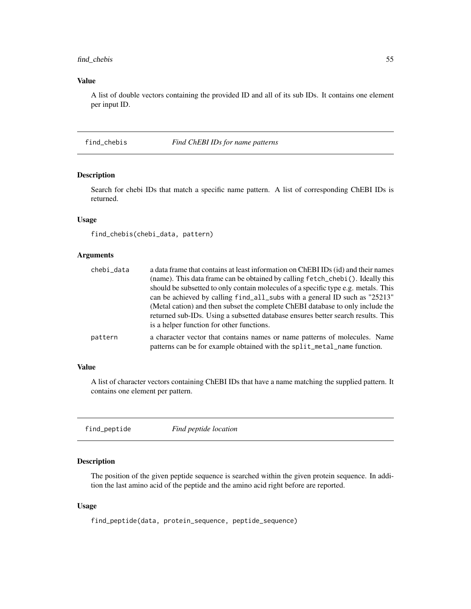# find\_chebis 55

## Value

A list of double vectors containing the provided ID and all of its sub IDs. It contains one element per input ID.

find\_chebis *Find ChEBI IDs for name patterns*

# Description

Search for chebi IDs that match a specific name pattern. A list of corresponding ChEBI IDs is returned.

# Usage

find\_chebis(chebi\_data, pattern)

#### Arguments

| chebi data | a data frame that contains at least information on ChEBI IDs (id) and their names                                                                      |
|------------|--------------------------------------------------------------------------------------------------------------------------------------------------------|
|            | (name). This data frame can be obtained by calling fetch_chebi(). Ideally this                                                                         |
|            | should be subsetted to only contain molecules of a specific type e.g. metals. This                                                                     |
|            | can be achieved by calling find_all_subs with a general ID such as "25213"                                                                             |
|            | (Metal cation) and then subset the complete ChEBI database to only include the                                                                         |
|            | returned sub-IDs. Using a subsetted database ensures better search results. This                                                                       |
|            | is a helper function for other functions.                                                                                                              |
| pattern    | a character vector that contains names or name patterns of molecules. Name<br>patterns can be for example obtained with the split_metal_name function. |
|            |                                                                                                                                                        |

#### Value

A list of character vectors containing ChEBI IDs that have a name matching the supplied pattern. It contains one element per pattern.

find\_peptide *Find peptide location*

# Description

The position of the given peptide sequence is searched within the given protein sequence. In addition the last amino acid of the peptide and the amino acid right before are reported.

#### Usage

find\_peptide(data, protein\_sequence, peptide\_sequence)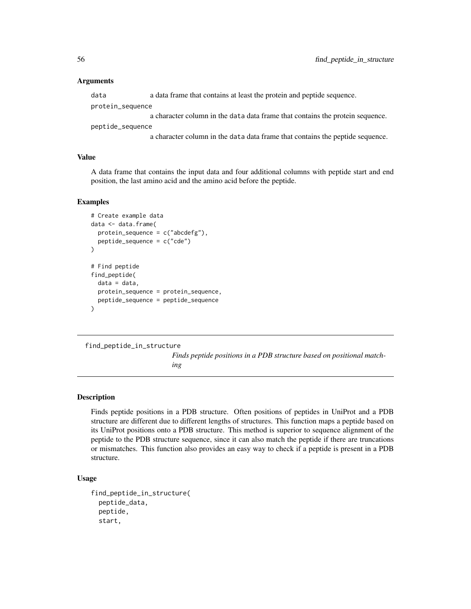data a data frame that contains at least the protein and peptide sequence. protein\_sequence a character column in the data data frame that contains the protein sequence. peptide\_sequence

a character column in the data data frame that contains the peptide sequence.

# Value

A data frame that contains the input data and four additional columns with peptide start and end position, the last amino acid and the amino acid before the peptide.

#### Examples

```
# Create example data
data <- data.frame(
 protein_sequence = c("abcdefg"),
 peptide_sequence = c("cde")
)
# Find peptide
find_peptide(
 data = data,
 protein_sequence = protein_sequence,
 peptide_sequence = peptide_sequence
)
```
find\_peptide\_in\_structure

*Finds peptide positions in a PDB structure based on positional matching*

## **Description**

Finds peptide positions in a PDB structure. Often positions of peptides in UniProt and a PDB structure are different due to different lengths of structures. This function maps a peptide based on its UniProt positions onto a PDB structure. This method is superior to sequence alignment of the peptide to the PDB structure sequence, since it can also match the peptide if there are truncations or mismatches. This function also provides an easy way to check if a peptide is present in a PDB structure.

```
find_peptide_in_structure(
  peptide_data,
  peptide,
  start,
```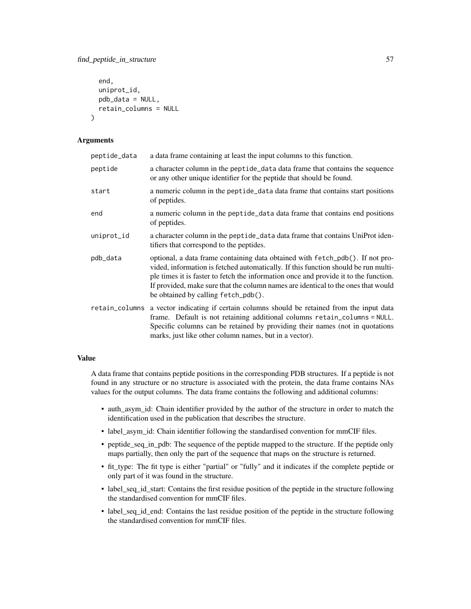```
end,
  uniprot_id,
 pdb_data = NULL,
 retain_columns = NULL
)
```

| peptide_data   | a data frame containing at least the input columns to this function.                                                                                                                                                                                                                                                                                                                    |
|----------------|-----------------------------------------------------------------------------------------------------------------------------------------------------------------------------------------------------------------------------------------------------------------------------------------------------------------------------------------------------------------------------------------|
| peptide        | a character column in the peptide_data data frame that contains the sequence<br>or any other unique identifier for the peptide that should be found.                                                                                                                                                                                                                                    |
| start          | a numeric column in the peptide_data data frame that contains start positions<br>of peptides.                                                                                                                                                                                                                                                                                           |
| end            | a numeric column in the peptide_data data frame that contains end positions<br>of peptides.                                                                                                                                                                                                                                                                                             |
| uniprot_id     | a character column in the peptide_data data frame that contains UniProt iden-<br>tifiers that correspond to the peptides.                                                                                                                                                                                                                                                               |
| pdb_data       | optional, a data frame containing data obtained with fetch_pdb(). If not pro-<br>vided, information is fetched automatically. If this function should be run multi-<br>ple times it is faster to fetch the information once and provide it to the function.<br>If provided, make sure that the column names are identical to the ones that would<br>be obtained by calling fetch_pdb(). |
| retain_columns | a vector indicating if certain columns should be retained from the input data<br>frame. Default is not retaining additional columns retain_columns = NULL.<br>Specific columns can be retained by providing their names (not in quotations<br>marks, just like other column names, but in a vector).                                                                                    |

## Value

A data frame that contains peptide positions in the corresponding PDB structures. If a peptide is not found in any structure or no structure is associated with the protein, the data frame contains NAs values for the output columns. The data frame contains the following and additional columns:

- auth\_asym\_id: Chain identifier provided by the author of the structure in order to match the identification used in the publication that describes the structure.
- label\_asym\_id: Chain identifier following the standardised convention for mmCIF files.
- peptide\_seq\_in\_pdb: The sequence of the peptide mapped to the structure. If the peptide only maps partially, then only the part of the sequence that maps on the structure is returned.
- fit\_type: The fit type is either "partial" or "fully" and it indicates if the complete peptide or only part of it was found in the structure.
- label\_seq\_id\_start: Contains the first residue position of the peptide in the structure following the standardised convention for mmCIF files.
- label\_seq\_id\_end: Contains the last residue position of the peptide in the structure following the standardised convention for mmCIF files.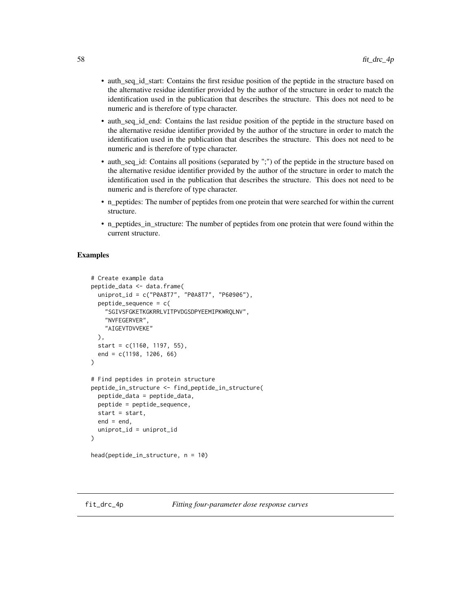- auth\_seq\_id\_start: Contains the first residue position of the peptide in the structure based on the alternative residue identifier provided by the author of the structure in order to match the identification used in the publication that describes the structure. This does not need to be numeric and is therefore of type character.
- auth\_seq\_id\_end: Contains the last residue position of the peptide in the structure based on the alternative residue identifier provided by the author of the structure in order to match the identification used in the publication that describes the structure. This does not need to be numeric and is therefore of type character.
- auth\_seq\_id: Contains all positions (separated by ";") of the peptide in the structure based on the alternative residue identifier provided by the author of the structure in order to match the identification used in the publication that describes the structure. This does not need to be numeric and is therefore of type character.
- n\_peptides: The number of peptides from one protein that were searched for within the current structure.
- n\_peptides\_in\_structure: The number of peptides from one protein that were found within the current structure.

## Examples

```
# Create example data
peptide_data <- data.frame(
 uniprot_id = c("P0A8T7", "P0A8T7", "P60906"),
 peptide_sequence = c(
    "SGIVSFGKETKGKRRLVITPVDGSDPYEEMIPKWRQLNV",
    "NVFEGERVER",
    "AIGEVTDVVEKE"
 ),
 start = c(1160, 1197, 55),
 end = c(1198, 1206, 66)
)
# Find peptides in protein structure
peptide_in_structure <- find_peptide_in_structure(
 peptide_data = peptide_data,
 peptide = peptide_sequence,
 start = start,
 end = end,
 uniprot_id = uniprot_id
)
head(peptide_in_structure, n = 10)
```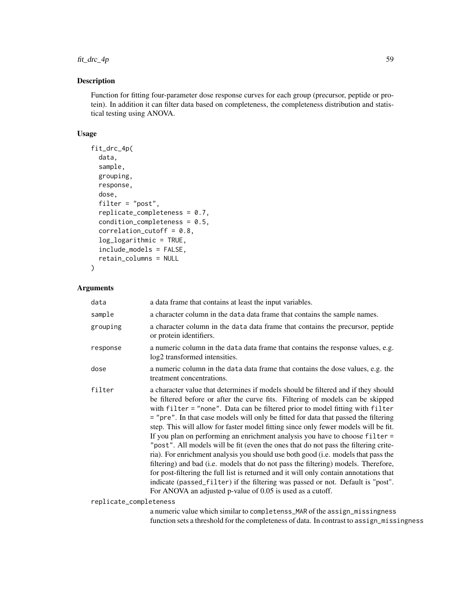# $fit\_arc\_4p$  59

# Description

Function for fitting four-parameter dose response curves for each group (precursor, peptide or protein). In addition it can filter data based on completeness, the completeness distribution and statistical testing using ANOVA.

### Usage

```
fit_drc_4p(
  data,
  sample,
  grouping,
  response,
  dose,
  filter = "post",
  replicate_completeness = 0.7,
  condition_completeness = 0.5,
  correlation_cutoff = 0.8,log_logarithmic = TRUE,
  include_models = FALSE,
  retain_columns = NULL
```
#### Arguments

)

| data                   | a data frame that contains at least the input variables.                                                                                                                                                                                                                                                                                                                                                                                                                                                                                                                                                                                                                                                                                                                                                                                                                                                                                                                                                                        |
|------------------------|---------------------------------------------------------------------------------------------------------------------------------------------------------------------------------------------------------------------------------------------------------------------------------------------------------------------------------------------------------------------------------------------------------------------------------------------------------------------------------------------------------------------------------------------------------------------------------------------------------------------------------------------------------------------------------------------------------------------------------------------------------------------------------------------------------------------------------------------------------------------------------------------------------------------------------------------------------------------------------------------------------------------------------|
| sample                 | a character column in the data data frame that contains the sample names.                                                                                                                                                                                                                                                                                                                                                                                                                                                                                                                                                                                                                                                                                                                                                                                                                                                                                                                                                       |
| grouping               | a character column in the data data frame that contains the precursor, peptide<br>or protein identifiers.                                                                                                                                                                                                                                                                                                                                                                                                                                                                                                                                                                                                                                                                                                                                                                                                                                                                                                                       |
| response               | a numeric column in the data data frame that contains the response values, e.g.<br>log2 transformed intensities.                                                                                                                                                                                                                                                                                                                                                                                                                                                                                                                                                                                                                                                                                                                                                                                                                                                                                                                |
| dose                   | a numeric column in the data data frame that contains the dose values, e.g. the<br>treatment concentrations.                                                                                                                                                                                                                                                                                                                                                                                                                                                                                                                                                                                                                                                                                                                                                                                                                                                                                                                    |
| filter                 | a character value that determines if models should be filtered and if they should<br>be filtered before or after the curve fits. Filtering of models can be skipped<br>with filter = "none". Data can be filtered prior to model fitting with filter<br>= "pre". In that case models will only be fitted for data that passed the filtering<br>step. This will allow for faster model fitting since only fewer models will be fit.<br>If you plan on performing an enrichment analysis you have to choose filter =<br>"post". All models will be fit (even the ones that do not pass the filtering crite-<br>ria). For enrichment analysis you should use both good (i.e. models that pass the<br>filtering) and bad (i.e. models that do not pass the filtering) models. Therefore,<br>for post-filtering the full list is returned and it will only contain annotations that<br>indicate (passed_filter) if the filtering was passed or not. Default is "post".<br>For ANOVA an adjusted p-value of 0.05 is used as a cutoff. |
| replicate_completeness |                                                                                                                                                                                                                                                                                                                                                                                                                                                                                                                                                                                                                                                                                                                                                                                                                                                                                                                                                                                                                                 |

a numeric value which similar to completenss\_MAR of the assign\_missingness function sets a threshold for the completeness of data. In contrast to assign\_missingness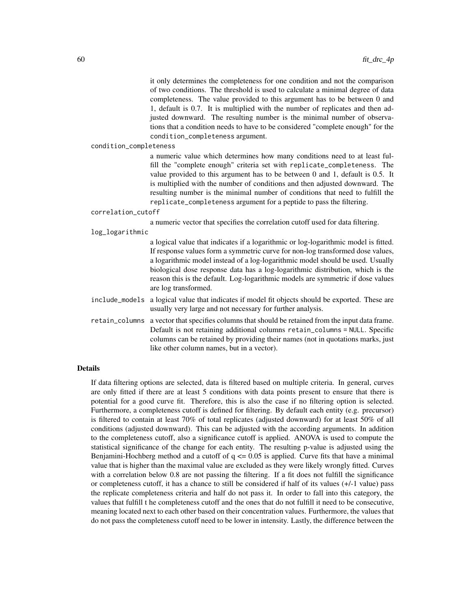it only determines the completeness for one condition and not the comparison of two conditions. The threshold is used to calculate a minimal degree of data completeness. The value provided to this argument has to be between 0 and 1, default is 0.7. It is multiplied with the number of replicates and then adjusted downward. The resulting number is the minimal number of observations that a condition needs to have to be considered "complete enough" for the condition\_completeness argument.

condition\_completeness

a numeric value which determines how many conditions need to at least fulfill the "complete enough" criteria set with replicate\_completeness. The value provided to this argument has to be between 0 and 1, default is 0.5. It is multiplied with the number of conditions and then adjusted downward. The resulting number is the minimal number of conditions that need to fulfill the replicate\_completeness argument for a peptide to pass the filtering.

correlation\_cutoff

a numeric vector that specifies the correlation cutoff used for data filtering.

log\_logarithmic

a logical value that indicates if a logarithmic or log-logarithmic model is fitted. If response values form a symmetric curve for non-log transformed dose values, a logarithmic model instead of a log-logarithmic model should be used. Usually biological dose response data has a log-logarithmic distribution, which is the reason this is the default. Log-logarithmic models are symmetric if dose values are log transformed.

- include\_models a logical value that indicates if model fit objects should be exported. These are usually very large and not necessary for further analysis.
- retain\_columns a vector that specifies columns that should be retained from the input data frame. Default is not retaining additional columns retain\_columns = NULL. Specific columns can be retained by providing their names (not in quotations marks, just like other column names, but in a vector).

#### Details

If data filtering options are selected, data is filtered based on multiple criteria. In general, curves are only fitted if there are at least 5 conditions with data points present to ensure that there is potential for a good curve fit. Therefore, this is also the case if no filtering option is selected. Furthermore, a completeness cutoff is defined for filtering. By default each entity (e.g. precursor) is filtered to contain at least 70% of total replicates (adjusted downward) for at least 50% of all conditions (adjusted downward). This can be adjusted with the according arguments. In addition to the completeness cutoff, also a significance cutoff is applied. ANOVA is used to compute the statistical significance of the change for each entity. The resulting p-value is adjusted using the Benjamini-Hochberg method and a cutoff of  $q \le 0.05$  is applied. Curve fits that have a minimal value that is higher than the maximal value are excluded as they were likely wrongly fitted. Curves with a correlation below 0.8 are not passing the filtering. If a fit does not fulfill the significance or completeness cutoff, it has a chance to still be considered if half of its values (+/-1 value) pass the replicate completeness criteria and half do not pass it. In order to fall into this category, the values that fulfill t he completeness cutoff and the ones that do not fulfill it need to be consecutive, meaning located next to each other based on their concentration values. Furthermore, the values that do not pass the completeness cutoff need to be lower in intensity. Lastly, the difference between the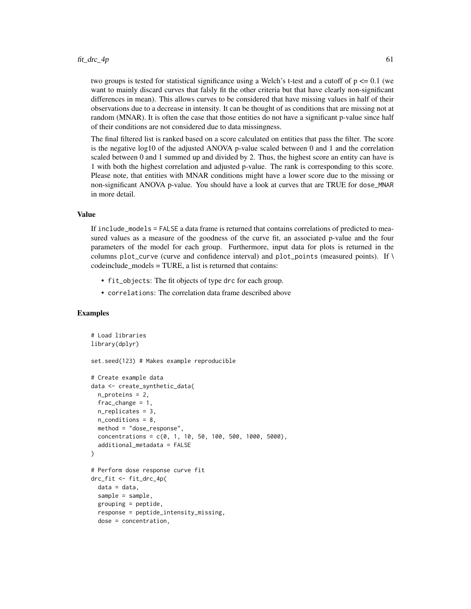#### $fit\_drc\_4p$  61

two groups is tested for statistical significance using a Welch's t-test and a cutoff of  $p \le 0.1$  (we want to mainly discard curves that falsly fit the other criteria but that have clearly non-significant differences in mean). This allows curves to be considered that have missing values in half of their observations due to a decrease in intensity. It can be thought of as conditions that are missing not at random (MNAR). It is often the case that those entities do not have a significant p-value since half of their conditions are not considered due to data missingness.

The final filtered list is ranked based on a score calculated on entities that pass the filter. The score is the negative log10 of the adjusted ANOVA p-value scaled between 0 and 1 and the correlation scaled between 0 and 1 summed up and divided by 2. Thus, the highest score an entity can have is 1 with both the highest correlation and adjusted p-value. The rank is corresponding to this score. Please note, that entities with MNAR conditions might have a lower score due to the missing or non-significant ANOVA p-value. You should have a look at curves that are TRUE for dose\_MNAR in more detail.

### Value

If include\_models = FALSE a data frame is returned that contains correlations of predicted to measured values as a measure of the goodness of the curve fit, an associated p-value and the four parameters of the model for each group. Furthermore, input data for plots is returned in the columns plot\_curve (curve and confidence interval) and plot\_points (measured points). If  $\setminus$  $codeinclude models = TURE$ , a list is returned that contains:

- fit\_objects: The fit objects of type drc for each group.
- correlations: The correlation data frame described above

## Examples

```
# Load libraries
library(dplyr)
set.seed(123) # Makes example reproducible
# Create example data
data <- create_synthetic_data(
 n_proteins = 2,
 frac_{change} = 1,
 n_replicates = 3,
 n_conditions = 8,
 method = "dose_response",
 concentrations = c(0, 1, 10, 50, 100, 500, 1000, 5000),
 additional_metadata = FALSE
\mathcal{L}# Perform dose response curve fit
drc_fit <- fit_drc_4p(
 data = data,
 sample = sample,
 grouping = peptide,
 response = peptide_intensity_missing,
 dose = concentration,
```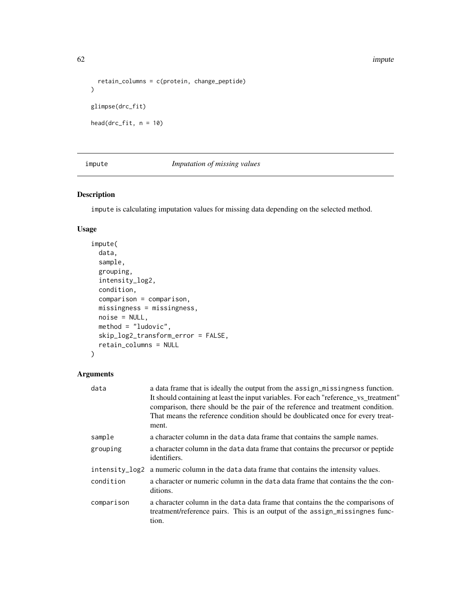#### 62 impute

```
retain_columns = c(protein, change_peptide)
\mathcal{L}glimpse(drc_fit)
head(drc_fit, n = 10)
```
# impute *Imputation of missing values*

# Description

impute is calculating imputation values for missing data depending on the selected method.

# Usage

```
impute(
 data,
 sample,
 grouping,
  intensity_log2,
 condition,
 comparison = comparison,
 missingness = missingness,
 noise = NULL,
 method = "ludovic",
 skip_log2_transform_error = FALSE,
 retain_columns = NULL
)
```

| data           | a data frame that is ideally the output from the assign_missingness function.<br>It should containing at least the input variables. For each "reference_vs_treatment"<br>comparison, there should be the pair of the reference and treatment condition.<br>That means the reference condition should be doublicated once for every treat-<br>ment. |
|----------------|----------------------------------------------------------------------------------------------------------------------------------------------------------------------------------------------------------------------------------------------------------------------------------------------------------------------------------------------------|
| sample         | a character column in the data data frame that contains the sample names.                                                                                                                                                                                                                                                                          |
| grouping       | a character column in the data data frame that contains the precursor or peptide<br>identifiers.                                                                                                                                                                                                                                                   |
| intensity_log2 | a numeric column in the data data frame that contains the intensity values.                                                                                                                                                                                                                                                                        |
| condition      | a character or numeric column in the data data frame that contains the the con-<br>ditions.                                                                                                                                                                                                                                                        |
| comparison     | a character column in the data data frame that contains the the comparisons of<br>treatment/reference pairs. This is an output of the assign_missingnes func-<br>tion.                                                                                                                                                                             |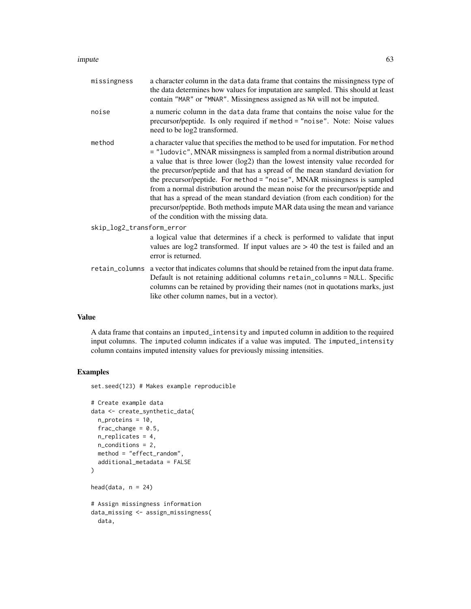#### impute 63

| missingness               | a character column in the data data frame that contains the missingness type of<br>the data determines how values for imputation are sampled. This should at least<br>contain "MAR" or "MNAR". Missingness assigned as NA will not be imputed.                                                                                                                                                                                                                                                                                                                                                                                                                                                                 |  |
|---------------------------|----------------------------------------------------------------------------------------------------------------------------------------------------------------------------------------------------------------------------------------------------------------------------------------------------------------------------------------------------------------------------------------------------------------------------------------------------------------------------------------------------------------------------------------------------------------------------------------------------------------------------------------------------------------------------------------------------------------|--|
| noise                     | a numeric column in the data data frame that contains the noise value for the<br>precursor/peptide. Is only required if method = "noise". Note: Noise values<br>need to be log2 transformed.                                                                                                                                                                                                                                                                                                                                                                                                                                                                                                                   |  |
| method                    | a character value that specifies the method to be used for imputation. For method<br>= "ludovic", MNAR missingness is sampled from a normal distribution around<br>a value that is three lower (log2) than the lowest intensity value recorded for<br>the precursor/peptide and that has a spread of the mean standard deviation for<br>the precursor/peptide. For method = "noise", MNAR missingness is sampled<br>from a normal distribution around the mean noise for the precursor/peptide and<br>that has a spread of the mean standard deviation (from each condition) for the<br>precursor/peptide. Both methods impute MAR data using the mean and variance<br>of the condition with the missing data. |  |
| skip_log2_transform_error |                                                                                                                                                                                                                                                                                                                                                                                                                                                                                                                                                                                                                                                                                                                |  |
|                           | a logical value that determines if a check is performed to validate that input<br>values are $log2$ transformed. If input values are $> 40$ the test is failed and an<br>error is returned.                                                                                                                                                                                                                                                                                                                                                                                                                                                                                                                    |  |
|                           | retain_columns a vector that indicates columns that should be retained from the input data frame.<br>Default is not retaining additional columns retain_columns = NULL. Specific<br>columns can be retained by providing their names (not in quotations marks, just<br>like other column names, but in a vector).                                                                                                                                                                                                                                                                                                                                                                                              |  |

# Value

A data frame that contains an imputed\_intensity and imputed column in addition to the required input columns. The imputed column indicates if a value was imputed. The imputed\_intensity column contains imputed intensity values for previously missing intensities.

# Examples

set.seed(123) # Makes example reproducible

```
# Create example data
data <- create_synthetic_data(
 n_proteins = 10,
 frac_{chainge} = 0.5,
 n_replicates = 4,
  n_conditions = 2,
  method = "effect_random",
  additional_metadata = FALSE
\overline{\phantom{a}}head(data, n = 24)
# Assign missingness information
data_missing <- assign_missingness(
  data,
```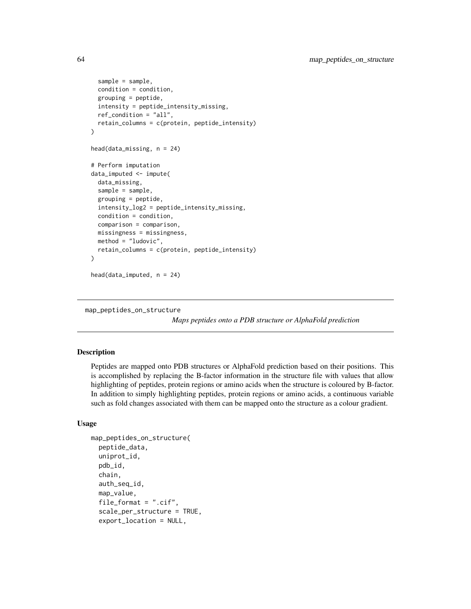```
sample = sample,
 condition = condition,
 grouping = peptide,
 intensity = peptide_intensity_missing,
 ref_condition = "all",
 retain_columns = c(protein, peptide_intensity)
)
head(data_missing, n = 24)
# Perform imputation
data_imputed <- impute(
 data_missing,
 sample = sample,
 grouping = peptide,
 intensity_log2 = peptide_intensity_missing,
 condition = condition,
 comparison = comparison,
 missingness = missingness,
 method = "ludovic",
 retain_columns = c(protein, peptide_intensity)
\lambda
```

```
head(data_imputed, n = 24)
```

```
map_peptides_on_structure
```
*Maps peptides onto a PDB structure or AlphaFold prediction*

#### Description

Peptides are mapped onto PDB structures or AlphaFold prediction based on their positions. This is accomplished by replacing the B-factor information in the structure file with values that allow highlighting of peptides, protein regions or amino acids when the structure is coloured by B-factor. In addition to simply highlighting peptides, protein regions or amino acids, a continuous variable such as fold changes associated with them can be mapped onto the structure as a colour gradient.

```
map_peptides_on_structure(
  peptide_data,
  uniprot_id,
 pdb_id,
  chain,
  auth_seq_id,
  map_value,
  file_format = ".cif",
  scale_per_structure = TRUE,
  export_location = NULL,
```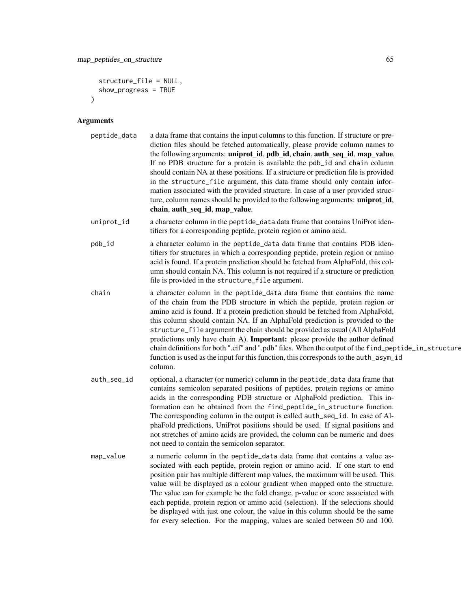```
structure_file = NULL,
  show_progress = TRUE
\lambda
```

| peptide_data | a data frame that contains the input columns to this function. If structure or pre-   |
|--------------|---------------------------------------------------------------------------------------|
|              | diction files should be fetched automatically, please provide column names to         |
|              | the following arguments: uniprot_id, pdb_id, chain, auth_seq_id, map_value.           |
|              | If no PDB structure for a protein is available the pdb_id and chain column            |
|              | should contain NA at these positions. If a structure or prediction file is provided   |
|              | in the structure_file argument, this data frame should only contain infor-            |
|              | mation associated with the provided structure. In case of a user provided struc-      |
|              | ture, column names should be provided to the following arguments: <b>uniprot id</b> , |
|              | chain, auth_seq_id, map_value.                                                        |

- uniprot\_id a character column in the peptide\_data data frame that contains UniProt identifiers for a corresponding peptide, protein region or amino acid.
- pdb\_id a character column in the peptide\_data data frame that contains PDB identifiers for structures in which a corresponding peptide, protein region or amino acid is found. If a protein prediction should be fetched from AlphaFold, this column should contain NA. This column is not required if a structure or prediction file is provided in the structure\_file argument.
- chain a character column in the peptide\_data data frame that contains the name of the chain from the PDB structure in which the peptide, protein region or amino acid is found. If a protein prediction should be fetched from AlphaFold, this column should contain NA. If an AlphaFold prediction is provided to the structure\_file argument the chain should be provided as usual (All AlphaFold predictions only have chain A). Important: please provide the author defined chain definitions for both ".cif" and ".pdb" files. When the output of the find\_peptide\_in\_structure function is used as the input for this function, this corresponds to the auth\_asym\_id column.
- auth\_seq\_id optional, a character (or numeric) column in the peptide\_data data frame that contains semicolon separated positions of peptides, protein regions or amino acids in the corresponding PDB structure or AlphaFold prediction. This information can be obtained from the find\_peptide\_in\_structure function. The corresponding column in the output is called auth\_seq\_id. In case of AlphaFold predictions, UniProt positions should be used. If signal positions and not stretches of amino acids are provided, the column can be numeric and does not need to contain the semicolon separator.
- map\_value a numeric column in the peptide\_data data frame that contains a value associated with each peptide, protein region or amino acid. If one start to end position pair has multiple different map values, the maximum will be used. This value will be displayed as a colour gradient when mapped onto the structure. The value can for example be the fold change, p-value or score associated with each peptide, protein region or amino acid (selection). If the selections should be displayed with just one colour, the value in this column should be the same for every selection. For the mapping, values are scaled between 50 and 100.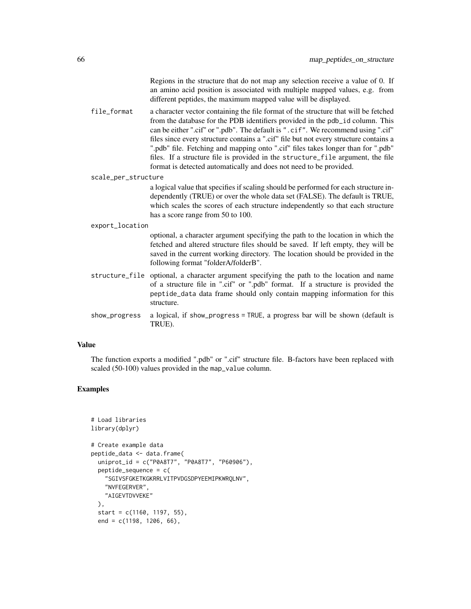Regions in the structure that do not map any selection receive a value of 0. If an amino acid position is associated with multiple mapped values, e.g. from different peptides, the maximum mapped value will be displayed.

file\_format a character vector containing the file format of the structure that will be fetched from the database for the PDB identifiers provided in the pdb\_id column. This can be either ".cif" or ".pdb". The default is ".cif". We recommend using ".cif" files since every structure contains a ".cif" file but not every structure contains a ".pdb" file. Fetching and mapping onto ".cif" files takes longer than for ".pdb" files. If a structure file is provided in the structure\_file argument, the file format is detected automatically and does not need to be provided.

scale\_per\_structure

a logical value that specifies if scaling should be performed for each structure independently (TRUE) or over the whole data set (FALSE). The default is TRUE, which scales the scores of each structure independently so that each structure has a score range from 50 to 100.

export\_location

optional, a character argument specifying the path to the location in which the fetched and altered structure files should be saved. If left empty, they will be saved in the current working directory. The location should be provided in the following format "folderA/folderB".

- structure\_file optional, a character argument specifying the path to the location and name of a structure file in ".cif" or ".pdb" format. If a structure is provided the peptide\_data data frame should only contain mapping information for this structure.
- show\_progress a logical, if show\_progress = TRUE, a progress bar will be shown (default is TRUE).

#### Value

The function exports a modified ".pdb" or ".cif" structure file. B-factors have been replaced with scaled (50-100) values provided in the map\_value column.

## Examples

```
# Load libraries
library(dplyr)
# Create example data
peptide_data <- data.frame(
 uniprot_id = c("P0A8T7", "P0A8T7", "P60906"),
 peptide\_sequence = c("SGIVSFGKETKGKRRLVITPVDGSDPYEEMIPKWRQLNV",
    "NVFEGERVER",
    "AIGEVTDVVEKE"
 ),
 start = c(1160, 1197, 55),
 end = c(1198, 1206, 66),
```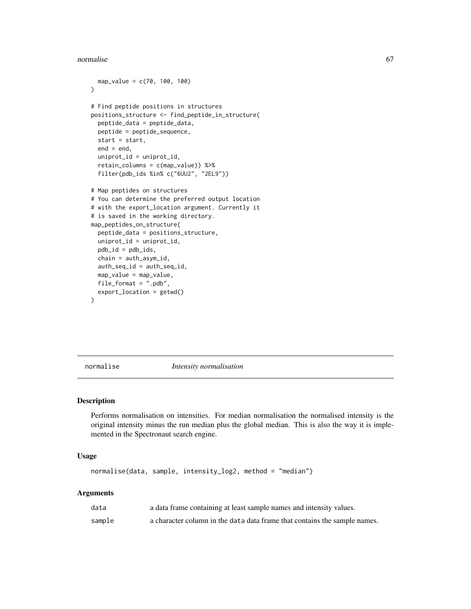#### normalise 67

```
map_value = c(70, 100, 100))
# Find peptide positions in structures
positions_structure <- find_peptide_in_structure(
  peptide_data = peptide_data,
  peptide = peptide_sequence,
  start = start,
  end = end,
  uniprot_id = uniprot_id,
  retain_columns = c(map_value)) %>%
  filter(pdb_ids %in% c("6UU2", "2EL9"))
# Map peptides on structures
# You can determine the preferred output location
# with the export_location argument. Currently it
# is saved in the working directory.
map_peptides_on_structure(
  peptide_data = positions_structure,
  uniprot_id = uniprot_id,
  pdb_id = pdb_ids,
  chain = auth_asym_id,
  auth_seq_id = auth_seq_id,
  map_value = map_value,
  file_format = ".pdb",
  export_location = getwd()
\lambda
```
normalise *Intensity normalisation*

#### Description

Performs normalisation on intensities. For median normalisation the normalised intensity is the original intensity minus the run median plus the global median. This is also the way it is implemented in the Spectronaut search engine.

# Usage

normalise(data, sample, intensity\_log2, method = "median")

| data   | a data frame containing at least sample names and intensity values.       |
|--------|---------------------------------------------------------------------------|
| sample | a character column in the data data frame that contains the sample names. |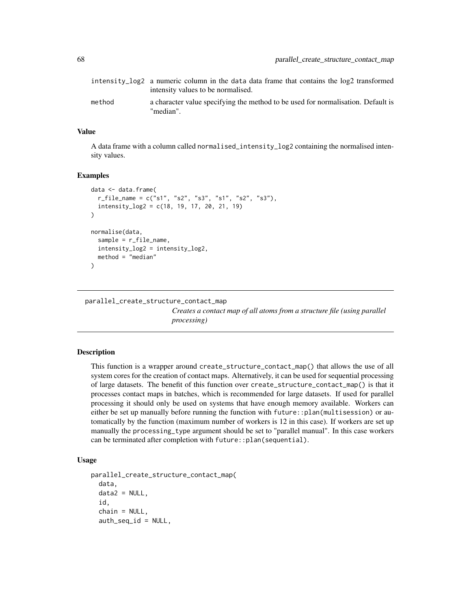|        | intensity_log2 a numeric column in the data data frame that contains the log2 transformed<br>intensity values to be normalised. |
|--------|---------------------------------------------------------------------------------------------------------------------------------|
| method | a character value specifying the method to be used for normalisation. Default is<br>"median".                                   |

#### Value

A data frame with a column called normalised\_intensity\_log2 containing the normalised intensity values.

## Examples

```
data <- data.frame(
  r_file_name = c("s1", "s2", "s3", "s1", "s2", "s3"),
  intensity_log2 = c(18, 19, 17, 20, 21, 19)
\lambdanormalise(data,
  sample = r_file_name,
  intensity_log2 = intensity_log2,
  method = "median")
```
#### parallel\_create\_structure\_contact\_map

*Creates a contact map of all atoms from a structure file (using parallel processing)*

#### Description

This function is a wrapper around create\_structure\_contact\_map() that allows the use of all system cores for the creation of contact maps. Alternatively, it can be used for sequential processing of large datasets. The benefit of this function over create\_structure\_contact\_map() is that it processes contact maps in batches, which is recommended for large datasets. If used for parallel processing it should only be used on systems that have enough memory available. Workers can either be set up manually before running the function with future::plan(multisession) or automatically by the function (maximum number of workers is 12 in this case). If workers are set up manually the processing\_type argument should be set to "parallel manual". In this case workers can be terminated after completion with future:: plan(sequential).

```
parallel_create_structure_contact_map(
  data,
  data2 = NULL,
  id,
  chain = NULL,
  auth\_seq\_id = NULL,
```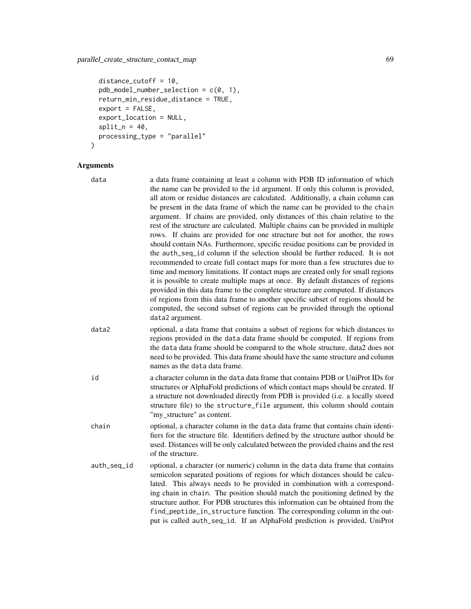# parallel\_create\_structure\_contact\_map 69

```
distance_cutoff = 10,
 pdb_model_number_selection = c(0, 1),
 return_min_residue_distance = TRUE,
 export = FALSE,
 export_location = NULL,
 split_n = 40,processing_type = "parallel"
\mathcal{L}
```

| data        | a data frame containing at least a column with PDB ID information of which<br>the name can be provided to the id argument. If only this column is provided,<br>all atom or residue distances are calculated. Additionally, a chain column can<br>be present in the data frame of which the name can be provided to the chain<br>argument. If chains are provided, only distances of this chain relative to the<br>rest of the structure are calculated. Multiple chains can be provided in multiple<br>rows. If chains are provided for one structure but not for another, the rows<br>should contain NAs. Furthermore, specific residue positions can be provided in<br>the auth_seq_id column if the selection should be further reduced. It is not<br>recommended to create full contact maps for more than a few structures due to<br>time and memory limitations. If contact maps are created only for small regions<br>it is possible to create multiple maps at once. By default distances of regions<br>provided in this data frame to the complete structure are computed. If distances<br>of regions from this data frame to another specific subset of regions should be<br>computed, the second subset of regions can be provided through the optional<br>data2 argument. |
|-------------|---------------------------------------------------------------------------------------------------------------------------------------------------------------------------------------------------------------------------------------------------------------------------------------------------------------------------------------------------------------------------------------------------------------------------------------------------------------------------------------------------------------------------------------------------------------------------------------------------------------------------------------------------------------------------------------------------------------------------------------------------------------------------------------------------------------------------------------------------------------------------------------------------------------------------------------------------------------------------------------------------------------------------------------------------------------------------------------------------------------------------------------------------------------------------------------------------------------------------------------------------------------------------------------|
| data2       | optional, a data frame that contains a subset of regions for which distances to<br>regions provided in the data data frame should be computed. If regions from<br>the data data frame should be compared to the whole structure, data2 does not<br>need to be provided. This data frame should have the same structure and column<br>names as the data data frame.                                                                                                                                                                                                                                                                                                                                                                                                                                                                                                                                                                                                                                                                                                                                                                                                                                                                                                                    |
| id          | a character column in the data data frame that contains PDB or UniProt IDs for<br>structures or AlphaFold predictions of which contact maps should be created. If<br>a structure not downloaded directly from PDB is provided (i.e. a locally stored<br>structure file) to the structure_file argument, this column should contain<br>"my_structure" as content.                                                                                                                                                                                                                                                                                                                                                                                                                                                                                                                                                                                                                                                                                                                                                                                                                                                                                                                      |
| chain       | optional, a character column in the data data frame that contains chain identi-<br>fiers for the structure file. Identifiers defined by the structure author should be<br>used. Distances will be only calculated between the provided chains and the rest<br>of the structure.                                                                                                                                                                                                                                                                                                                                                                                                                                                                                                                                                                                                                                                                                                                                                                                                                                                                                                                                                                                                       |
| auth_seq_id | optional, a character (or numeric) column in the data data frame that contains<br>semicolon separated positions of regions for which distances should be calcu-<br>lated. This always needs to be provided in combination with a correspond-<br>ing chain in chain. The position should match the positioning defined by the<br>structure author. For PDB structures this information can be obtained from the<br>find_peptide_in_structure function. The corresponding column in the out-<br>put is called auth_seq_id. If an AlphaFold prediction is provided, UniProt                                                                                                                                                                                                                                                                                                                                                                                                                                                                                                                                                                                                                                                                                                              |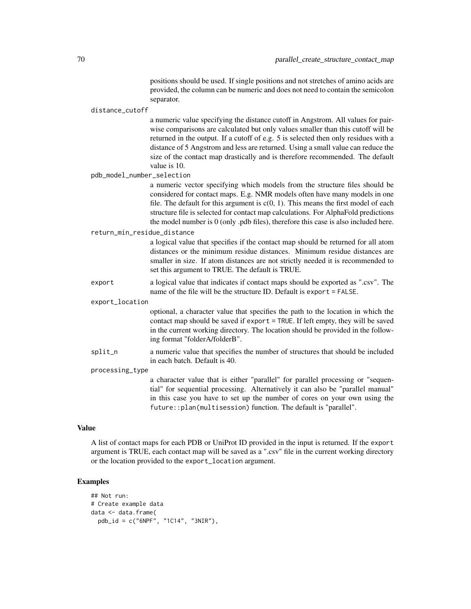positions should be used. If single positions and not stretches of amino acids are provided, the column can be numeric and does not need to contain the semicolon separator.

#### distance\_cutoff

a numeric value specifying the distance cutoff in Angstrom. All values for pairwise comparisons are calculated but only values smaller than this cutoff will be returned in the output. If a cutoff of e.g. 5 is selected then only residues with a distance of 5 Angstrom and less are returned. Using a small value can reduce the size of the contact map drastically and is therefore recommended. The default value is 10.

pdb\_model\_number\_selection

a numeric vector specifying which models from the structure files should be considered for contact maps. E.g. NMR models often have many models in one file. The default for this argument is  $c(0, 1)$ . This means the first model of each structure file is selected for contact map calculations. For AlphaFold predictions the model number is 0 (only .pdb files), therefore this case is also included here.

return\_min\_residue\_distance

a logical value that specifies if the contact map should be returned for all atom distances or the minimum residue distances. Minimum residue distances are smaller in size. If atom distances are not strictly needed it is recommended to set this argument to TRUE. The default is TRUE.

export a logical value that indicates if contact maps should be exported as ".csv". The name of the file will be the structure ID. Default is export = FALSE.

export\_location

optional, a character value that specifies the path to the location in which the contact map should be saved if export = TRUE. If left empty, they will be saved in the current working directory. The location should be provided in the following format "folderA/folderB".

split\_n a numeric value that specifies the number of structures that should be included in each batch. Default is 40.

#### processing\_type

a character value that is either "parallel" for parallel processing or "sequential" for sequential processing. Alternatively it can also be "parallel manual" in this case you have to set up the number of cores on your own using the future::plan(multisession) function. The default is "parallel".

#### Value

A list of contact maps for each PDB or UniProt ID provided in the input is returned. If the export argument is TRUE, each contact map will be saved as a ".csv" file in the current working directory or the location provided to the export\_location argument.

## Examples

```
## Not run:
# Create example data
data <- data.frame(
 pdb_id = c("6NPF", "1C14", "3NIR"),
```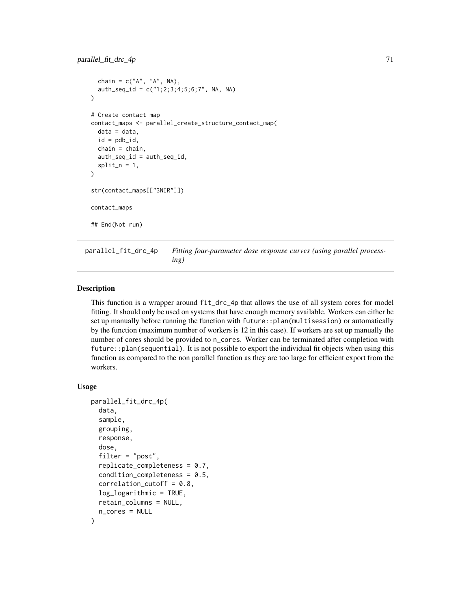```
chain = c("A", "A", NA),
  auth\_seq\_id = c("1; 2; 3; 4; 5; 6; 7", NA, NA))
# Create contact map
contact_maps <- parallel_create_structure_contact_map(
  data = data,id = pdb_id,chain = chain.
  auth_seq_id = auth_seq_id,
  split_n = 1,)
str(contact_maps[["3NIR"]])
contact_maps
## End(Not run)
```
parallel\_fit\_drc\_4p *Fitting four-parameter dose response curves (using parallel processing)*

#### Description

This function is a wrapper around fit\_drc\_4p that allows the use of all system cores for model fitting. It should only be used on systems that have enough memory available. Workers can either be set up manually before running the function with future::plan(multisession) or automatically by the function (maximum number of workers is 12 in this case). If workers are set up manually the number of cores should be provided to n\_cores. Worker can be terminated after completion with future::plan(sequential). It is not possible to export the individual fit objects when using this function as compared to the non parallel function as they are too large for efficient export from the workers.

```
parallel_fit_drc_4p(
  data,
  sample,
 grouping,
  response,
  dose,
  filter = "post",
  replicate_completeness = 0.7,
  condition\_completeness = 0.5,
  correlation_cutoff = 0.8,
  log\_logarithmic = TRUE,
  retain_columns = NULL,
  n_cores = NULL
)
```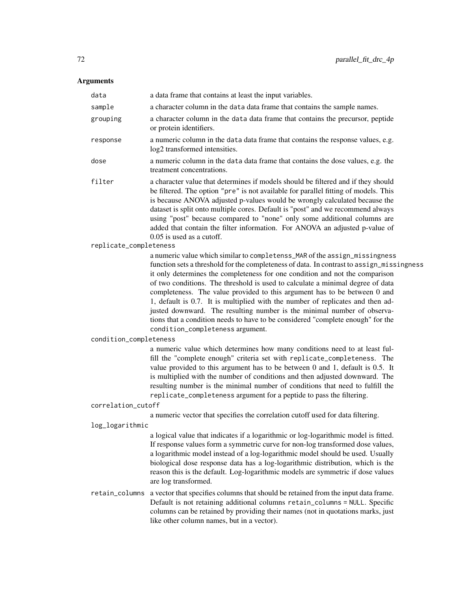| data                   | a data frame that contains at least the input variables.                                                                                                                                                                                                                                                                                                                                                                                                                                                                                                                                                                                                                                                   |
|------------------------|------------------------------------------------------------------------------------------------------------------------------------------------------------------------------------------------------------------------------------------------------------------------------------------------------------------------------------------------------------------------------------------------------------------------------------------------------------------------------------------------------------------------------------------------------------------------------------------------------------------------------------------------------------------------------------------------------------|
| sample                 | a character column in the data data frame that contains the sample names.                                                                                                                                                                                                                                                                                                                                                                                                                                                                                                                                                                                                                                  |
| grouping               | a character column in the data data frame that contains the precursor, peptide<br>or protein identifiers.                                                                                                                                                                                                                                                                                                                                                                                                                                                                                                                                                                                                  |
| response               | a numeric column in the data data frame that contains the response values, e.g.<br>log2 transformed intensities.                                                                                                                                                                                                                                                                                                                                                                                                                                                                                                                                                                                           |
| dose                   | a numeric column in the data data frame that contains the dose values, e.g. the<br>treatment concentrations.                                                                                                                                                                                                                                                                                                                                                                                                                                                                                                                                                                                               |
| filter                 | a character value that determines if models should be filtered and if they should<br>be filtered. The option "pre" is not available for parallel fitting of models. This<br>is because ANOVA adjusted p-values would be wrongly calculated because the<br>dataset is split onto multiple cores. Default is "post" and we recommend always<br>using "post" because compared to "none" only some additional columns are<br>added that contain the filter information. For ANOVA an adjusted p-value of<br>$0.05$ is used as a cutoff.                                                                                                                                                                        |
| replicate_completeness |                                                                                                                                                                                                                                                                                                                                                                                                                                                                                                                                                                                                                                                                                                            |
|                        | a numeric value which similar to completenss_MAR of the assign_missingness<br>function sets a threshold for the completeness of data. In contrast to assign_missingness<br>it only determines the completeness for one condition and not the comparison<br>of two conditions. The threshold is used to calculate a minimal degree of data<br>completeness. The value provided to this argument has to be between 0 and<br>1, default is 0.7. It is multiplied with the number of replicates and then ad-<br>justed downward. The resulting number is the minimal number of observa-<br>tions that a condition needs to have to be considered "complete enough" for the<br>condition_completeness argument. |
| condition_completeness |                                                                                                                                                                                                                                                                                                                                                                                                                                                                                                                                                                                                                                                                                                            |
|                        | a numeric value which determines how many conditions need to at least ful-<br>fill the "complete enough" criteria set with replicate_completeness. The<br>value provided to this argument has to be between $0$ and $1$ , default is $0.5$ . It<br>is multiplied with the number of conditions and then adjusted downward. The<br>resulting number is the minimal number of conditions that need to fulfill the<br>replicate_completeness argument for a peptide to pass the filtering.                                                                                                                                                                                                                    |
| correlation_cutoff     |                                                                                                                                                                                                                                                                                                                                                                                                                                                                                                                                                                                                                                                                                                            |
|                        | a numeric vector that specifies the correlation cutoff used for data filtering.                                                                                                                                                                                                                                                                                                                                                                                                                                                                                                                                                                                                                            |
| log_logarithmic        |                                                                                                                                                                                                                                                                                                                                                                                                                                                                                                                                                                                                                                                                                                            |
|                        | a logical value that indicates if a logarithmic or log-logarithmic model is fitted.<br>If response values form a symmetric curve for non-log transformed dose values,<br>a logarithmic model instead of a log-logarithmic model should be used. Usually<br>biological dose response data has a log-logarithmic distribution, which is the<br>reason this is the default. Log-logarithmic models are symmetric if dose values<br>are log transformed.                                                                                                                                                                                                                                                       |
| retain_columns         | a vector that specifies columns that should be retained from the input data frame.<br>Default is not retaining additional columns retain_columns = NULL. Specific<br>columns can be retained by providing their names (not in quotations marks, just<br>like other column names, but in a vector).                                                                                                                                                                                                                                                                                                                                                                                                         |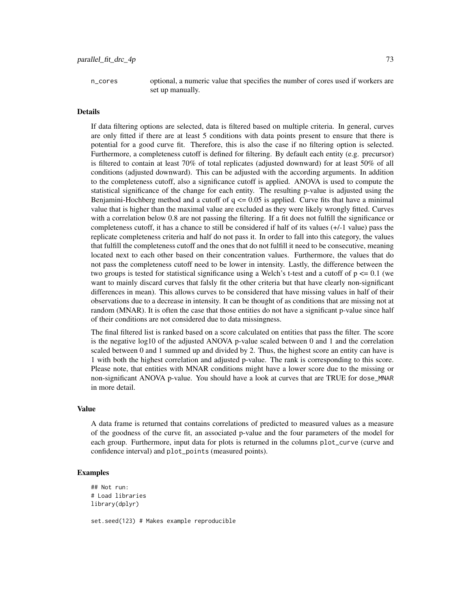n\_cores optional, a numeric value that specifies the number of cores used if workers are set up manually.

#### Details

If data filtering options are selected, data is filtered based on multiple criteria. In general, curves are only fitted if there are at least 5 conditions with data points present to ensure that there is potential for a good curve fit. Therefore, this is also the case if no filtering option is selected. Furthermore, a completeness cutoff is defined for filtering. By default each entity (e.g. precursor) is filtered to contain at least  $70\%$  of total replicates (adjusted downward) for at least  $50\%$  of all conditions (adjusted downward). This can be adjusted with the according arguments. In addition to the completeness cutoff, also a significance cutoff is applied. ANOVA is used to compute the statistical significance of the change for each entity. The resulting p-value is adjusted using the Benjamini-Hochberg method and a cutoff of  $q \le 0.05$  is applied. Curve fits that have a minimal value that is higher than the maximal value are excluded as they were likely wrongly fitted. Curves with a correlation below 0.8 are not passing the filtering. If a fit does not fulfill the significance or completeness cutoff, it has a chance to still be considered if half of its values (+/-1 value) pass the replicate completeness criteria and half do not pass it. In order to fall into this category, the values that fulfill the completeness cutoff and the ones that do not fulfill it need to be consecutive, meaning located next to each other based on their concentration values. Furthermore, the values that do not pass the completeness cutoff need to be lower in intensity. Lastly, the difference between the two groups is tested for statistical significance using a Welch's t-test and a cutoff of  $p \le 0.1$  (we want to mainly discard curves that falsly fit the other criteria but that have clearly non-significant differences in mean). This allows curves to be considered that have missing values in half of their observations due to a decrease in intensity. It can be thought of as conditions that are missing not at random (MNAR). It is often the case that those entities do not have a significant p-value since half of their conditions are not considered due to data missingness.

The final filtered list is ranked based on a score calculated on entities that pass the filter. The score is the negative log10 of the adjusted ANOVA p-value scaled between 0 and 1 and the correlation scaled between 0 and 1 summed up and divided by 2. Thus, the highest score an entity can have is 1 with both the highest correlation and adjusted p-value. The rank is corresponding to this score. Please note, that entities with MNAR conditions might have a lower score due to the missing or non-significant ANOVA p-value. You should have a look at curves that are TRUE for dose\_MNAR in more detail.

#### Value

A data frame is returned that contains correlations of predicted to measured values as a measure of the goodness of the curve fit, an associated p-value and the four parameters of the model for each group. Furthermore, input data for plots is returned in the columns plot\_curve (curve and confidence interval) and plot\_points (measured points).

### Examples

```
## Not run:
# Load libraries
library(dplyr)
set.seed(123) # Makes example reproducible
```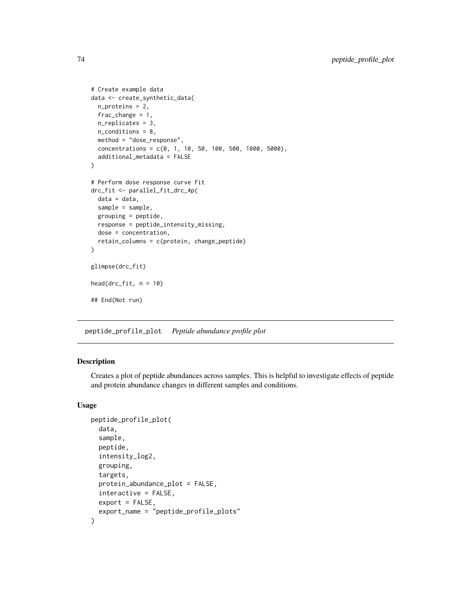```
# Create example data
data <- create_synthetic_data(
 n_proteins = 2,
  frac_change = 1,
 n_replicates = 3,
  n_conditions = 8,
  method = "dose_response",
  concentrations = c(0, 1, 10, 50, 100, 500, 1000, 5000),
  additional_metadata = FALSE
)
# Perform dose response curve fit
drc_fit <- parallel_fit_drc_4p(
  data = data,
  sample = sample,
  grouping = peptide,
  response = peptide_intensity_missing,
  dose = concentration,
  retain_columns = c(protein, change_peptide)
)
glimpse(drc_fit)
head(drc_fit, n = 10)
## End(Not run)
```
peptide\_profile\_plot *Peptide abundance profile plot*

### Description

Creates a plot of peptide abundances across samples. This is helpful to investigate effects of peptide and protein abundance changes in different samples and conditions.

# Usage

```
peptide_profile_plot(
  data,
  sample,
  peptide,
  intensity_log2,
  grouping,
  targets,
  protein_abundance_plot = FALSE,
  interactive = FALSE,
  export = FALSE,export_name = "peptide_profile_plots"
)
```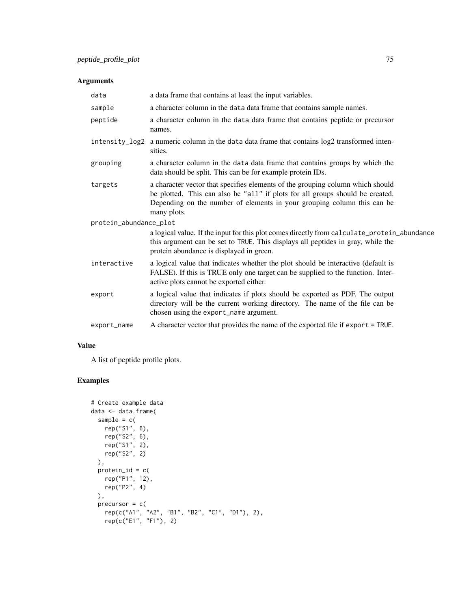# Arguments

| data                   | a data frame that contains at least the input variables.                                                                                                                                                                                                  |  |
|------------------------|-----------------------------------------------------------------------------------------------------------------------------------------------------------------------------------------------------------------------------------------------------------|--|
| sample                 | a character column in the data data frame that contains sample names.                                                                                                                                                                                     |  |
| peptide                | a character column in the data data frame that contains peptide or precursor<br>names.                                                                                                                                                                    |  |
|                        | intensity_log2 a numeric column in the data data frame that contains log2 transformed inten-<br>sities.                                                                                                                                                   |  |
| grouping               | a character column in the data data frame that contains groups by which the<br>data should be split. This can be for example protein IDs.                                                                                                                 |  |
| targets                | a character vector that specifies elements of the grouping column which should<br>be plotted. This can also be "all" if plots for all groups should be created.<br>Depending on the number of elements in your grouping column this can be<br>many plots. |  |
| protein_abundance_plot |                                                                                                                                                                                                                                                           |  |
|                        | a logical value. If the input for this plot comes directly from calculate_protein_abundance<br>this argument can be set to TRUE. This displays all peptides in gray, while the<br>protein abundance is displayed in green.                                |  |
| interactive            | a logical value that indicates whether the plot should be interactive (default is<br>FALSE). If this is TRUE only one target can be supplied to the function. Inter-<br>active plots cannot be exported either.                                           |  |
| export                 | a logical value that indicates if plots should be exported as PDF. The output<br>directory will be the current working directory. The name of the file can be<br>chosen using the export_name argument.                                                   |  |
| export_name            | A character vector that provides the name of the exported file if export = TRUE.                                                                                                                                                                          |  |

# Value

A list of peptide profile plots.

# Examples

```
# Create example data
data <- data.frame(
  sample = c(rep("S1", 6),
   rep("S2", 6),
    rep("S1", 2),
    rep("S2", 2)
  ),
  protein_id = c(rep("P1", 12),
    rep("P2", 4)
  ),
  precursor = c(
    rep(c("A1", "A2", "B1", "B2", "C1", "D1"), 2),
    rep(c("E1", "F1"), 2)
```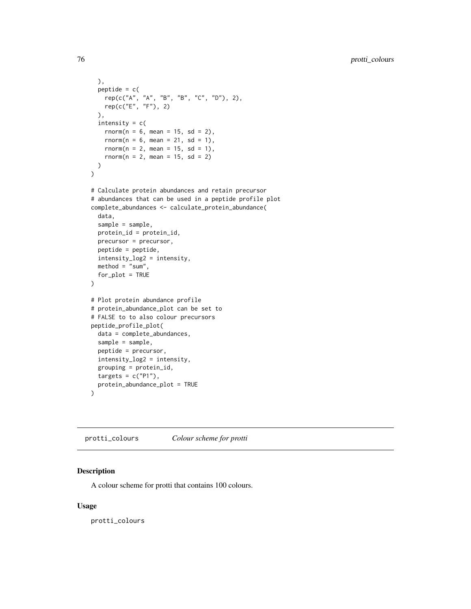```
),
  peptide = c(rep(c("A", "A", "B", "B", "C", "D"), 2),
    rep(c("E", "F"), 2)
  ),
  intensity = c(
    rnorm(n = 6, mean = 15, sd = 2),rnorm(n = 6, mean = 21, sd = 1),rnorm(n = 2, mean = 15, sd = 1),rnorm(n = 2, mean = 15, sd = 2)
  )
)
# Calculate protein abundances and retain precursor
# abundances that can be used in a peptide profile plot
complete_abundances <- calculate_protein_abundance(
  data,
  sample = sample,
  protein_id = protein_id,
  precursor = precursor,
  peptide = peptide,
  intensity_log2 = intensity,
  \text{method} = "sum",for_plot = TRUE
\mathcal{L}# Plot protein abundance profile
# protein_abundance_plot can be set to
# FALSE to to also colour precursors
peptide_profile_plot(
  data = complete_abundances,
  sample = sample,
  peptide = precursor,
  intensity_log2 = intensity,
  grouping = protein_id,
  targets = c("P1"),
  protein_abundance_plot = TRUE
\mathcal{L}
```
protti\_colours *Colour scheme for protti*

#### Description

A colour scheme for protti that contains 100 colours.

## Usage

protti\_colours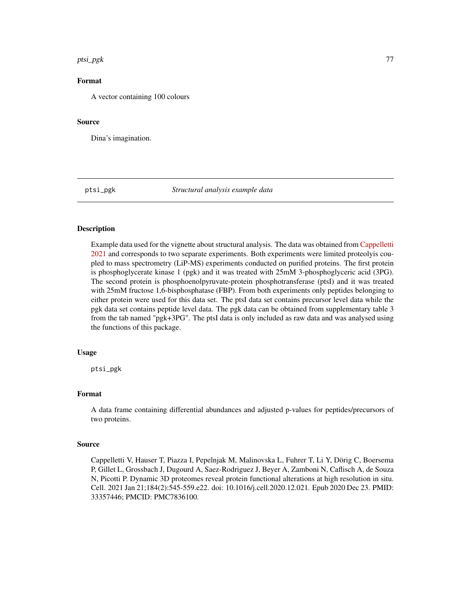#### ptsi\_pgk 77

# Format

A vector containing 100 colours

#### Source

Dina's imagination.

ptsi\_pgk *Structural analysis example data*

#### Description

Example data used for the vignette about structural analysis. The data was obtained from [Cappelletti](https://www.sciencedirect.com/science/article/pii/S0092867420316913) [2021](https://www.sciencedirect.com/science/article/pii/S0092867420316913) and corresponds to two separate experiments. Both experiments were limited proteolyis coupled to mass spectrometry (LiP-MS) experiments conducted on purified proteins. The first protein is phosphoglycerate kinase 1 (pgk) and it was treated with 25mM 3-phosphoglyceric acid (3PG). The second protein is phosphoenolpyruvate-protein phosphotransferase (ptsI) and it was treated with 25mM fructose 1,6-bisphosphatase (FBP). From both experiments only peptides belonging to either protein were used for this data set. The ptsI data set contains precursor level data while the pgk data set contains peptide level data. The pgk data can be obtained from supplementary table 3 from the tab named "pgk+3PG". The ptsI data is only included as raw data and was analysed using the functions of this package.

#### Usage

ptsi\_pgk

# Format

A data frame containing differential abundances and adjusted p-values for peptides/precursors of two proteins.

#### Source

Cappelletti V, Hauser T, Piazza I, Pepelnjak M, Malinovska L, Fuhrer T, Li Y, Dörig C, Boersema P, Gillet L, Grossbach J, Dugourd A, Saez-Rodriguez J, Beyer A, Zamboni N, Caflisch A, de Souza N, Picotti P. Dynamic 3D proteomes reveal protein functional alterations at high resolution in situ. Cell. 2021 Jan 21;184(2):545-559.e22. doi: 10.1016/j.cell.2020.12.021. Epub 2020 Dec 23. PMID: 33357446; PMCID: PMC7836100.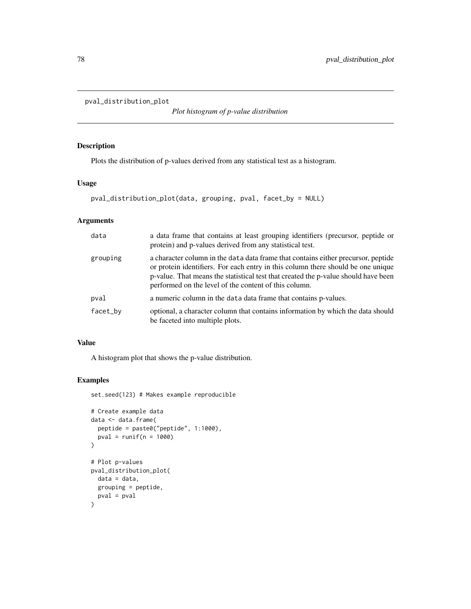```
pval_distribution_plot
```
*Plot histogram of p-value distribution*

## Description

Plots the distribution of p-values derived from any statistical test as a histogram.

## Usage

```
pval_distribution_plot(data, grouping, pval, facet_by = NULL)
```
## Arguments

| data     | a data frame that contains at least grouping identifiers (precursor, peptide or<br>protein) and p-values derived from any statistical test.                                                                                                                                                                          |
|----------|----------------------------------------------------------------------------------------------------------------------------------------------------------------------------------------------------------------------------------------------------------------------------------------------------------------------|
| grouping | a character column in the data data frame that contains either precursor, peptide<br>or protein identifiers. For each entry in this column there should be one unique<br>p-value. That means the statistical test that created the p-value should have been<br>performed on the level of the content of this column. |
| pval     | a numeric column in the data data frame that contains p-values.                                                                                                                                                                                                                                                      |
| facet_by | optional, a character column that contains information by which the data should<br>be faceted into multiple plots.                                                                                                                                                                                                   |

## Value

A histogram plot that shows the p-value distribution.

# Examples

```
set.seed(123) # Makes example reproducible
# Create example data
data <- data.frame(
  peptide = paste0("peptide", 1:1000),
  pval = runif(n = 1000))
# Plot p-values
pval_distribution_plot(
  data = data,
  grouping = peptide,
  pval = pval
\mathcal{L}
```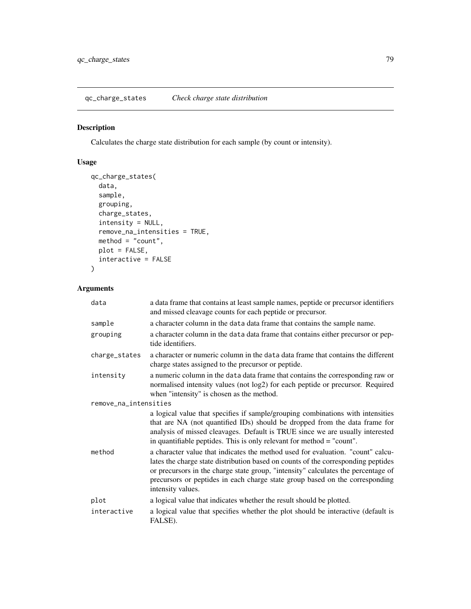qc\_charge\_states *Check charge state distribution*

# Description

Calculates the charge state distribution for each sample (by count or intensity).

# Usage

```
qc_charge_states(
 data,
 sample,
 grouping,
 charge_states,
  intensity = NULL,
 remove_na_intensities = TRUE,
 method = "count",plot = FALSE,
 interactive = FALSE
)
```
# Arguments

| data                  | a data frame that contains at least sample names, peptide or precursor identifiers<br>and missed cleavage counts for each peptide or precursor.                                                                                                                                                                                                                |
|-----------------------|----------------------------------------------------------------------------------------------------------------------------------------------------------------------------------------------------------------------------------------------------------------------------------------------------------------------------------------------------------------|
| sample                | a character column in the data data frame that contains the sample name.                                                                                                                                                                                                                                                                                       |
| grouping              | a character column in the data data frame that contains either precursor or pep-<br>tide identifiers.                                                                                                                                                                                                                                                          |
| charge_states         | a character or numeric column in the data data frame that contains the different<br>charge states assigned to the precursor or peptide.                                                                                                                                                                                                                        |
| intensity             | a numeric column in the data data frame that contains the corresponding raw or<br>normalised intensity values (not log2) for each peptide or precursor. Required<br>when "intensity" is chosen as the method.                                                                                                                                                  |
| remove_na_intensities |                                                                                                                                                                                                                                                                                                                                                                |
|                       | a logical value that specifies if sample/grouping combinations with intensities<br>that are NA (not quantified IDs) should be dropped from the data frame for<br>analysis of missed cleavages. Default is TRUE since we are usually interested<br>in quantifiable peptides. This is only relevant for method = "count".                                        |
| method                | a character value that indicates the method used for evaluation. "count" calcu-<br>lates the charge state distribution based on counts of the corresponding peptides<br>or precursors in the charge state group, "intensity" calculates the percentage of<br>precursors or peptides in each charge state group based on the corresponding<br>intensity values. |
| plot                  | a logical value that indicates whether the result should be plotted.                                                                                                                                                                                                                                                                                           |
| interactive           | a logical value that specifies whether the plot should be interactive (default is<br>FALSE).                                                                                                                                                                                                                                                                   |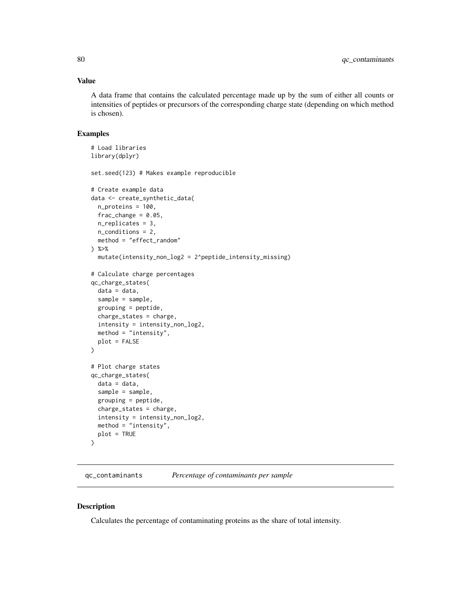## Value

A data frame that contains the calculated percentage made up by the sum of either all counts or intensities of peptides or precursors of the corresponding charge state (depending on which method is chosen).

#### Examples

```
# Load libraries
library(dplyr)
set.seed(123) # Makes example reproducible
# Create example data
data <- create_synthetic_data(
 n_proteins = 100,
 frac_{change = 0.05},
 n_replicates = 3,
 n_conditions = 2,
 method = "effect_random"
) %>%
 mutate(intensity_non_log2 = 2^peptide_intensity_missing)
# Calculate charge percentages
qc_charge_states(
 data = data,
 sample = sample,
 grouping = peptide,
 charge_states = charge,
 intensity = intensity_non_log2,
 method = "intensity",
 plot = FALSE
)
# Plot charge states
qc_charge_states(
 data = data,
 sample = sample,
 grouping = peptide,
 charge_states = charge,
 intensity = intensity_non_log2,
 method = "intensity",
 plot = TRUE
)
```
qc\_contaminants *Percentage of contaminants per sample*

#### Description

Calculates the percentage of contaminating proteins as the share of total intensity.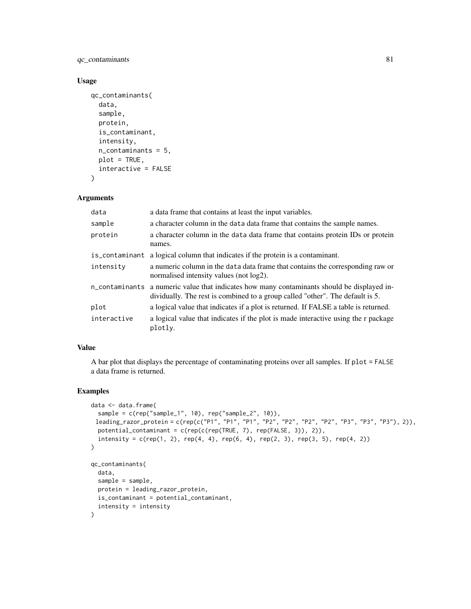# qc\_contaminants 81

## Usage

```
qc_contaminants(
  data,
  sample,
 protein,
  is_contaminant,
  intensity,
  n_contaminants = 5,
  plot = TRUE,
  interactive = FALSE
)
```
### Arguments

| data           | a data frame that contains at least the input variables.                                                                                                                     |
|----------------|------------------------------------------------------------------------------------------------------------------------------------------------------------------------------|
| sample         | a character column in the data data frame that contains the sample names.                                                                                                    |
| protein        | a character column in the data data frame that contains protein IDs or protein<br>names.                                                                                     |
| is_contaminant | a logical column that indicates if the protein is a contaminant.                                                                                                             |
| intensity      | a numeric column in the data data frame that contains the corresponding raw or<br>normalised intensity values (not log2).                                                    |
|                | n_contaminants a numeric value that indicates how many contaminants should be displayed in-<br>dividually. The rest is combined to a group called "other". The default is 5. |
| plot           | a logical value that indicates if a plot is returned. If FALSE a table is returned.                                                                                          |
| interactive    | a logical value that indicates if the plot is made interactive using the r package<br>plotly.                                                                                |

# Value

A bar plot that displays the percentage of contaminating proteins over all samples. If plot = FALSE a data frame is returned.

#### Examples

```
data <- data.frame(
  sample = c(rep("sample_1", 10), rep("sample_2", 10)),
 leading_razor_protein = c(rep(c("P1", "P1", "P1", "P2", "P2", "P2", "P2", "P3", "P3", "P3"), 2)),
  potential_contaminant = c(rep(c(rep(TRUE, 7), rep(FALSE, 3)), 2)),
  intensity = c(rep(1, 2), rep(4, 4), rep(6, 4), rep(2, 3), rep(3, 5), rep(4, 2))\mathcal{L}qc_contaminants(
  data,
  sample = sample,
  protein = leading_razor_protein,
  is_contaminant = potential_contaminant,
  intensity = intensity
)
```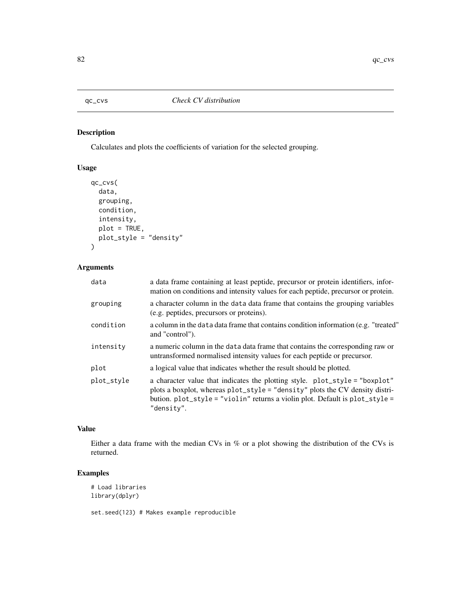# Description

Calculates and plots the coefficients of variation for the selected grouping.

# Usage

```
qc_cvs(
  data,
  grouping,
  condition,
  intensity,
  plot = TRUE,
  plot_style = "density"
\mathcal{L}
```
# Arguments

| data       | a data frame containing at least peptide, precursor or protein identifiers, infor-<br>mation on conditions and intensity values for each peptide, precursor or protein.                                                                                   |
|------------|-----------------------------------------------------------------------------------------------------------------------------------------------------------------------------------------------------------------------------------------------------------|
| grouping   | a character column in the data data frame that contains the grouping variables<br>(e.g. peptides, precursors or proteins).                                                                                                                                |
| condition  | a column in the data data frame that contains condition information (e.g. "treated"<br>and "control").                                                                                                                                                    |
| intensity  | a numeric column in the data data frame that contains the corresponding raw or<br>untransformed normalised intensity values for each peptide or precursor.                                                                                                |
| plot       | a logical value that indicates whether the result should be plotted.                                                                                                                                                                                      |
| plot_style | a character value that indicates the plotting style. plot_style = "boxplot"<br>plots a boxplot, whereas plot_style = "density" plots the CV density distri-<br>bution. plot_style = "violin" returns a violin plot. Default is plot_style =<br>"density". |

## Value

Either a data frame with the median CVs in % or a plot showing the distribution of the CVs is returned.

# Examples

```
# Load libraries
library(dplyr)
```
set.seed(123) # Makes example reproducible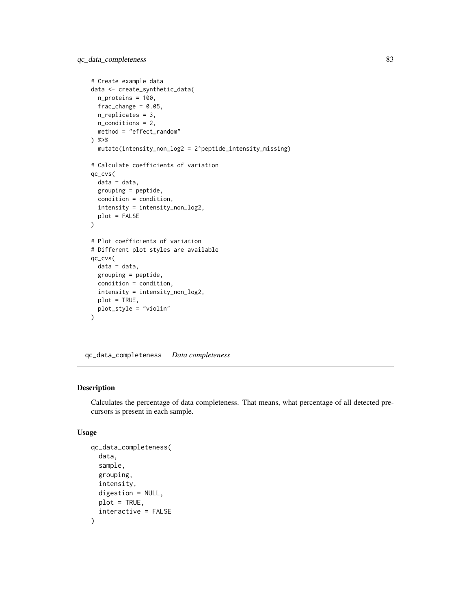```
# Create example data
data <- create_synthetic_data(
 n_proteins = 100,
  frac_{chainge} = 0.05,
 n_replicates = 3,
  n_conditions = 2,
  method = "effect_random"
) %>%
  mutate(intensity_non_log2 = 2^peptide_intensity_missing)
# Calculate coefficients of variation
qc_cvs(
  data = data,
  grouping = peptide,
  condition = condition,
  intensity = intensity_non_log2,
  plot = FALSE
)
# Plot coefficients of variation
# Different plot styles are available
qc_cvs(
  data = data,
  grouping = peptide,
  condition = condition,
  intensity = intensity_non_log2,
  plot = TRUE,
  plot_style = "violin"
)
```
qc\_data\_completeness *Data completeness*

#### Description

Calculates the percentage of data completeness. That means, what percentage of all detected precursors is present in each sample.

## Usage

```
qc_data_completeness(
  data,
  sample,
  grouping,
  intensity,
  digestion = NULL,
  plot = TRUE,
  interactive = FALSE
)
```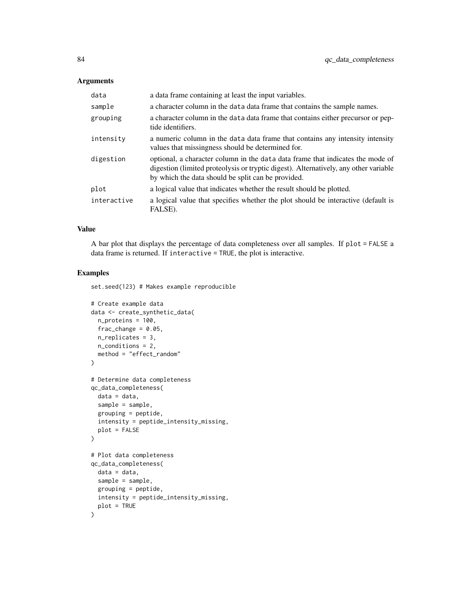# Arguments

| data        | a data frame containing at least the input variables.                                                                                                                                                                        |
|-------------|------------------------------------------------------------------------------------------------------------------------------------------------------------------------------------------------------------------------------|
| sample      | a character column in the data data frame that contains the sample names.                                                                                                                                                    |
| grouping    | a character column in the data data frame that contains either precursor or pep-<br>tide identifiers.                                                                                                                        |
| intensity   | a numeric column in the data data frame that contains any intensity intensity<br>values that missingness should be determined for.                                                                                           |
| digestion   | optional, a character column in the data data frame that indicates the mode of<br>digestion (limited proteolysis or tryptic digest). Alternatively, any other variable<br>by which the data should be split can be provided. |
| plot        | a logical value that indicates whether the result should be plotted.                                                                                                                                                         |
| interactive | a logical value that specifies whether the plot should be interactive (default is<br>FALSE).                                                                                                                                 |

## Value

A bar plot that displays the percentage of data completeness over all samples. If plot = FALSE a data frame is returned. If interactive = TRUE, the plot is interactive.

### Examples

set.seed(123) # Makes example reproducible

```
# Create example data
data <- create_synthetic_data(
 n_proteins = 100,
 frac_{chainge} = 0.05,
 n_replicates = 3,
 n_conditions = 2,
  method = "effect_random"
)
# Determine data completeness
qc_data_completeness(
 data = data,
  sample = sample,
  grouping = peptide,
  intensity = peptide_intensity_missing,
  plot = FALSE
)
# Plot data completeness
qc_data_completeness(
 data = data,
  sample = sample,
  grouping = peptide,
  intensity = peptide_intensity_missing,
  plot = TRUE
\mathcal{L}
```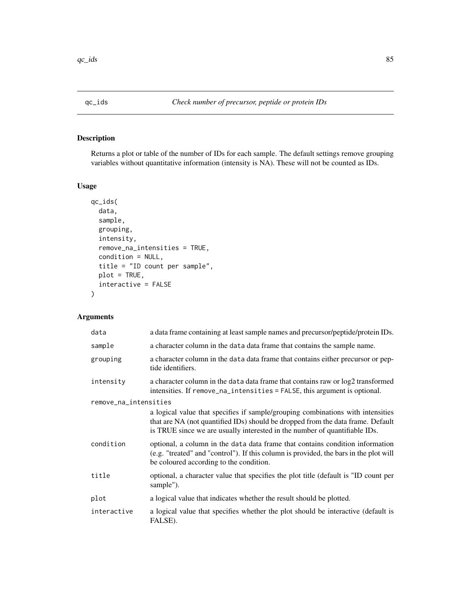# Description

Returns a plot or table of the number of IDs for each sample. The default settings remove grouping variables without quantitative information (intensity is NA). These will not be counted as IDs.

# Usage

```
qc_ids(
  data,
  sample,
  grouping,
  intensity,
  remove_na_intensities = TRUE,
  condition = NULL,
  title = "ID count per sample",
 plot = TRUE,
  interactive = FALSE
\mathcal{L}
```
# Arguments

| data                  | a data frame containing at least sample names and precursor/peptide/protein IDs.                                                                                                                                                                 |  |
|-----------------------|--------------------------------------------------------------------------------------------------------------------------------------------------------------------------------------------------------------------------------------------------|--|
| sample                | a character column in the data data frame that contains the sample name.                                                                                                                                                                         |  |
| grouping              | a character column in the data data frame that contains either precursor or pep-<br>tide identifiers.                                                                                                                                            |  |
| intensity             | a character column in the data data frame that contains raw or $log2$ transformed<br>intensities. If remove_na_intensities = FALSE, this argument is optional.                                                                                   |  |
| remove_na_intensities |                                                                                                                                                                                                                                                  |  |
|                       | a logical value that specifies if sample/grouping combinations with intensities<br>that are NA (not quantified IDs) should be dropped from the data frame. Default<br>is TRUE since we are usually interested in the number of quantifiable IDs. |  |
| condition             | optional, a column in the data data frame that contains condition information<br>(e.g. "treated" and "control"). If this column is provided, the bars in the plot will<br>be coloured according to the condition.                                |  |
| title                 | optional, a character value that specifies the plot title (default is "ID count per<br>sample").                                                                                                                                                 |  |
| plot                  | a logical value that indicates whether the result should be plotted.                                                                                                                                                                             |  |
| interactive           | a logical value that specifies whether the plot should be interactive (default is<br>FALSE).                                                                                                                                                     |  |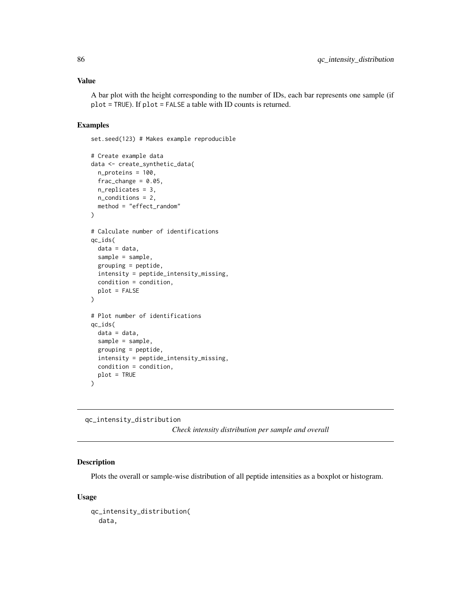## Value

A bar plot with the height corresponding to the number of IDs, each bar represents one sample (if plot = TRUE). If plot = FALSE a table with ID counts is returned.

### Examples

set.seed(123) # Makes example reproducible

```
# Create example data
data <- create_synthetic_data(
 n_proteins = 100,
 frac_{chainge} = 0.05,
 n_replicates = 3,
 n_conditions = 2,
 method = "effect_random"
\mathcal{L}# Calculate number of identifications
qc_ids(
 data = data,
 sample = sample,
 grouping = peptide,
 intensity = peptide_intensity_missing,
 condition = condition,
 plot = FALSE
\mathcal{L}# Plot number of identifications
qc_ids(
 data = data,
 sample = sample,
 grouping = peptide,
 intensity = peptide_intensity_missing,
 condition = condition,
 plot = TRUE
)
```
qc\_intensity\_distribution

*Check intensity distribution per sample and overall*

# Description

Plots the overall or sample-wise distribution of all peptide intensities as a boxplot or histogram.

#### Usage

```
qc_intensity_distribution(
 data,
```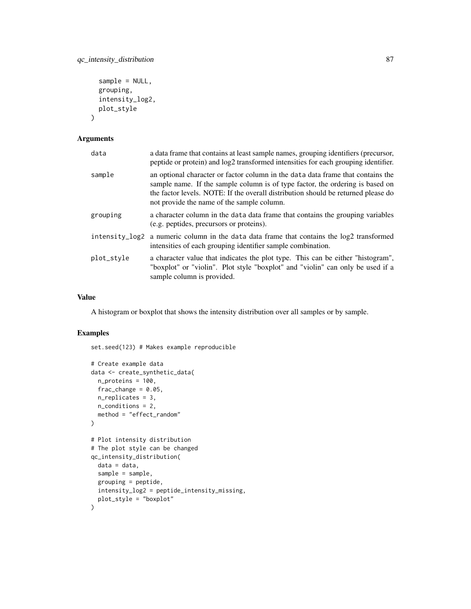```
sample = NULL,
  grouping,
  intensity_log2,
 plot_style
\lambda
```
# Arguments

| a data frame that contains at least sample names, grouping identifiers (precursor,<br>peptide or protein) and $log2$ transformed intensities for each grouping identifier.                                                                                                                          |
|-----------------------------------------------------------------------------------------------------------------------------------------------------------------------------------------------------------------------------------------------------------------------------------------------------|
| an optional character or factor column in the data data frame that contains the<br>sample name. If the sample column is of type factor, the ordering is based on<br>the factor levels. NOTE: If the overall distribution should be returned please do<br>not provide the name of the sample column. |
| a character column in the data data frame that contains the grouping variables<br>(e.g. peptides, precursors or proteins).                                                                                                                                                                          |
| a numeric column in the data data frame that contains the log2 transformed<br>intensities of each grouping identifier sample combination.                                                                                                                                                           |
| a character value that indicates the plot type. This can be either "histogram",<br>"boxplot" or "violin". Plot style "boxplot" and "violin" can only be used if a<br>sample column is provided.                                                                                                     |
|                                                                                                                                                                                                                                                                                                     |

# Value

A histogram or boxplot that shows the intensity distribution over all samples or by sample.

#### Examples

set.seed(123) # Makes example reproducible

```
# Create example data
data <- create_synthetic_data(
 n_proteins = 100,
  frac_{change = 0.05},
  n_replicates = 3,
  n_conditions = 2,
  method = "effect_random"
\mathcal{L}# Plot intensity distribution
# The plot style can be changed
qc_intensity_distribution(
  data = data,
  sample = sample,
  grouping = peptide,
  intensity_log2 = peptide_intensity_missing,
  plot_style = "boxplot"
\overline{\phantom{a}}
```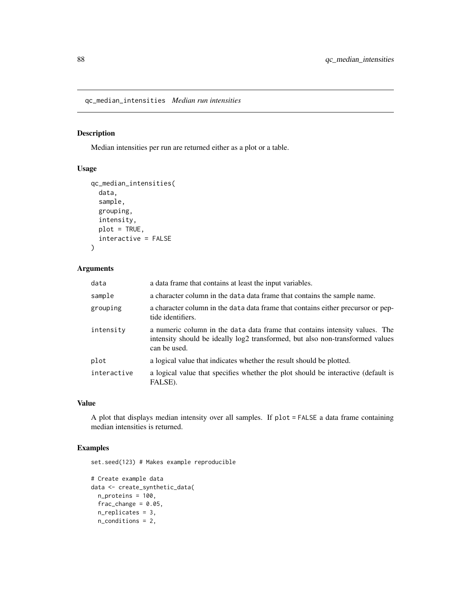qc\_median\_intensities *Median run intensities*

# Description

Median intensities per run are returned either as a plot or a table.

# Usage

```
qc_median_intensities(
  data,
  sample,
  grouping,
  intensity,
 plot = TRUE,
  interactive = FALSE
)
```
# Arguments

| data        | a data frame that contains at least the input variables.                                                                                                                     |
|-------------|------------------------------------------------------------------------------------------------------------------------------------------------------------------------------|
| sample      | a character column in the data data frame that contains the sample name.                                                                                                     |
| grouping    | a character column in the data data frame that contains either precursor or pep-<br>tide identifiers.                                                                        |
| intensity   | a numeric column in the data data frame that contains intensity values. The<br>intensity should be ideally log2 transformed, but also non-transformed values<br>can be used. |
| plot        | a logical value that indicates whether the result should be plotted.                                                                                                         |
| interactive | a logical value that specifies whether the plot should be interactive (default is<br>FALSE).                                                                                 |

# Value

A plot that displays median intensity over all samples. If plot = FALSE a data frame containing median intensities is returned.

# Examples

set.seed(123) # Makes example reproducible

```
# Create example data
data <- create_synthetic_data(
 n_proteins = 100,
  frac_{chainge} = 0.05,
  n_replicates = 3,
  n_conditions = 2,
```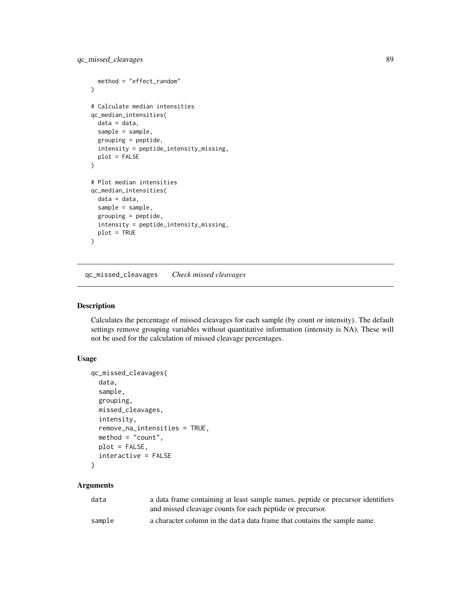```
method = "effect_random"
\mathcal{L}# Calculate median intensities
qc_median_intensities(
  data = data,
  sample = sample,
  grouping = peptide,
  intensity = peptide_intensity_missing,
  plot = FALSE
\mathcal{L}# Plot median intensities
qc_median_intensities(
  data = data,
  sample = sample,
  grouping = peptide,
  intensity = peptide_intensity_missing,
  plot = TRUE
\mathcal{L}
```
qc\_missed\_cleavages *Check missed cleavages*

## Description

Calculates the percentage of missed cleavages for each sample (by count or intensity). The default settings remove grouping variables without quantitative information (intensity is NA). These will not be used for the calculation of missed cleavage percentages.

### Usage

```
qc_missed_cleavages(
  data,
  sample,
 grouping,
 missed_cleavages,
  intensity,
  remove_na_intensities = TRUE,
 method = "count",
 plot = FALSE,
  interactive = FALSE
)
```
#### Arguments

| data   | a data frame containing at least sample names, peptide or precursor identifiers |
|--------|---------------------------------------------------------------------------------|
|        | and missed cleavage counts for each peptide or precursor.                       |
| sample | a character column in the data data frame that contains the sample name.        |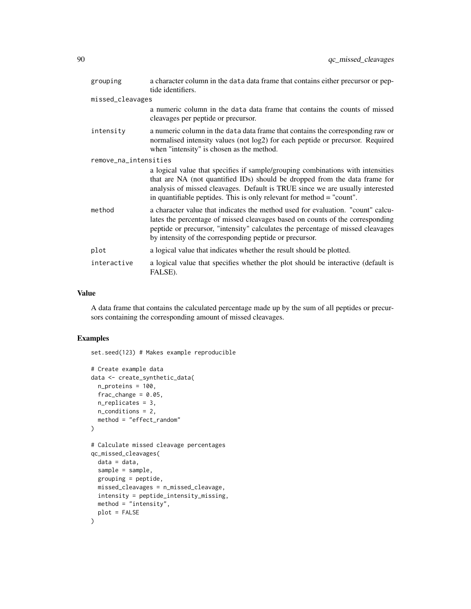| grouping              | a character column in the data data frame that contains either precursor or pep-<br>tide identifiers.                                                                                                                                                                                                                   |
|-----------------------|-------------------------------------------------------------------------------------------------------------------------------------------------------------------------------------------------------------------------------------------------------------------------------------------------------------------------|
| missed_cleavages      |                                                                                                                                                                                                                                                                                                                         |
|                       | a numeric column in the data data frame that contains the counts of missed<br>cleavages per peptide or precursor.                                                                                                                                                                                                       |
| intensity             | a numeric column in the data data frame that contains the corresponding raw or<br>normalised intensity values (not log2) for each peptide or precursor. Required<br>when "intensity" is chosen as the method.                                                                                                           |
| remove_na_intensities |                                                                                                                                                                                                                                                                                                                         |
|                       | a logical value that specifies if sample/grouping combinations with intensities<br>that are NA (not quantified IDs) should be dropped from the data frame for<br>analysis of missed cleavages. Default is TRUE since we are usually interested<br>in quantifiable peptides. This is only relevant for method = "count". |
| method                | a character value that indicates the method used for evaluation. "count" calcu-<br>lates the percentage of missed cleavages based on counts of the corresponding<br>peptide or precursor, "intensity" calculates the percentage of missed cleavages<br>by intensity of the corresponding peptide or precursor.          |
| plot                  | a logical value that indicates whether the result should be plotted.                                                                                                                                                                                                                                                    |
| interactive           | a logical value that specifies whether the plot should be interactive (default is<br>FALSE).                                                                                                                                                                                                                            |

# Value

A data frame that contains the calculated percentage made up by the sum of all peptides or precursors containing the corresponding amount of missed cleavages.

# Examples

set.seed(123) # Makes example reproducible

```
# Create example data
data <- create_synthetic_data(
 n_proteins = 100,
 frac_{\text{char}}{ }n_replicates = 3,
 n_conditions = 2,
  method = "effect_random"
\mathcal{L}# Calculate missed cleavage percentages
qc_missed_cleavages(
 data = data,
 sample = sample,
  grouping = peptide,
 missed_cleavages = n_missed_cleavage,
  intensity = peptide_intensity_missing,
 method = "intensity",
  plot = FALSE
\mathcal{L}
```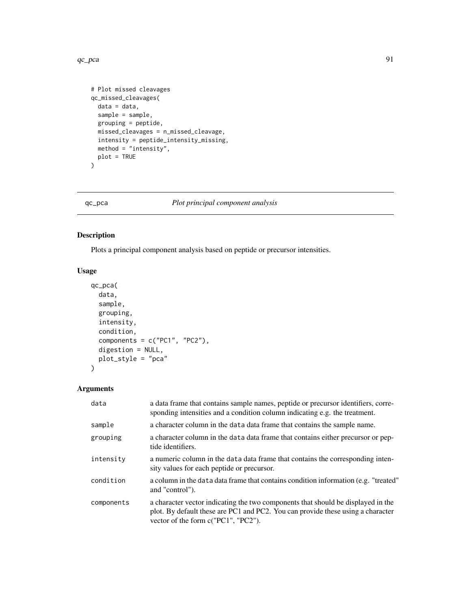#### $qc_pca$  91

```
# Plot missed cleavages
qc_missed_cleavages(
 data = data,
 sample = sample,
 grouping = peptide,
 missed_cleavages = n_missed_cleavage,
 intensity = peptide_intensity_missing,
 method = "intensity",
  plot = TRUE
)
```
qc\_pca *Plot principal component analysis*

# Description

Plots a principal component analysis based on peptide or precursor intensities.

# Usage

```
qc_pca(
  data,
  sample,
  grouping,
  intensity,
  condition,
  components = c("PC1", "PC2"),
  digestion = NULL,
  plot_style = "pca"
\mathcal{L}
```
# Arguments

| data       | a data frame that contains sample names, peptide or precursor identifiers, corre-<br>sponding intensities and a condition column indicating e.g. the treatment.                                              |
|------------|--------------------------------------------------------------------------------------------------------------------------------------------------------------------------------------------------------------|
| sample     | a character column in the data data frame that contains the sample name.                                                                                                                                     |
| grouping   | a character column in the data data frame that contains either precursor or pep-<br>tide identifiers.                                                                                                        |
| intensity  | a numeric column in the data data frame that contains the corresponding inten-<br>sity values for each peptide or precursor.                                                                                 |
| condition  | a column in the data data frame that contains condition information (e.g. "treated"<br>and "control").                                                                                                       |
| components | a character vector indicating the two components that should be displayed in the<br>plot. By default these are PC1 and PC2. You can provide these using a character<br>vector of the form $c("PC1", "PC2").$ |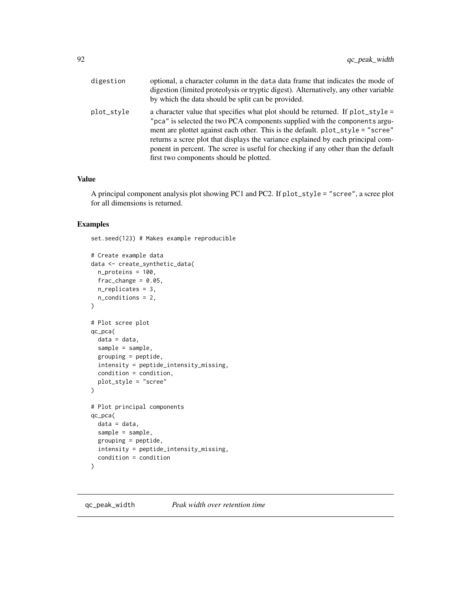| digestion  | optional, a character column in the data data frame that indicates the mode of<br>digestion (limited proteolysis or tryptic digest). Alternatively, any other variable<br>by which the data should be split can be provided.                                                                                                                                                                                                                                        |
|------------|---------------------------------------------------------------------------------------------------------------------------------------------------------------------------------------------------------------------------------------------------------------------------------------------------------------------------------------------------------------------------------------------------------------------------------------------------------------------|
| plot_style | a character value that specifies what plot should be returned. If plot_style =<br>"pca" is selected the two PCA components supplied with the components argu-<br>ment are plottet against each other. This is the default. plot_style = "scree"<br>returns a scree plot that displays the variance explained by each principal com-<br>ponent in percent. The scree is useful for checking if any other than the default<br>first two components should be plotted. |

#### Value

A principal component analysis plot showing PC1 and PC2. If plot\_style = "scree", a scree plot for all dimensions is returned.

# Examples

set.seed(123) # Makes example reproducible

```
# Create example data
data <- create_synthetic_data(
 n_proteins = 100,
  frac_{chainge} = 0.05,
 n_replicates = 3,
  n_conditions = 2,
)
# Plot scree plot
qc_pca(
 data = data,
 sample = sample,
  grouping = peptide,
  intensity = peptide_intensity_missing,
  condition = condition,
  plot_style = "scree"
)
# Plot principal components
qc_pca(
 data = data,
  sample = sample,
  grouping = peptide,
  intensity = peptide_intensity_missing,
  condition = condition
\mathcal{L}
```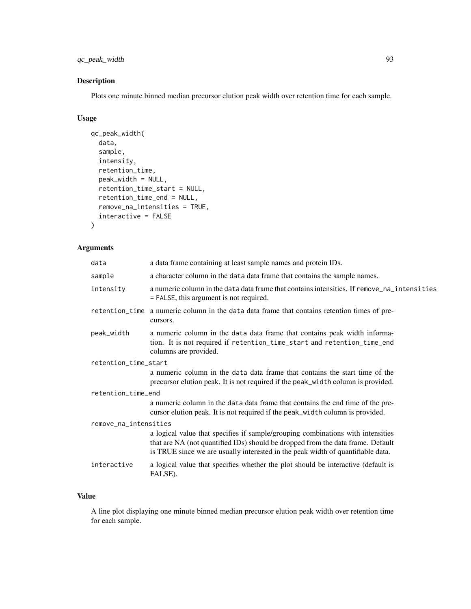# qc\_peak\_width 93

# Description

Plots one minute binned median precursor elution peak width over retention time for each sample.

# Usage

```
qc_peak_width(
  data,
  sample,
  intensity,
  retention_time,
 peak_width = NULL,
  retention_time_start = NULL,
  retention_time_end = NULL,
  remove_na_intensities = TRUE,
  interactive = FALSE
\mathcal{L}
```
# Arguments

| data                  | a data frame containing at least sample names and protein IDs.                                                                                                                                                                                        |  |
|-----------------------|-------------------------------------------------------------------------------------------------------------------------------------------------------------------------------------------------------------------------------------------------------|--|
| sample                | a character column in the data data frame that contains the sample names.                                                                                                                                                                             |  |
| intensity             | a numeric column in the data data frame that contains intensities. If remove_na_intensities<br>$=$ FALSE, this argument is not required.                                                                                                              |  |
|                       | retention_time a numeric column in the data data frame that contains retention times of pre-<br>cursors.                                                                                                                                              |  |
| peak_width            | a numeric column in the data data frame that contains peak width informa-<br>tion. It is not required if retention_time_start and retention_time_end<br>columns are provided.                                                                         |  |
| retention_time_start  |                                                                                                                                                                                                                                                       |  |
|                       | a numeric column in the data data frame that contains the start time of the<br>precursor elution peak. It is not required if the peak_width column is provided.                                                                                       |  |
| retention_time_end    |                                                                                                                                                                                                                                                       |  |
|                       | a numeric column in the data data frame that contains the end time of the pre-<br>cursor elution peak. It is not required if the peak_width column is provided.                                                                                       |  |
| remove_na_intensities |                                                                                                                                                                                                                                                       |  |
|                       | a logical value that specifies if sample/grouping combinations with intensities<br>that are NA (not quantified IDs) should be dropped from the data frame. Default<br>is TRUE since we are usually interested in the peak width of quantifiable data. |  |
| interactive           | a logical value that specifies whether the plot should be interactive (default is<br>FALSE).                                                                                                                                                          |  |
|                       |                                                                                                                                                                                                                                                       |  |

# Value

A line plot displaying one minute binned median precursor elution peak width over retention time for each sample.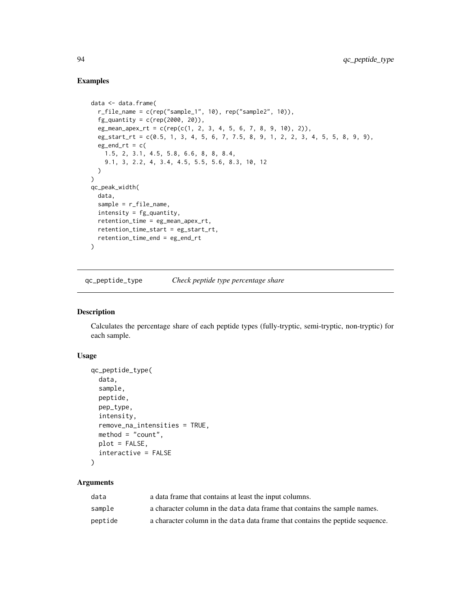# Examples

```
data <- data.frame(
  r_file_name = c(rep("sample_1", 10), rep("sample2", 10)),fg_quantity = c(rep(2000, 20)),
  eg_mean_apex_rt = c(rep(c(1, 2, 3, 4, 5, 6, 7, 8, 9, 10), 2)),eg_start_rt = c(0.5, 1, 3, 4, 5, 6, 7, 7.5, 8, 9, 1, 2, 2, 3, 4, 5, 5, 8, 9, 9),
  eg\_end\_rt = c(1.5, 2, 3.1, 4.5, 5.8, 6.6, 8, 8, 8.4,
   9.1, 3, 2.2, 4, 3.4, 4.5, 5.5, 5.6, 8.3, 10, 12
  )
\mathcal{L}qc_peak_width(
 data,
 sample = r_file_name,
 intensity = fg_quantity,
 retention_time = eg_mean_apex_rt,
 retention_time_start = eg_start_rt,
  retention_time_end = eg_end_rt
\lambda
```
qc\_peptide\_type *Check peptide type percentage share*

### Description

Calculates the percentage share of each peptide types (fully-tryptic, semi-tryptic, non-tryptic) for each sample.

# Usage

```
qc_peptide_type(
  data,
  sample,
  peptide,
 pep_type,
  intensity,
  remove_na_intensities = TRUE,
  method = "count",plot = FALSE,
  interactive = FALSE
\lambda
```
### Arguments

| data    | a data frame that contains at least the input columns.                        |
|---------|-------------------------------------------------------------------------------|
| sample  | a character column in the data data frame that contains the sample names.     |
| peptide | a character column in the data data frame that contains the peptide sequence. |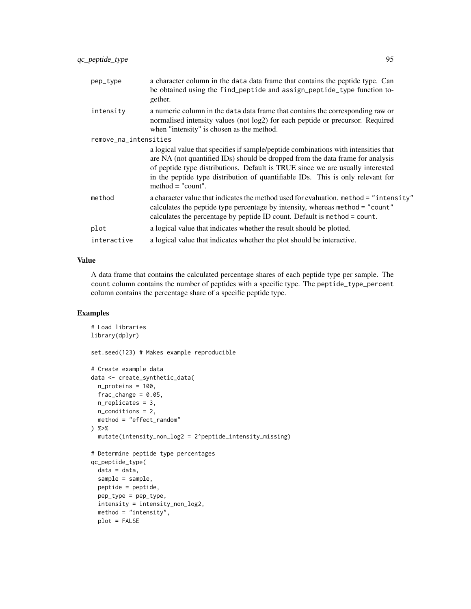| pep_type              | a character column in the data data frame that contains the peptide type. Can<br>be obtained using the find_peptide and assign_peptide_type function to-<br>gether.                                                                                                                                                                                               |
|-----------------------|-------------------------------------------------------------------------------------------------------------------------------------------------------------------------------------------------------------------------------------------------------------------------------------------------------------------------------------------------------------------|
| intensity             | a numeric column in the data data frame that contains the corresponding raw or<br>normalised intensity values (not log2) for each peptide or precursor. Required<br>when "intensity" is chosen as the method.                                                                                                                                                     |
| remove_na_intensities |                                                                                                                                                                                                                                                                                                                                                                   |
|                       | a logical value that specifies if sample/peptide combinations with intensities that<br>are NA (not quantified IDs) should be dropped from the data frame for analysis<br>of peptide type distributions. Default is TRUE since we are usually interested<br>in the peptide type distribution of quantifiable IDs. This is only relevant for<br>$method = "count".$ |
| method                | a character value that indicates the method used for evaluation. method = "intensity"<br>calculates the peptide type percentage by intensity, whereas method = "count"<br>calculates the percentage by peptide ID count. Default is method = count.                                                                                                               |
| plot                  | a logical value that indicates whether the result should be plotted.                                                                                                                                                                                                                                                                                              |
| interactive           | a logical value that indicates whether the plot should be interactive.                                                                                                                                                                                                                                                                                            |
|                       |                                                                                                                                                                                                                                                                                                                                                                   |

## Value

A data frame that contains the calculated percentage shares of each peptide type per sample. The count column contains the number of peptides with a specific type. The peptide\_type\_percent column contains the percentage share of a specific peptide type.

## Examples

```
# Load libraries
library(dplyr)
set.seed(123) # Makes example reproducible
# Create example data
data <- create_synthetic_data(
 n_proteins = 100,
 frac_{chainge} = 0.05,
 n_replicates = 3,
 n_conditions = 2,
  method = "effect_random"
) %>%
  mutate(intensity_non_log2 = 2^peptide_intensity_missing)
# Determine peptide type percentages
qc_peptide_type(
  data = data,
  sample = sample,
  peptide = peptide,
  pep_type = pep_type,
  intensity = intensity_non_log2,
  method = "intensity",plot = FALSE
```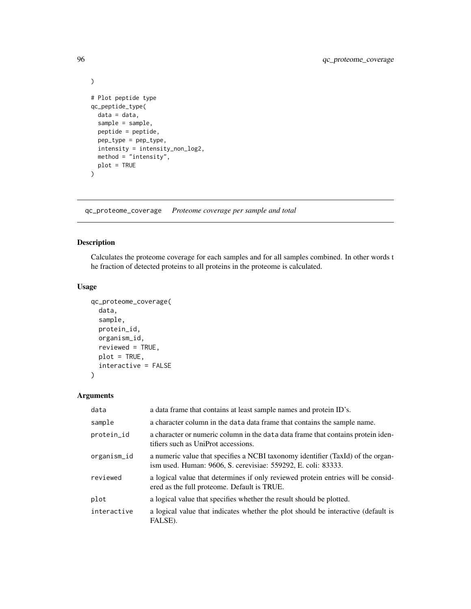```
)
# Plot peptide type
qc_peptide_type(
  data = data,
  sample = sample,
  peptide = peptide,
  pep_type = pep_type,
  intensity = intensity_non_log2,
  method = "intensity",
  plot = TRUE
\overline{\phantom{a}}
```
qc\_proteome\_coverage *Proteome coverage per sample and total*

## Description

Calculates the proteome coverage for each samples and for all samples combined. In other words t he fraction of detected proteins to all proteins in the proteome is calculated.

#### Usage

```
qc_proteome_coverage(
  data,
  sample,
 protein_id,
 organism_id,
  reviewed = TRUE,plot = TRUE,
  interactive = FALSE
)
```
## Arguments

| data        | a data frame that contains at least sample names and protein ID's.                                                                               |
|-------------|--------------------------------------------------------------------------------------------------------------------------------------------------|
| sample      | a character column in the data data frame that contains the sample name.                                                                         |
| protein_id  | a character or numeric column in the data data frame that contains protein iden-<br>tifiers such as UniProt accessions.                          |
| organism_id | a numeric value that specifies a NCBI taxonomy identifier (TaxId) of the organ-<br>ism used. Human: 9606, S. cerevisiae: 559292, E. coli: 83333. |
| reviewed    | a logical value that determines if only reviewed protein entries will be consid-<br>ered as the full proteome. Default is TRUE.                  |
| plot        | a logical value that specifies whether the result should be plotted.                                                                             |
| interactive | a logical value that indicates whether the plot should be interactive (default is<br>FALSE).                                                     |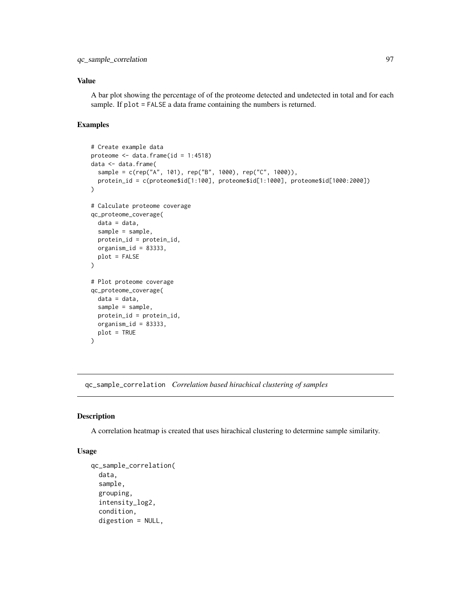### Value

A bar plot showing the percentage of of the proteome detected and undetected in total and for each sample. If plot = FALSE a data frame containing the numbers is returned.

### Examples

```
# Create example data
proteome <- data.frame(id = 1:4518)
data <- data.frame(
  sample = c(rep("A", 101), rep("B", 1000), rep("C", 1000)),
  protein_id = c(proteome$id[1:100], proteome$id[1:1000], proteome$id[1000:2000])
\mathcal{L}# Calculate proteome coverage
qc_proteome_coverage(
  data = data,
  sample = sample,
  protein_id = protein_id,
  organism_id = 83333,
  plot = FALSE
)
# Plot proteome coverage
qc_proteome_coverage(
  data = data,
  sample = sample,
  protein_id = protein_id,
  organism_id = 83333,plot = TRUE
)
```
qc\_sample\_correlation *Correlation based hirachical clustering of samples*

#### Description

A correlation heatmap is created that uses hirachical clustering to determine sample similarity.

#### Usage

```
qc_sample_correlation(
  data,
  sample,
  grouping,
  intensity_log2,
  condition,
  digestion = NULL,
```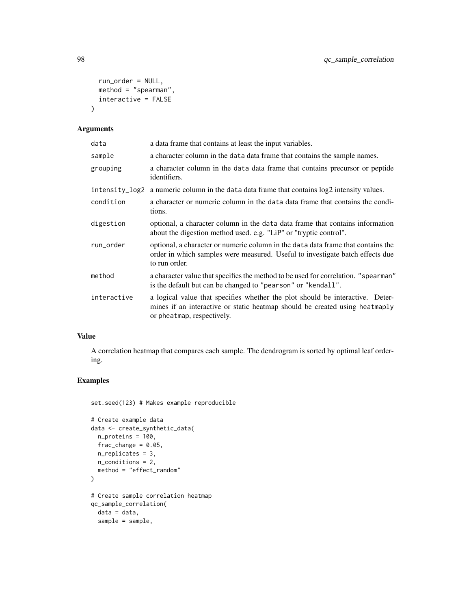```
run_order = NULL,
  method = "spearman",
  interactive = FALSE
\lambda
```
# Arguments

| a data frame that contains at least the input variables.                                                                                                                                   |
|--------------------------------------------------------------------------------------------------------------------------------------------------------------------------------------------|
| a character column in the data data frame that contains the sample names.                                                                                                                  |
| a character column in the data data frame that contains precursor or peptide<br>identifiers.                                                                                               |
| a numeric column in the data data frame that contains $log2$ intensity values.                                                                                                             |
| a character or numeric column in the data data frame that contains the condi-<br>tions.                                                                                                    |
| optional, a character column in the data data frame that contains information<br>about the digestion method used. e.g. "LiP" or "tryptic control".                                         |
| optional, a character or numeric column in the data data frame that contains the<br>order in which samples were measured. Useful to investigate batch effects due<br>to run order.         |
| a character value that specifies the method to be used for correlation. "spearman"<br>is the default but can be changed to "pearson" or "kendall".                                         |
| a logical value that specifies whether the plot should be interactive. Deter-<br>mines if an interactive or static heatmap should be created using heatmaply<br>or pheatmap, respectively. |
|                                                                                                                                                                                            |

# Value

A correlation heatmap that compares each sample. The dendrogram is sorted by optimal leaf ordering.

# Examples

set.seed(123) # Makes example reproducible

```
# Create example data
data <- create_synthetic_data(
 n_proteins = 100,
 frac_{change = 0.05},
 n_replicates = 3,
 n_conditions = 2,
  method = "effect_random"
\mathcal{L}# Create sample correlation heatmap
qc_sample_correlation(
 data = data,
 sample = sample,
```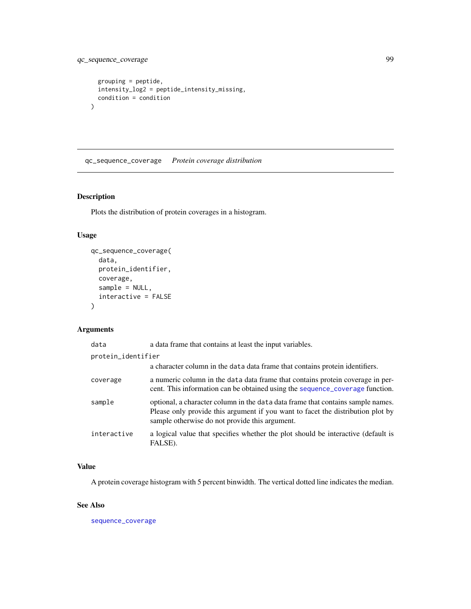# qc\_sequence\_coverage 99

```
grouping = peptide,
  intensity_log2 = peptide_intensity_missing,
  condition = condition
\mathcal{L}
```
qc\_sequence\_coverage *Protein coverage distribution*

# Description

Plots the distribution of protein coverages in a histogram.

## Usage

```
qc_sequence_coverage(
  data,
 protein_identifier,
 coverage,
  sample = NULL,
  interactive = FALSE
)
```
# Arguments

| data               | a data frame that contains at least the input variables.                                                                                                                                                             |
|--------------------|----------------------------------------------------------------------------------------------------------------------------------------------------------------------------------------------------------------------|
| protein_identifier |                                                                                                                                                                                                                      |
|                    | a character column in the data data frame that contains protein identifiers.                                                                                                                                         |
| coverage           | a numeric column in the data data frame that contains protein coverage in per-<br>cent. This information can be obtained using the sequence_coverage function.                                                       |
| sample             | optional, a character column in the data data frame that contains sample names.<br>Please only provide this argument if you want to facet the distribution plot by<br>sample otherwise do not provide this argument. |
| interactive        | a logical value that specifies whether the plot should be interactive (default is<br>FALSE).                                                                                                                         |

# Value

A protein coverage histogram with 5 percent binwidth. The vertical dotted line indicates the median.

### See Also

[sequence\\_coverage](#page-0-0)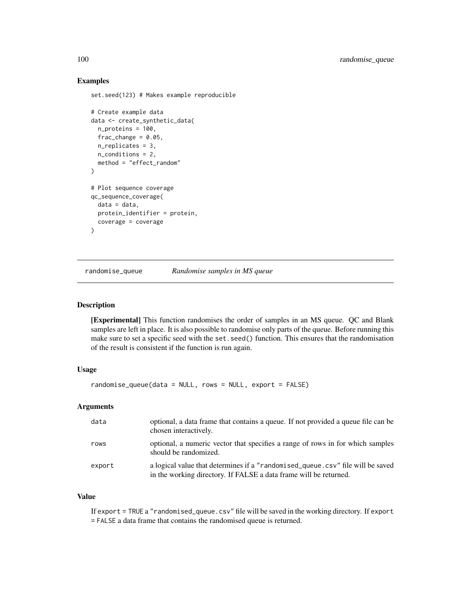### Examples

set.seed(123) # Makes example reproducible

```
# Create example data
data <- create_synthetic_data(
 n_proteins = 100,
 frac_{change = 0.05},
 n_replicates = 3,
 n_conditions = 2,
 method = "effect_random"
)
# Plot sequence coverage
qc_sequence_coverage(
 data = data,
 protein_identifier = protein,
 coverage = coverage
)
```
randomise\_queue *Randomise samples in MS queue*

### Description

[Experimental] This function randomises the order of samples in an MS queue. QC and Blank samples are left in place. It is also possible to randomise only parts of the queue. Before running this make sure to set a specific seed with the set.seed() function. This ensures that the randomisation of the result is consistent if the function is run again.

### Usage

```
randomise_queue(data = NULL, rows = NULL, export = FALSE)
```
# Arguments

| data   | optional, a data frame that contains a queue. If not provided a queue file can be<br>chosen interactively.                                          |
|--------|-----------------------------------------------------------------------------------------------------------------------------------------------------|
| rows   | optional, a numeric vector that specifies a range of rows in for which samples<br>should be randomized.                                             |
| export | a logical value that determines if a "randomised_queue.csv" file will be saved<br>in the working directory. If FALSE a data frame will be returned. |

### Value

If export = TRUE a "randomised\_queue.csv" file will be saved in the working directory. If export = FALSE a data frame that contains the randomised queue is returned.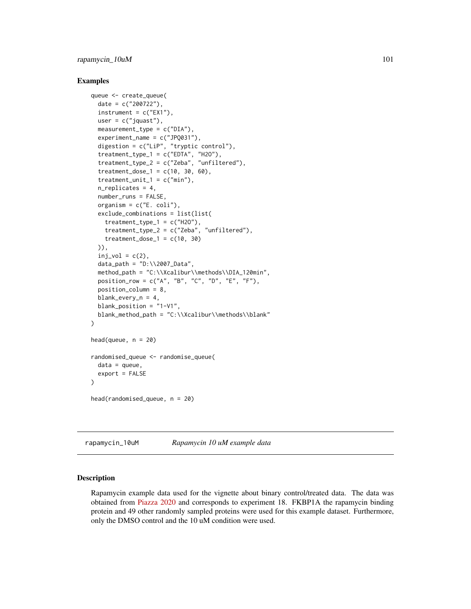# rapamycin\_10uM 101

#### Examples

```
queue <- create_queue(
 date = c("200722"),
 instrument = c("EX1"),
 user = c("jquast"),
 measurement_type = c("DIA"),
 experiment_name = c("JPQ031"),
 digestion = c("LiP", "tryptic control"),
  treatment_type_1 = c("EDTA", "H20"),treatment_type_2 = c("Zeba", "unfiltered"),
 treatment\_dose_1 = c(10, 30, 60),
 treatment\_unit_1 = c("min"),n_replicates = 4,
 number_runs = FALSE,
 organism = c("E. coli"),
 exclude_combinations = list(list(
    treatment_type_1 = c("H20"),treatment_type_2 = c("Zeba", "unfiltered"),
    treatment_dose_1 = c(10, 30))),
 inj_vol = c(2),
 data_path = "D:\\2007_Data",
 method_path = "C:\\Xcalibur\\methods\\DIA_120min",
 position_row = c("A", "B", "C", "D", "E", "F"),
 position_column = 8,
 blank_every_n = 4,
 blank_position = "1-V1",
 blank_method_path = "C:\\Xcalibur\\methods\\blank"
)
head(queue, n = 20)
randomised_queue <- randomise_queue(
 data = queue,
 export = FALSE
)
head(randomised_queue, n = 20)
```
rapamycin\_10uM *Rapamycin 10 uM example data*

#### **Description**

Rapamycin example data used for the vignette about binary control/treated data. The data was obtained from [Piazza 2020](https://www.nature.com/articles/s41467-020-18071-x) and corresponds to experiment 18. FKBP1A the rapamycin binding protein and 49 other randomly sampled proteins were used for this example dataset. Furthermore, only the DMSO control and the 10 uM condition were used.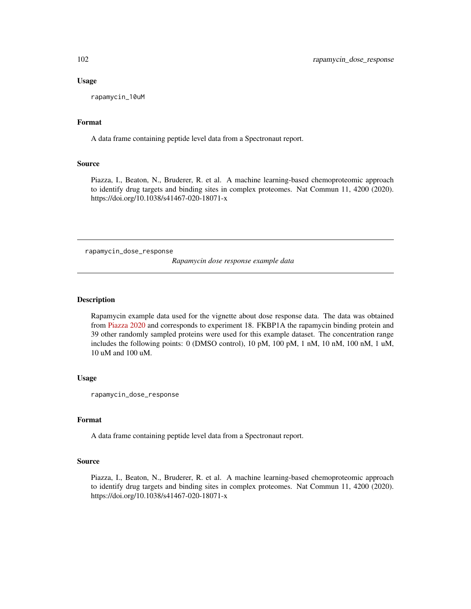#### Usage

rapamycin\_10uM

# Format

A data frame containing peptide level data from a Spectronaut report.

#### Source

Piazza, I., Beaton, N., Bruderer, R. et al. A machine learning-based chemoproteomic approach to identify drug targets and binding sites in complex proteomes. Nat Commun 11, 4200 (2020). https://doi.org/10.1038/s41467-020-18071-x

rapamycin\_dose\_response

*Rapamycin dose response example data*

### Description

Rapamycin example data used for the vignette about dose response data. The data was obtained from [Piazza 2020](https://www.nature.com/articles/s41467-020-18071-x) and corresponds to experiment 18. FKBP1A the rapamycin binding protein and 39 other randomly sampled proteins were used for this example dataset. The concentration range includes the following points: 0 (DMSO control), 10 pM, 100 pM, 1 nM, 10 nM, 100 nM, 1 uM, 10 uM and 100 uM.

### Usage

rapamycin\_dose\_response

### Format

A data frame containing peptide level data from a Spectronaut report.

## Source

Piazza, I., Beaton, N., Bruderer, R. et al. A machine learning-based chemoproteomic approach to identify drug targets and binding sites in complex proteomes. Nat Commun 11, 4200 (2020). https://doi.org/10.1038/s41467-020-18071-x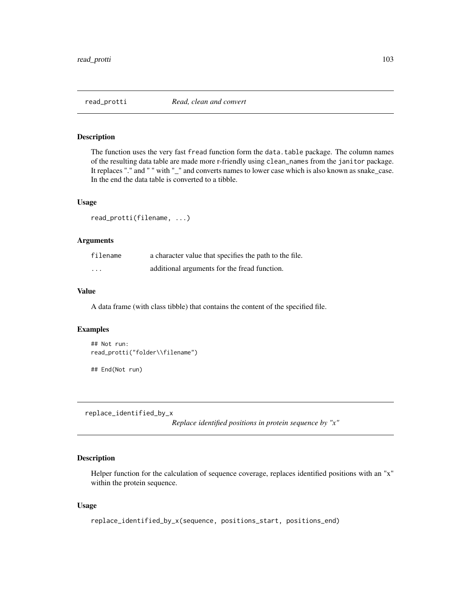## Description

The function uses the very fast fread function form the data.table package. The column names of the resulting data table are made more r-friendly using clean\_names from the janitor package. It replaces "." and " " with "\_" and converts names to lower case which is also known as snake\_case. In the end the data table is converted to a tibble.

## Usage

read\_protti(filename, ...)

## Arguments

| filename                | a character value that specifies the path to the file. |
|-------------------------|--------------------------------------------------------|
| $\cdot$ $\cdot$ $\cdot$ | additional arguments for the fread function.           |

## Value

A data frame (with class tibble) that contains the content of the specified file.

## Examples

```
## Not run:
read_protti("folder\\filename")
## End(Not run)
```
replace\_identified\_by\_x

*Replace identified positions in protein sequence by "x"*

## Description

Helper function for the calculation of sequence coverage, replaces identified positions with an "x" within the protein sequence.

### Usage

```
replace_identified_by_x(sequence, positions_start, positions_end)
```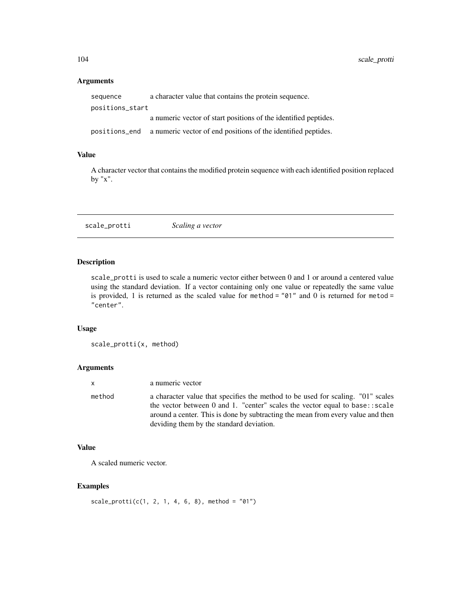## Arguments

| sequence        | a character value that contains the protein sequence.                       |
|-----------------|-----------------------------------------------------------------------------|
| positions_start |                                                                             |
|                 | a numeric vector of start positions of the identified peptides.             |
|                 | positions end a numeric vector of end positions of the identified peptides. |

## Value

A character vector that contains the modified protein sequence with each identified position replaced by "x".

scale\_protti *Scaling a vector*

# Description

scale\_protti is used to scale a numeric vector either between 0 and 1 or around a centered value using the standard deviation. If a vector containing only one value or repeatedly the same value is provided, 1 is returned as the scaled value for method =  $"01"$  and 0 is returned for metod = "center".

#### Usage

```
scale_protti(x, method)
```
# Arguments

| x.     | a numeric vector                                                                                                                                                                                                                                                                                |
|--------|-------------------------------------------------------------------------------------------------------------------------------------------------------------------------------------------------------------------------------------------------------------------------------------------------|
| method | a character value that specifies the method to be used for scaling. "01" scales<br>the vector between 0 and 1. "center" scales the vector equal to base: : scale<br>around a center. This is done by subtracting the mean from every value and then<br>deviding them by the standard deviation. |

## Value

A scaled numeric vector.

# Examples

```
scale\_protti(c(1, 2, 1, 4, 6, 8), method = "01")
```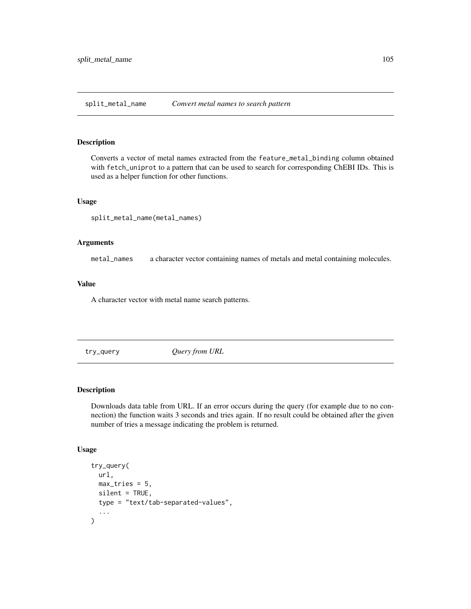split\_metal\_name *Convert metal names to search pattern*

#### Description

Converts a vector of metal names extracted from the feature\_metal\_binding column obtained with fetch\_uniprot to a pattern that can be used to search for corresponding ChEBI IDs. This is used as a helper function for other functions.

#### Usage

split\_metal\_name(metal\_names)

#### Arguments

metal\_names a character vector containing names of metals and metal containing molecules.

# Value

A character vector with metal name search patterns.

try\_query *Query from URL*

#### Description

Downloads data table from URL. If an error occurs during the query (for example due to no connection) the function waits 3 seconds and tries again. If no result could be obtained after the given number of tries a message indicating the problem is returned.

#### Usage

```
try_query(
  url,
 max\_tries = 5,
  silent = TRUE,
  type = "text/tab-separated-values",
  ...
\mathcal{E}
```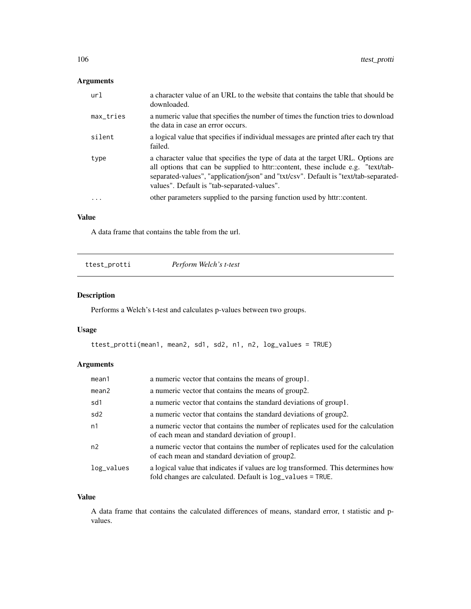# Arguments

| url          | a character value of an URL to the website that contains the table that should be<br>downloaded.                                                                                                                                                                                                            |
|--------------|-------------------------------------------------------------------------------------------------------------------------------------------------------------------------------------------------------------------------------------------------------------------------------------------------------------|
| $max\_tries$ | a numeric value that specifies the number of times the function tries to download<br>the data in case an error occurs.                                                                                                                                                                                      |
| silent       | a logical value that specifies if individual messages are printed after each try that<br>failed.                                                                                                                                                                                                            |
| type         | a character value that specifies the type of data at the target URL. Options are<br>all options that can be supplied to httr::content, these include e.g. "text/tab-<br>separated-values", "application/json" and "txt/csv". Default is "text/tab-separated-<br>values". Default is "tab-separated-values". |
| $\ddotsc$    | other parameters supplied to the parsing function used by httr::content.                                                                                                                                                                                                                                    |

# Value

A data frame that contains the table from the url.

| ttest_protti | Perform Welch's t-test |
|--------------|------------------------|
|--------------|------------------------|

# Description

Performs a Welch's t-test and calculates p-values between two groups.

# Usage

```
ttest_protti(mean1, mean2, sd1, sd2, n1, n2, log_values = TRUE)
```
# Arguments

| mean1           | a numeric vector that contains the means of group1.                                                                                                        |
|-----------------|------------------------------------------------------------------------------------------------------------------------------------------------------------|
| mean2           | a numeric vector that contains the means of group2.                                                                                                        |
| sd1             | a numeric vector that contains the standard deviations of group1.                                                                                          |
| sd <sub>2</sub> | a numeric vector that contains the standard deviations of group2.                                                                                          |
| n1              | a numeric vector that contains the number of replicates used for the calculation<br>of each mean and standard deviation of group1.                         |
| n <sub>2</sub>  | a numeric vector that contains the number of replicates used for the calculation<br>of each mean and standard deviation of group2.                         |
| log_values      | a logical value that indicates if values are log transformed. This determines how<br>fold changes are calculated. Default is $log_\text{1}$ values = TRUE. |

## Value

A data frame that contains the calculated differences of means, standard error, t statistic and pvalues.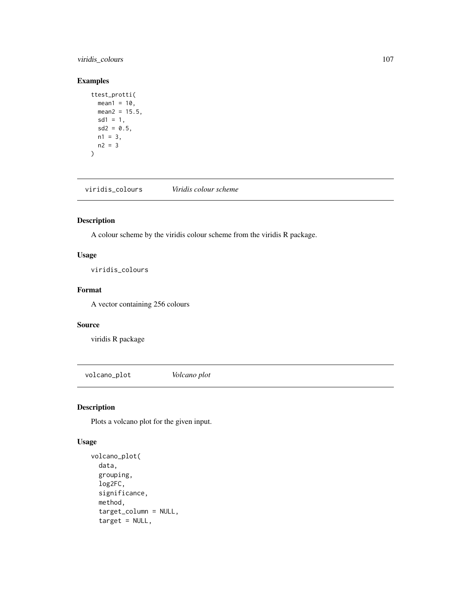# viridis\_colours 107

## Examples

```
ttest_protti(
  mean1 = 10,
  mean2 = 15.5,
  sd1 = 1,sd2 = 0.5,
  n1 = 3,
  n2 = 3\overline{)}
```
viridis\_colours *Viridis colour scheme*

# Description

A colour scheme by the viridis colour scheme from the viridis R package.

# Usage

viridis\_colours

### Format

A vector containing 256 colours

#### Source

viridis R package

volcano\_plot *Volcano plot*

# Description

Plots a volcano plot for the given input.

# Usage

```
volcano_plot(
  data,
  grouping,
  log2FC,
  significance,
 method,
  target_column = NULL,
  target = NULL,
```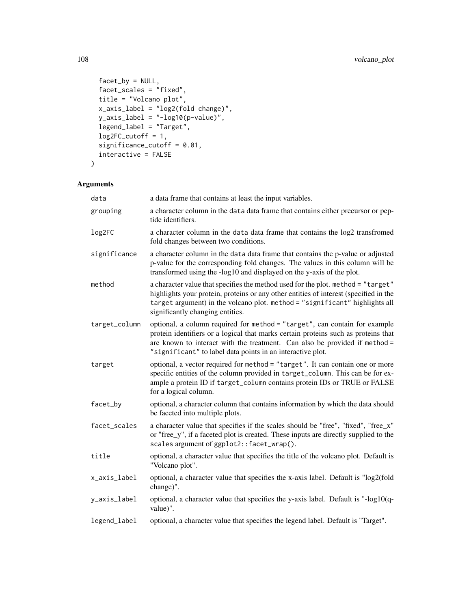```
facet_by = NULL,facet_scales = "fixed",
title = "Volcano plot",
x_axis_label = "log2(fold change)",
y_axis_label = "-log10(p-value)",
legend_label = "Target",
log2FC_{cutoff} = 1,
significance_cutoff = 0.01,
interactive = FALSE
```

```
\mathcal{L}
```
# Arguments

| data          | a data frame that contains at least the input variables.                                                                                                                                                                                                                                                     |
|---------------|--------------------------------------------------------------------------------------------------------------------------------------------------------------------------------------------------------------------------------------------------------------------------------------------------------------|
| grouping      | a character column in the data data frame that contains either precursor or pep-<br>tide identifiers.                                                                                                                                                                                                        |
| log2FC        | a character column in the data data frame that contains the log2 transfromed<br>fold changes between two conditions.                                                                                                                                                                                         |
| significance  | a character column in the data data frame that contains the p-value or adjusted<br>p-value for the corresponding fold changes. The values in this column will be<br>transformed using the -log10 and displayed on the y-axis of the plot.                                                                    |
| method        | a character value that specifies the method used for the plot. method = "target"<br>highlights your protein, proteins or any other entities of interest (specified in the<br>target argument) in the volcano plot. method = "significant" highlights all<br>significantly changing entities.                 |
| target_column | optional, a column required for method = "target", can contain for example<br>protein identifiers or a logical that marks certain proteins such as proteins that<br>are known to interact with the treatment. Can also be provided if method =<br>"significant" to label data points in an interactive plot. |
| target        | optional, a vector required for method = "target". It can contain one or more<br>specific entities of the column provided in target_column. This can be for ex-<br>ample a protein ID if target_column contains protein IDs or TRUE or FALSE<br>for a logical column.                                        |
| facet_by      | optional, a character column that contains information by which the data should<br>be faceted into multiple plots.                                                                                                                                                                                           |
| facet_scales  | a character value that specifies if the scales should be "free", "fixed", "free_x"<br>or "free_y", if a faceted plot is created. These inputs are directly supplied to the<br>scales argument of ggplot2::facet_wrap().                                                                                      |
| title         | optional, a character value that specifies the title of the volcano plot. Default is<br>"Volcano plot".                                                                                                                                                                                                      |
| x_axis_label  | optional, a character value that specifies the x-axis label. Default is "log2(fold<br>change)".                                                                                                                                                                                                              |
| y_axis_label  | optional, a character value that specifies the y-axis label. Default is "-log10(q-<br>value)".                                                                                                                                                                                                               |
| legend_label  | optional, a character value that specifies the legend label. Default is "Target".                                                                                                                                                                                                                            |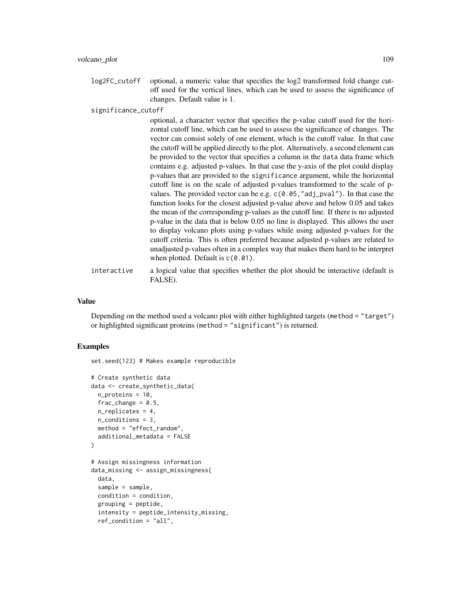log2FC\_cutoff optional, a numeric value that specifies the log2 transformed fold change cutoff used for the vertical lines, which can be used to assess the significance of changes. Default value is 1.

significance\_cutoff

| optional, a character vector that specifies the p-value cutoff used for the hori-    |
|--------------------------------------------------------------------------------------|
| zontal cutoff line, which can be used to assess the significance of changes. The     |
| vector can consist solely of one element, which is the cutoff value. In that case    |
| the cutoff will be applied directly to the plot. Alternatively, a second element can |
| be provided to the vector that specifies a column in the data data frame which       |
| contains e.g. adjusted p-values. In that case the y-axis of the plot could display   |
| p-values that are provided to the significance argument, while the horizontal        |
| cutoff line is on the scale of adjusted p-values transformed to the scale of p-      |
| values. The provided vector can be e.g. c(0.05, "adj_pval"). In that case the        |
| function looks for the closest adjusted p-value above and below 0.05 and takes       |
| the mean of the corresponding p-values as the cutoff line. If there is no adjusted   |
| p-value in the data that is below 0.05 no line is displayed. This allows the user    |
| to display volcano plots using p-values while using adjusted p-values for the        |
| cutoff criteria. This is often preferred because adjusted p-values are related to    |
| unadjusted p-values often in a complex way that makes them hard to be interpret      |
| when plotted. Default is $c(0.01)$ .                                                 |
|                                                                                      |

interactive a logical value that specifies whether the plot should be interactive (default is FALSE).

#### Value

Depending on the method used a volcano plot with either highlighted targets (method = "target") or highlighted significant proteins (method = "significant") is returned.

### Examples

set.seed(123) # Makes example reproducible

```
# Create synthetic data
data <- create_synthetic_data(
 n_proteins = 10,
 frac_{change = 0.5}n_replicates = 4,
 n_conditions = 3,
 method = "effect_random",
 additional_metadata = FALSE
\mathcal{L}# Assign missingness information
data_missing <- assign_missingness(
 data,
 sample = sample,
 condition = condition,
 grouping = peptide,
 intensity = peptide_intensity_missing,
 ref_condition = "all",
```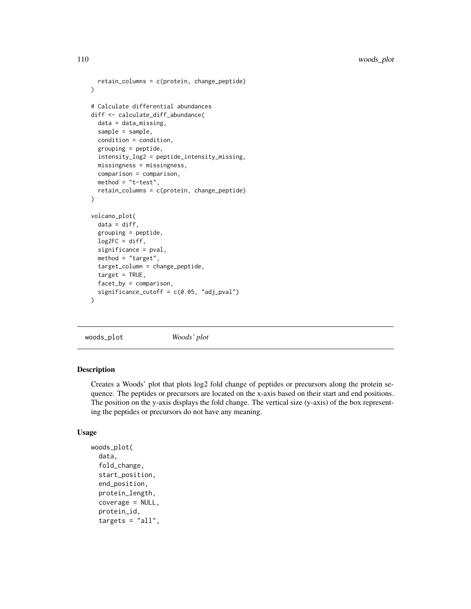```
retain_columns = c(protein, change_peptide)
)
# Calculate differential abundances
diff <- calculate_diff_abundance(
  data = data_missing,
  sample = sample,
  condition = condition,
  grouping = peptide,
  intensity_log2 = peptide_intensity_missing,
  missingness = missingness,
  comparison = comparison,
  method = "t-test",retain_columns = c(protein, change_peptide)
)
volcano_plot(
  data = diff,grouping = peptide,
  log2FC = diff,significance = pval,
  method = "target",
  target_column = change_peptide,
  target = TRUE,facet_by = comparison,
  significance_cutoff = c(0.05, "adj_pval")
)
```
woods\_plot *Woods' plot*

#### Description

Creates a Woods' plot that plots log2 fold change of peptides or precursors along the protein sequence. The peptides or precursors are located on the x-axis based on their start and end positions. The position on the y-axis displays the fold change. The vertical size (y-axis) of the box representing the peptides or precursors do not have any meaning.

#### Usage

```
woods_plot(
  data,
  fold_change,
  start_position,
  end_position,
  protein_length,
  coverage = NULL,
  protein_id,
  targets = "all",
```
<span id="page-109-0"></span>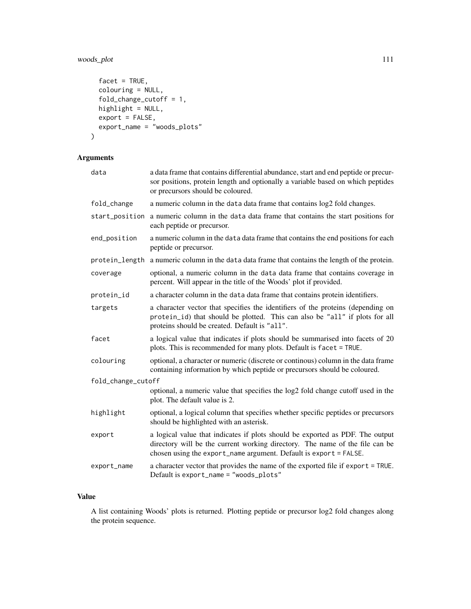## woods\_plot 111

```
facet = TRUE,colouring = NULL,
 fold\_change\_cutoff = 1,
 highlight = NULL,
 export = FALSE,
 export_name = "woods_plots"
\mathcal{E}
```
## Arguments

| data               | a data frame that contains differential abundance, start and end peptide or precur-<br>sor positions, protein length and optionally a variable based on which peptides<br>or precursors should be coloured.                        |
|--------------------|------------------------------------------------------------------------------------------------------------------------------------------------------------------------------------------------------------------------------------|
| fold_change        | a numeric column in the data data frame that contains $log2$ fold changes.                                                                                                                                                         |
| start_position     | a numeric column in the data data frame that contains the start positions for<br>each peptide or precursor.                                                                                                                        |
| end_position       | a numeric column in the data data frame that contains the end positions for each<br>peptide or precursor.                                                                                                                          |
|                    | protein_length a numeric column in the data data frame that contains the length of the protein.                                                                                                                                    |
| coverage           | optional, a numeric column in the data data frame that contains coverage in<br>percent. Will appear in the title of the Woods' plot if provided.                                                                                   |
| protein_id         | a character column in the data data frame that contains protein identifiers.                                                                                                                                                       |
| targets            | a character vector that specifies the identifiers of the proteins (depending on<br>protein_id) that should be plotted. This can also be "all" if plots for all<br>proteins should be created. Default is "all".                    |
| facet              | a logical value that indicates if plots should be summarised into facets of 20<br>plots. This is recommended for many plots. Default is facet = TRUE.                                                                              |
| colouring          | optional, a character or numeric (discrete or continous) column in the data frame<br>containing information by which peptide or precursors should be coloured.                                                                     |
| fold_change_cutoff |                                                                                                                                                                                                                                    |
|                    | optional, a numeric value that specifies the log2 fold change cutoff used in the<br>plot. The default value is 2.                                                                                                                  |
| highlight          | optional, a logical column that specifies whether specific peptides or precursors<br>should be highlighted with an asterisk.                                                                                                       |
| export             | a logical value that indicates if plots should be exported as PDF. The output<br>directory will be the current working directory. The name of the file can be<br>chosen using the export_name argument. Default is export = FALSE. |
| export_name        | a character vector that provides the name of the exported file if export = TRUE.<br>Default is export_name = "woods_plots"                                                                                                         |

## Value

A list containing Woods' plots is returned. Plotting peptide or precursor log2 fold changes along the protein sequence.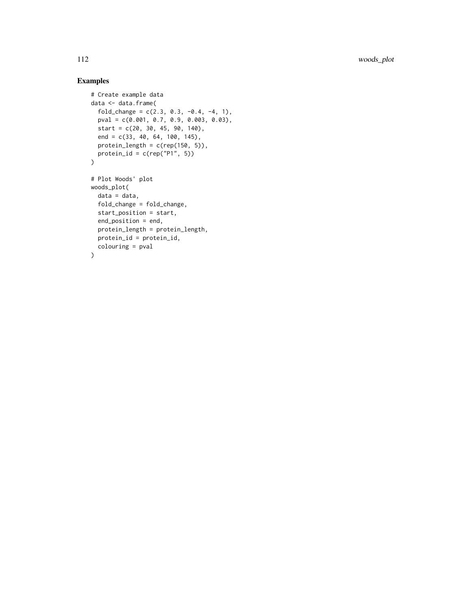# Examples

```
# Create example data
data <- data.frame(
  fold_change = c(2.3, 0.3, -0.4, -4, 1),
  pval = c(0.001, 0.7, 0.9, 0.003, 0.03),
 start = c(20, 30, 45, 90, 140),
  end = c(33, 40, 64, 100, 145),
  protein_length = c(rep(150, 5)),protein_id = c(rep("P1", 5))
\lambda# Plot Woods' plot
woods_plot(
 data = data,
 fold_change = fold_change,
  start_position = start,
  end_position = end,
  protein_length = protein_length,
  protein_id = protein_id,
  colouring = pval
\mathcal{L}
```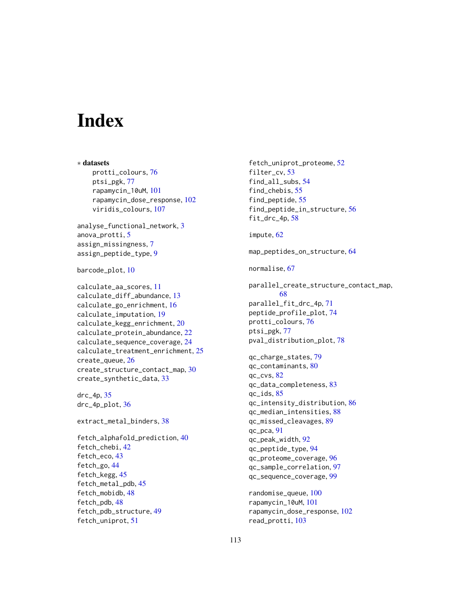# **Index**

∗ datasets protti\_colours, [76](#page-75-0) ptsi\_pgk, [77](#page-76-0) rapamycin\_10uM, [101](#page-100-0) rapamycin\_dose\_response, [102](#page-101-0) viridis\_colours, [107](#page-106-0) analyse\_functional\_network, [3](#page-2-0) anova\_protti, [5](#page-4-0) assign\_missingness, [7](#page-6-0) assign\_peptide\_type, [9](#page-8-0) barcode\_plot, [10](#page-9-0) calculate\_aa\_scores, [11](#page-10-0) calculate\_diff\_abundance, [13](#page-12-0) calculate\_go\_enrichment, [16](#page-15-0) calculate\_imputation, [19](#page-18-0) calculate\_kegg\_enrichment, [20](#page-19-0) calculate\_protein\_abundance, [22](#page-21-0) calculate\_sequence\_coverage, [24](#page-23-0) calculate\_treatment\_enrichment, [25](#page-24-0) create\_queue, [26](#page-25-0) create\_structure\_contact\_map, [30](#page-29-0) create\_synthetic\_data, [33](#page-32-0) drc\_4p, [35](#page-34-0) drc\_4p\_plot, [36](#page-35-0) extract\_metal\_binders, [38](#page-37-0) fetch\_alphafold\_prediction, [40](#page-39-0) fetch\_chebi, [42](#page-41-0) fetch\_eco, [43](#page-42-0) fetch\_go, [44](#page-43-0) fetch\_kegg, [45](#page-44-0) fetch\_metal\_pdb, [45](#page-44-0) fetch\_mobidb, [48](#page-47-0) fetch\_pdb, [48](#page-47-0) fetch\_pdb\_structure, [49](#page-48-0) fetch\_uniprot, [51](#page-50-0)

fetch\_uniprot\_proteome, [52](#page-51-0) filter\_cv, [53](#page-52-0) find\_all\_subs, [54](#page-53-0) find\_chebis, [55](#page-54-0) find\_peptide, [55](#page-54-0) find\_peptide\_in\_structure, [56](#page-55-0) fit\_drc\_4p, [58](#page-57-0) impute, [62](#page-61-0) map\_peptides\_on\_structure, [64](#page-63-0) normalise, [67](#page-66-0) parallel\_create\_structure\_contact\_map, [68](#page-67-0) parallel\_fit\_drc\_4p, [71](#page-70-0) peptide\_profile\_plot, [74](#page-73-0) protti\_colours, [76](#page-75-0) ptsi\_pgk, [77](#page-76-0) pval\_distribution\_plot, [78](#page-77-0) qc\_charge\_states, [79](#page-78-0) qc\_contaminants, [80](#page-79-0) qc\_cvs, [82](#page-81-0) qc\_data\_completeness, [83](#page-82-0) qc\_ids, [85](#page-84-0) qc\_intensity\_distribution, [86](#page-85-0) qc\_median\_intensities, [88](#page-87-0) qc\_missed\_cleavages, [89](#page-88-0) qc\_pca, [91](#page-90-0) qc\_peak\_width, [92](#page-91-0) qc\_peptide\_type, [94](#page-93-0) qc\_proteome\_coverage, [96](#page-95-0) qc\_sample\_correlation, [97](#page-96-0) qc\_sequence\_coverage, [99](#page-98-0) randomise\_queue, [100](#page-99-0) rapamycin\_10uM, [101](#page-100-0) rapamycin\_dose\_response, [102](#page-101-0) read\_protti, [103](#page-102-0)